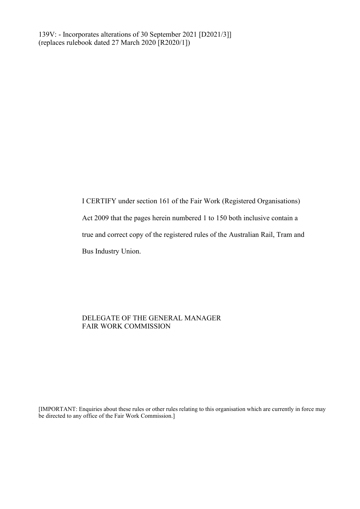I CERTIFY under section 161 of the Fair Work (Registered Organisations) Act 2009 that the pages herein numbered 1 to 150 both inclusive contain a true and correct copy of the registered rules of the Australian Rail, Tram and Bus Industry Union.

# DELEGATE OF THE GENERAL MANAGER FAIR WORK COMMISSION

[IMPORTANT: Enquiries about these rules or other rules relating to this organisation which are currently in force may be directed to any office of the Fair Work Commission.]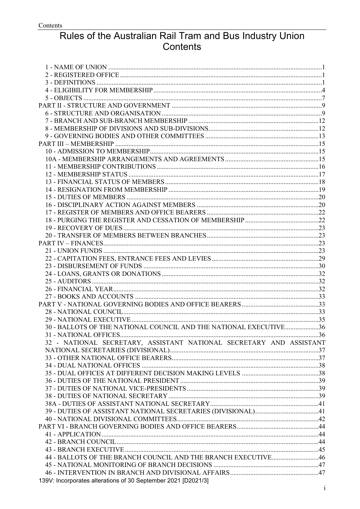# Rules of the Australian Rail Tram and Bus Industry Union Contents

| 30 - BALLOTS OF THE NATIONAL COUNCIL AND THE NATIONAL EXECUTIVE36   |  |
|---------------------------------------------------------------------|--|
|                                                                     |  |
| 32 - NATIONAL SECRETARY, ASSISTANT NATIONAL SECRETARY AND ASSISTANT |  |
|                                                                     |  |
|                                                                     |  |
|                                                                     |  |
|                                                                     |  |
|                                                                     |  |
|                                                                     |  |
|                                                                     |  |
|                                                                     |  |
|                                                                     |  |
|                                                                     |  |
|                                                                     |  |
|                                                                     |  |
|                                                                     |  |
|                                                                     |  |
| 44 - BALLOTS OF THE BRANCH COUNCIL AND THE BRANCH EXECUTIVE46       |  |
|                                                                     |  |
|                                                                     |  |
| 139V: Incorporates alterations of 30 September 2021 [D2021/3]       |  |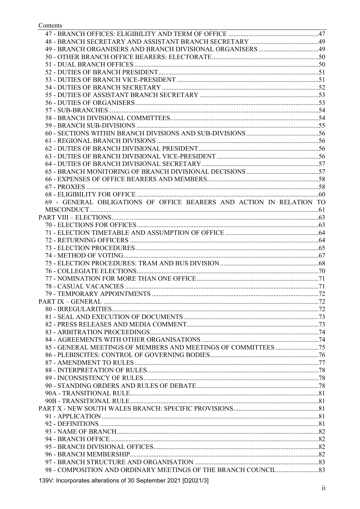Contents

| 69 - GENERAL OBLIGATIONS OF OFFICE BEARERS AND ACTION IN RELATION TO |  |
|----------------------------------------------------------------------|--|
|                                                                      |  |
|                                                                      |  |
|                                                                      |  |
|                                                                      |  |
|                                                                      |  |
|                                                                      |  |
|                                                                      |  |
|                                                                      |  |
|                                                                      |  |
|                                                                      |  |
|                                                                      |  |
|                                                                      |  |
|                                                                      |  |
|                                                                      |  |
|                                                                      |  |
|                                                                      |  |
|                                                                      |  |
|                                                                      |  |
|                                                                      |  |
|                                                                      |  |
|                                                                      |  |
|                                                                      |  |
|                                                                      |  |
|                                                                      |  |
|                                                                      |  |
|                                                                      |  |
|                                                                      |  |
|                                                                      |  |
|                                                                      |  |
|                                                                      |  |
|                                                                      |  |
|                                                                      |  |
|                                                                      |  |
|                                                                      |  |
|                                                                      |  |
|                                                                      |  |
|                                                                      |  |

139V: Incorporates alterations of 30 September 2021 [D2021/3]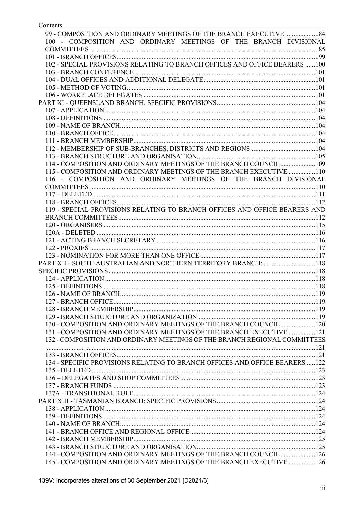| 100 - COMPOSITION AND ORDINARY MEETINGS OF THE BRANCH DIVISIONAL             |  |
|------------------------------------------------------------------------------|--|
|                                                                              |  |
|                                                                              |  |
| 102 - SPECIAL PROVISIONS RELATING TO BRANCH OFFICES AND OFFICE BEARERS 100   |  |
|                                                                              |  |
|                                                                              |  |
|                                                                              |  |
|                                                                              |  |
|                                                                              |  |
|                                                                              |  |
|                                                                              |  |
|                                                                              |  |
|                                                                              |  |
|                                                                              |  |
|                                                                              |  |
|                                                                              |  |
| 114 - COMPOSITION AND ORDINARY MEETINGS OF THE BRANCH COUNCIL 109            |  |
| 115 - COMPOSITION AND ORDINARY MEETINGS OF THE BRANCH EXECUTIVE 110          |  |
| 116 - COMPOSITION AND ORDINARY MEETINGS OF THE BRANCH DIVISIONAL             |  |
|                                                                              |  |
|                                                                              |  |
|                                                                              |  |
| 119 - SPECIAL PROVISIONS RELATING TO BRANCH OFFICES AND OFFICE BEARERS AND   |  |
|                                                                              |  |
|                                                                              |  |
|                                                                              |  |
|                                                                              |  |
|                                                                              |  |
|                                                                              |  |
| PART XII - SOUTH AUSTRALIAN AND NORTHERN TERRITORY BRANCH: 118               |  |
|                                                                              |  |
|                                                                              |  |
|                                                                              |  |
|                                                                              |  |
|                                                                              |  |
|                                                                              |  |
|                                                                              |  |
| 130 - COMPOSITION AND ORDINARY MEETINGS OF THE BRANCH COUNCIL 120            |  |
| 131 - COMPOSITION AND ORDINARY MEETINGS OF THE BRANCH EXECUTIVE 121          |  |
| 132 - COMPOSITION AND ORDINARY MEETINGS OF THE BRANCH REGIONAL COMMITTEES    |  |
|                                                                              |  |
|                                                                              |  |
| 134 - SPECIFIC PROVISIONS RELATING TO BRANCH OFFICES AND OFFICE BEARERS  122 |  |
|                                                                              |  |
|                                                                              |  |
|                                                                              |  |
|                                                                              |  |
|                                                                              |  |
|                                                                              |  |
|                                                                              |  |
|                                                                              |  |
|                                                                              |  |
|                                                                              |  |
|                                                                              |  |
| 144 - COMPOSITION AND ORDINARY MEETINGS OF THE BRANCH COUNCIL 126            |  |
| 145 - COMPOSITION AND ORDINARY MEETINGS OF THE BRANCH EXECUTIVE 126          |  |
|                                                                              |  |

Contents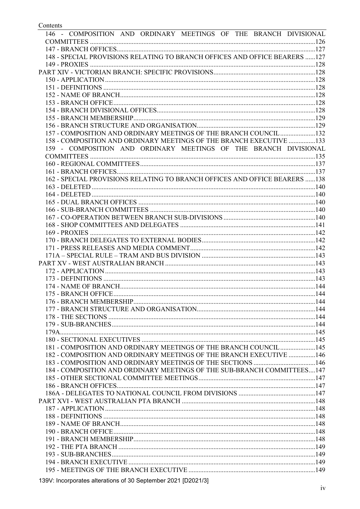| 146 - COMPOSITION AND ORDINARY MEETINGS OF THE BRANCH DIVISIONAL            |  |
|-----------------------------------------------------------------------------|--|
|                                                                             |  |
|                                                                             |  |
| 148 - SPECIAL PROVISIONS RELATING TO BRANCH OFFICES AND OFFICE BEARERS  127 |  |
|                                                                             |  |
|                                                                             |  |
|                                                                             |  |
|                                                                             |  |
|                                                                             |  |
|                                                                             |  |
|                                                                             |  |
|                                                                             |  |
|                                                                             |  |
| 157 - COMPOSITION AND ORDINARY MEETINGS OF THE BRANCH COUNCIL 132           |  |
| 158 - COMPOSITION AND ORDINARY MEETINGS OF THE BRANCH EXECUTIVE 133         |  |
| 159 - COMPOSITION AND ORDINARY MEETINGS OF THE BRANCH DIVISIONAL            |  |
|                                                                             |  |
|                                                                             |  |
|                                                                             |  |
| 162 - SPECIAL PROVISIONS RELATING TO BRANCH OFFICES AND OFFICE BEARERS  138 |  |
|                                                                             |  |
|                                                                             |  |
|                                                                             |  |
|                                                                             |  |
|                                                                             |  |
|                                                                             |  |
|                                                                             |  |
|                                                                             |  |
|                                                                             |  |
|                                                                             |  |
|                                                                             |  |
|                                                                             |  |
|                                                                             |  |
|                                                                             |  |
|                                                                             |  |
|                                                                             |  |
|                                                                             |  |
|                                                                             |  |
|                                                                             |  |
|                                                                             |  |
|                                                                             |  |
|                                                                             |  |
| 181 - COMPOSITION AND ORDINARY MEETINGS OF THE BRANCH COUNCIL  145          |  |
| 182 - COMPOSITION AND ORDINARY MEETINGS OF THE BRANCH EXECUTIVE  146        |  |
|                                                                             |  |
| 184 - COMPOSITION AND ORDINARY MEETINGS OF THE SUB-BRANCH COMMITTEES147     |  |
|                                                                             |  |
|                                                                             |  |
|                                                                             |  |
|                                                                             |  |
|                                                                             |  |
|                                                                             |  |
|                                                                             |  |
|                                                                             |  |
|                                                                             |  |
|                                                                             |  |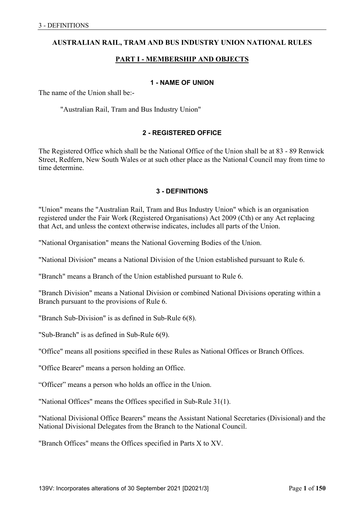# **AUSTRALIAN RAIL, TRAM AND BUS INDUSTRY UNION NATIONAL RULES**

# **PART I - MEMBERSHIP AND OBJECTS**

#### **1 - NAME OF UNION**

The name of the Union shall be:-

"Australian Rail, Tram and Bus Industry Union"

## **2 - REGISTERED OFFICE**

The Registered Office which shall be the National Office of the Union shall be at 83 - 89 Renwick Street, Redfern, New South Wales or at such other place as the National Council may from time to time determine.

## **3 - DEFINITIONS**

"Union" means the "Australian Rail, Tram and Bus Industry Union" which is an organisation registered under the Fair Work (Registered Organisations) Act 2009 (Cth) or any Act replacing that Act, and unless the context otherwise indicates, includes all parts of the Union.

"National Organisation" means the National Governing Bodies of the Union.

"National Division" means a National Division of the Union established pursuant to Rule 6.

"Branch" means a Branch of the Union established pursuant to Rule 6.

"Branch Division" means a National Division or combined National Divisions operating within a Branch pursuant to the provisions of Rule 6.

"Branch Sub-Division" is as defined in Sub-Rule 6(8).

"Sub-Branch" is as defined in Sub-Rule 6(9).

"Office" means all positions specified in these Rules as National Offices or Branch Offices.

"Office Bearer" means a person holding an Office.

"Officer" means a person who holds an office in the Union.

"National Offices" means the Offices specified in Sub-Rule 31(1).

"National Divisional Office Bearers" means the Assistant National Secretaries (Divisional) and the National Divisional Delegates from the Branch to the National Council.

"Branch Offices" means the Offices specified in Parts X to XV.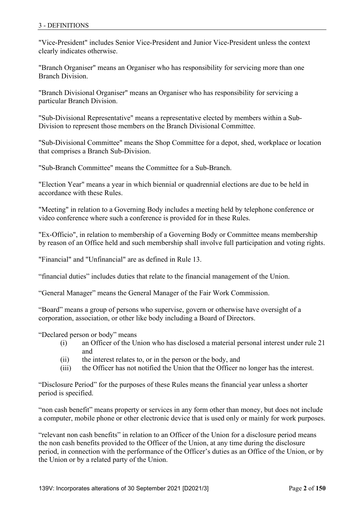"Vice-President" includes Senior Vice-President and Junior Vice-President unless the context clearly indicates otherwise.

"Branch Organiser" means an Organiser who has responsibility for servicing more than one Branch Division.

"Branch Divisional Organiser" means an Organiser who has responsibility for servicing a particular Branch Division.

"Sub-Divisional Representative" means a representative elected by members within a Sub-Division to represent those members on the Branch Divisional Committee.

"Sub-Divisional Committee" means the Shop Committee for a depot, shed, workplace or location that comprises a Branch Sub-Division.

"Sub-Branch Committee" means the Committee for a Sub-Branch.

"Election Year" means a year in which biennial or quadrennial elections are due to be held in accordance with these Rules.

"Meeting" in relation to a Governing Body includes a meeting held by telephone conference or video conference where such a conference is provided for in these Rules.

"Ex-Officio", in relation to membership of a Governing Body or Committee means membership by reason of an Office held and such membership shall involve full participation and voting rights.

"Financial" and "Unfinancial" are as defined in Rule 13.

"financial duties" includes duties that relate to the financial management of the Union.

"General Manager" means the General Manager of the Fair Work Commission.

"Board" means a group of persons who supervise, govern or otherwise have oversight of a corporation, association, or other like body including a Board of Directors.

"Declared person or body" means

- (i) an Officer of the Union who has disclosed a material personal interest under rule 21 and
- (ii) the interest relates to, or in the person or the body, and
- (iii) the Officer has not notified the Union that the Officer no longer has the interest.

"Disclosure Period" for the purposes of these Rules means the financial year unless a shorter period is specified.

"non cash benefit" means property or services in any form other than money, but does not include a computer, mobile phone or other electronic device that is used only or mainly for work purposes.

"relevant non cash benefits" in relation to an Officer of the Union for a disclosure period means the non cash benefits provided to the Officer of the Union, at any time during the disclosure period, in connection with the performance of the Officer's duties as an Office of the Union, or by the Union or by a related party of the Union.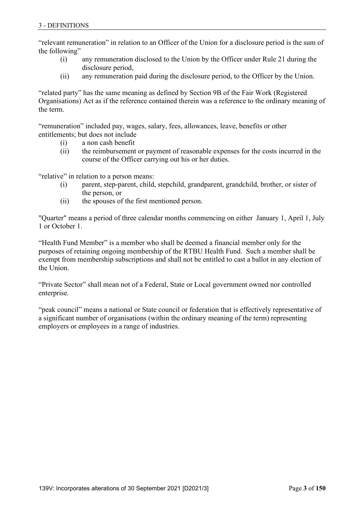"relevant remuneration" in relation to an Officer of the Union for a disclosure period is the sum of the following"

- (i) any remuneration disclosed to the Union by the Officer under Rule 21 during the disclosure period,
- (ii) any remuneration paid during the disclosure period, to the Officer by the Union.

"related party" has the same meaning as defined by Section 9B of the Fair Work (Registered Organisations) Act as if the reference contained therein was a reference to the ordinary meaning of the term.

"remuneration" included pay, wages, salary, fees, allowances, leave, benefits or other entitlements; but does not include

- (i) a non cash benefit
- (ii) the reimbursement or payment of reasonable expenses for the costs incurred in the course of the Officer carrying out his or her duties.

"relative" in relation to a person means:

- (i) parent, step-parent, child, stepchild, grandparent, grandchild, brother, or sister of the person, or
- (ii) the spouses of the first mentioned person.

"Quarter" means a period of three calendar months commencing on either January 1, April 1, July 1 or October 1.

"Health Fund Member" is a member who shall be deemed a financial member only for the purposes of retaining ongoing membership of the RTBU Health Fund. Such a member shall be exempt from membership subscriptions and shall not be entitled to cast a ballot in any election of the Union.

"Private Sector" shall mean not of a Federal, State or Local government owned nor controlled enterprise.

"peak council" means a national or State council or federation that is effectively representative of a significant number of organisations (within the ordinary meaning of the term) representing employers or employees in a range of industries.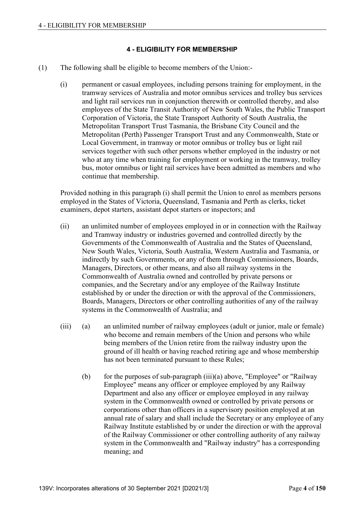# **4 - ELIGIBILITY FOR MEMBERSHIP**

- (1) The following shall be eligible to become members of the Union:-
	- (i) permanent or casual employees, including persons training for employment, in the tramway services of Australia and motor omnibus services and trolley bus services and light rail services run in conjunction therewith or controlled thereby, and also employees of the State Transit Authority of New South Wales, the Public Transport Corporation of Victoria, the State Transport Authority of South Australia, the Metropolitan Transport Trust Tasmania, the Brisbane City Council and the Metropolitan (Perth) Passenger Transport Trust and any Commonwealth, State or Local Government, in tramway or motor omnibus or trolley bus or light rail services together with such other persons whether employed in the industry or not who at any time when training for employment or working in the tramway, trolley bus, motor omnibus or light rail services have been admitted as members and who continue that membership.

 Provided nothing in this paragraph (i) shall permit the Union to enrol as members persons employed in the States of Victoria, Queensland, Tasmania and Perth as clerks, ticket examiners, depot starters, assistant depot starters or inspectors; and

- (ii) an unlimited number of employees employed in or in connection with the Railway and Tramway industry or industries governed and controlled directly by the Governments of the Commonwealth of Australia and the States of Queensland, New South Wales, Victoria, South Australia, Western Australia and Tasmania, or indirectly by such Governments, or any of them through Commissioners, Boards, Managers, Directors, or other means, and also all railway systems in the Commonwealth of Australia owned and controlled by private persons or companies, and the Secretary and/or any employee of the Railway Institute established by or under the direction or with the approval of the Commissioners, Boards, Managers, Directors or other controlling authorities of any of the railway systems in the Commonwealth of Australia; and
- (iii) (a) an unlimited number of railway employees (adult or junior, male or female) who become and remain members of the Union and persons who while being members of the Union retire from the railway industry upon the ground of ill health or having reached retiring age and whose membership has not been terminated pursuant to these Rules;
	- (b) for the purposes of sub-paragraph  $(iii)(a)$  above, "Employee" or "Railway" Employee" means any officer or employee employed by any Railway Department and also any officer or employee employed in any railway system in the Commonwealth owned or controlled by private persons or corporations other than officers in a supervisory position employed at an annual rate of salary and shall include the Secretary or any employee of any Railway Institute established by or under the direction or with the approval of the Railway Commissioner or other controlling authority of any railway system in the Commonwealth and "Railway industry" has a corresponding meaning; and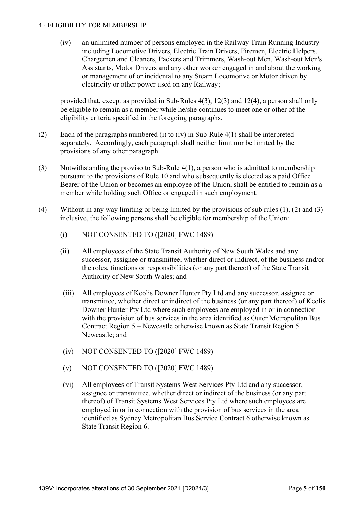(iv) an unlimited number of persons employed in the Railway Train Running Industry including Locomotive Drivers, Electric Train Drivers, Firemen, Electric Helpers, Chargemen and Cleaners, Packers and Trimmers, Wash-out Men, Wash-out Men's Assistants, Motor Drivers and any other worker engaged in and about the working or management of or incidental to any Steam Locomotive or Motor driven by electricity or other power used on any Railway;

 provided that, except as provided in Sub-Rules 4(3), 12(3) and 12(4), a person shall only be eligible to remain as a member while he/she continues to meet one or other of the eligibility criteria specified in the foregoing paragraphs.

- (2) Each of the paragraphs numbered (i) to (iv) in Sub-Rule 4(1) shall be interpreted separately. Accordingly, each paragraph shall neither limit nor be limited by the provisions of any other paragraph.
- (3) Notwithstanding the proviso to Sub-Rule 4(1), a person who is admitted to membership pursuant to the provisions of Rule 10 and who subsequently is elected as a paid Office Bearer of the Union or becomes an employee of the Union, shall be entitled to remain as a member while holding such Office or engaged in such employment.
- (4) Without in any way limiting or being limited by the provisions of sub rules (1), (2) and (3) inclusive, the following persons shall be eligible for membership of the Union:
	- (i) NOT CONSENTED TO ([2020] FWC 1489)
	- (ii) All employees of the State Transit Authority of New South Wales and any successor, assignee or transmittee, whether direct or indirect, of the business and/or the roles, functions or responsibilities (or any part thereof) of the State Transit Authority of New South Wales; and
	- (iii) All employees of Keolis Downer Hunter Pty Ltd and any successor, assignee or transmittee, whether direct or indirect of the business (or any part thereof) of Keolis Downer Hunter Pty Ltd where such employees are employed in or in connection with the provision of bus services in the area identified as Outer Metropolitan Bus Contract Region 5 – Newcastle otherwise known as State Transit Region 5 Newcastle; and
	- (iv) NOT CONSENTED TO ([2020] FWC 1489)
	- (v) NOT CONSENTED TO ([2020] FWC 1489)
	- (vi) All employees of Transit Systems West Services Pty Ltd and any successor, assignee or transmittee, whether direct or indirect of the business (or any part thereof) of Transit Systems West Services Pty Ltd where such employees are employed in or in connection with the provision of bus services in the area identified as Sydney Metropolitan Bus Service Contract 6 otherwise known as State Transit Region 6.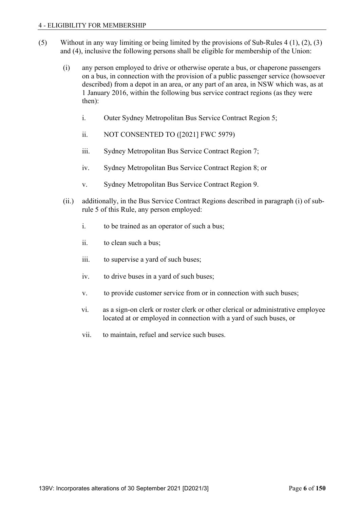- (5) Without in any way limiting or being limited by the provisions of Sub-Rules 4 (1), (2), (3) and (4), inclusive the following persons shall be eligible for membership of the Union:
	- (i) any person employed to drive or otherwise operate a bus, or chaperone passengers on a bus, in connection with the provision of a public passenger service (howsoever described) from a depot in an area, or any part of an area, in NSW which was, as at 1 January 2016, within the following bus service contract regions (as they were then):
		- i. Outer Sydney Metropolitan Bus Service Contract Region 5;
		- ii. NOT CONSENTED TO ([2021] FWC 5979)
		- iii. Sydney Metropolitan Bus Service Contract Region 7;
		- iv. Sydney Metropolitan Bus Service Contract Region 8; or
		- v. Sydney Metropolitan Bus Service Contract Region 9.
	- (ii.) additionally, in the Bus Service Contract Regions described in paragraph (i) of subrule 5 of this Rule, any person employed:
		- i. to be trained as an operator of such a bus;
		- ii. to clean such a bus;
		- iii. to supervise a yard of such buses;
		- iv. to drive buses in a yard of such buses;
		- v. to provide customer service from or in connection with such buses;
		- vi. as a sign-on clerk or roster clerk or other clerical or administrative employee located at or employed in connection with a yard of such buses, or
		- vii. to maintain, refuel and service such buses.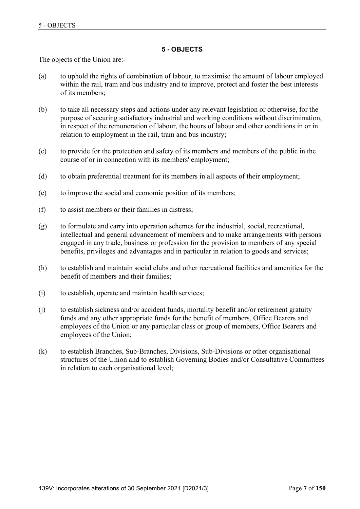## **5 - OBJECTS**

The objects of the Union are:-

- (a) to uphold the rights of combination of labour, to maximise the amount of labour employed within the rail, tram and bus industry and to improve, protect and foster the best interests of its members;
- (b) to take all necessary steps and actions under any relevant legislation or otherwise, for the purpose of securing satisfactory industrial and working conditions without discrimination, in respect of the remuneration of labour, the hours of labour and other conditions in or in relation to employment in the rail, tram and bus industry;
- (c) to provide for the protection and safety of its members and members of the public in the course of or in connection with its members' employment;
- (d) to obtain preferential treatment for its members in all aspects of their employment;
- (e) to improve the social and economic position of its members;
- (f) to assist members or their families in distress;
- (g) to formulate and carry into operation schemes for the industrial, social, recreational, intellectual and general advancement of members and to make arrangements with persons engaged in any trade, business or profession for the provision to members of any special benefits, privileges and advantages and in particular in relation to goods and services;
- (h) to establish and maintain social clubs and other recreational facilities and amenities for the benefit of members and their families;
- (i) to establish, operate and maintain health services;
- (j) to establish sickness and/or accident funds, mortality benefit and/or retirement gratuity funds and any other appropriate funds for the benefit of members, Office Bearers and employees of the Union or any particular class or group of members, Office Bearers and employees of the Union;
- (k) to establish Branches, Sub-Branches, Divisions, Sub-Divisions or other organisational structures of the Union and to establish Governing Bodies and/or Consultative Committees in relation to each organisational level;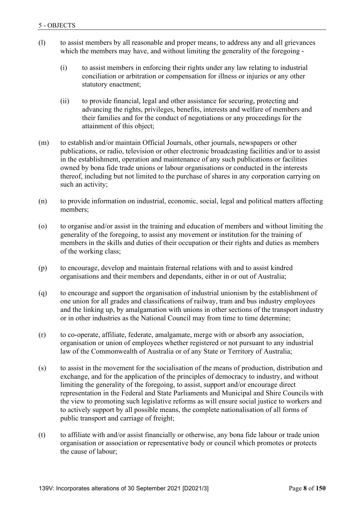- (l) to assist members by all reasonable and proper means, to address any and all grievances which the members may have, and without limiting the generality of the foregoing -
	- (i) to assist members in enforcing their rights under any law relating to industrial conciliation or arbitration or compensation for illness or injuries or any other statutory enactment;
	- (ii) to provide financial, legal and other assistance for securing, protecting and advancing the rights, privileges, benefits, interests and welfare of members and their families and for the conduct of negotiations or any proceedings for the attainment of this object;
- (m) to establish and/or maintain Official Journals, other journals, newspapers or other publications, or radio, television or other electronic broadcasting facilities and/or to assist in the establishment, operation and maintenance of any such publications or facilities owned by bona fide trade unions or labour organisations or conducted in the interests thereof, including but not limited to the purchase of shares in any corporation carrying on such an activity;
- (n) to provide information on industrial, economic, social, legal and political matters affecting members;
- (o) to organise and/or assist in the training and education of members and without limiting the generality of the foregoing, to assist any movement or institution for the training of members in the skills and duties of their occupation or their rights and duties as members of the working class;
- (p) to encourage, develop and maintain fraternal relations with and to assist kindred organisations and their members and dependants, either in or out of Australia;
- (q) to encourage and support the organisation of industrial unionism by the establishment of one union for all grades and classifications of railway, tram and bus industry employees and the linking up, by amalgamation with unions in other sections of the transport industry or in other industries as the National Council may from time to time determine;
- (r) to co-operate, affiliate, federate, amalgamate, merge with or absorb any association, organisation or union of employees whether registered or not pursuant to any industrial law of the Commonwealth of Australia or of any State or Territory of Australia;
- (s) to assist in the movement for the socialisation of the means of production, distribution and exchange, and for the application of the principles of democracy to industry, and without limiting the generality of the foregoing, to assist, support and/or encourage direct representation in the Federal and State Parliaments and Municipal and Shire Councils with the view to promoting such legislative reforms as will ensure social justice to workers and to actively support by all possible means, the complete nationalisation of all forms of public transport and carriage of freight;
- (t) to affiliate with and/or assist financially or otherwise, any bona fide labour or trade union organisation or association or representative body or council which promotes or protects the cause of labour;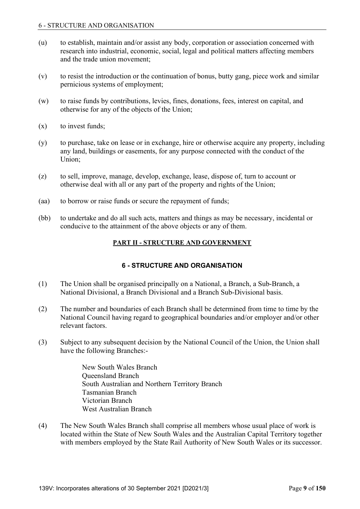- (u) to establish, maintain and/or assist any body, corporation or association concerned with research into industrial, economic, social, legal and political matters affecting members and the trade union movement;
- (v) to resist the introduction or the continuation of bonus, butty gang, piece work and similar pernicious systems of employment;
- (w) to raise funds by contributions, levies, fines, donations, fees, interest on capital, and otherwise for any of the objects of the Union;
- (x) to invest funds;
- (y) to purchase, take on lease or in exchange, hire or otherwise acquire any property, including any land, buildings or easements, for any purpose connected with the conduct of the Union;
- (z) to sell, improve, manage, develop, exchange, lease, dispose of, turn to account or otherwise deal with all or any part of the property and rights of the Union;
- (aa) to borrow or raise funds or secure the repayment of funds;
- (bb) to undertake and do all such acts, matters and things as may be necessary, incidental or conducive to the attainment of the above objects or any of them.

# **PART II - STRUCTURE AND GOVERNMENT**

# **6 - STRUCTURE AND ORGANISATION**

- (1) The Union shall be organised principally on a National, a Branch, a Sub-Branch, a National Divisional, a Branch Divisional and a Branch Sub-Divisional basis.
- (2) The number and boundaries of each Branch shall be determined from time to time by the National Council having regard to geographical boundaries and/or employer and/or other relevant factors.
- (3) Subject to any subsequent decision by the National Council of the Union, the Union shall have the following Branches:-

 New South Wales Branch Queensland Branch South Australian and Northern Territory Branch Tasmanian Branch Victorian Branch West Australian Branch

(4) The New South Wales Branch shall comprise all members whose usual place of work is located within the State of New South Wales and the Australian Capital Territory together with members employed by the State Rail Authority of New South Wales or its successor.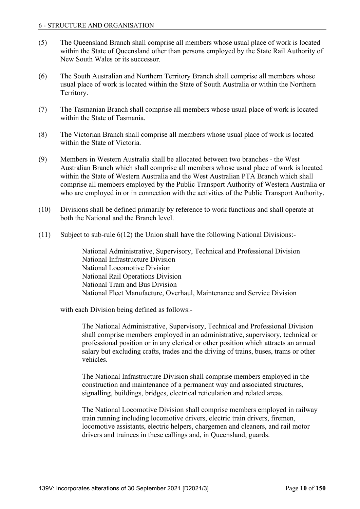- (5) The Queensland Branch shall comprise all members whose usual place of work is located within the State of Queensland other than persons employed by the State Rail Authority of New South Wales or its successor.
- (6) The South Australian and Northern Territory Branch shall comprise all members whose usual place of work is located within the State of South Australia or within the Northern Territory.
- (7) The Tasmanian Branch shall comprise all members whose usual place of work is located within the State of Tasmania.
- (8) The Victorian Branch shall comprise all members whose usual place of work is located within the State of Victoria.
- (9) Members in Western Australia shall be allocated between two branches the West Australian Branch which shall comprise all members whose usual place of work is located within the State of Western Australia and the West Australian PTA Branch which shall comprise all members employed by the Public Transport Authority of Western Australia or who are employed in or in connection with the activities of the Public Transport Authority.
- (10) Divisions shall be defined primarily by reference to work functions and shall operate at both the National and the Branch level.
- (11) Subject to sub-rule 6(12) the Union shall have the following National Divisions:-

 National Administrative, Supervisory, Technical and Professional Division National Infrastructure Division National Locomotive Division National Rail Operations Division National Tram and Bus Division National Fleet Manufacture, Overhaul, Maintenance and Service Division

with each Division being defined as follows:-

 The National Administrative, Supervisory, Technical and Professional Division shall comprise members employed in an administrative, supervisory, technical or professional position or in any clerical or other position which attracts an annual salary but excluding crafts, trades and the driving of trains, buses, trams or other vehicles.

 The National Infrastructure Division shall comprise members employed in the construction and maintenance of a permanent way and associated structures, signalling, buildings, bridges, electrical reticulation and related areas.

 The National Locomotive Division shall comprise members employed in railway train running including locomotive drivers, electric train drivers, firemen, locomotive assistants, electric helpers, chargemen and cleaners, and rail motor drivers and trainees in these callings and, in Queensland, guards.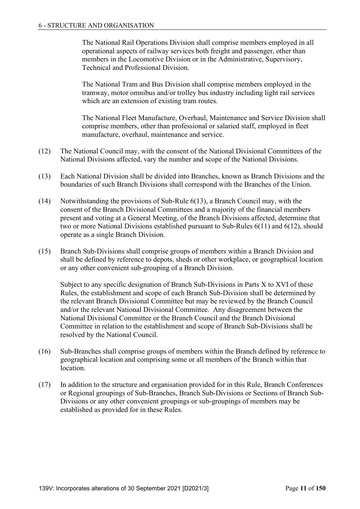The National Rail Operations Division shall comprise members employed in all operational aspects of railway services both freight and passenger, other than members in the Locomotive Division or in the Administrative, Supervisory, Technical and Professional Division.

 The National Tram and Bus Division shall comprise members employed in the tramway, motor omnibus and/or trolley bus industry including light rail services which are an extension of existing tram routes.

 The National Fleet Manufacture, Overhaul, Maintenance and Service Division shall comprise members, other than professional or salaried staff, employed in fleet manufacture, overhaul, maintenance and service.

- (12) The National Council may, with the consent of the National Divisional Committees of the National Divisions affected, vary the number and scope of the National Divisions.
- (13) Each National Division shall be divided into Branches, known as Branch Divisions and the boundaries of such Branch Divisions shall correspond with the Branches of the Union.
- (14) Notwithstanding the provisions of Sub-Rule 6(13), a Branch Council may, with the consent of the Branch Divisional Committees and a majority of the financial members present and voting at a General Meeting, of the Branch Divisions affected, determine that two or more National Divisions established pursuant to Sub-Rules 6(11) and 6(12), should operate as a single Branch Division.
- (15) Branch Sub-Divisions shall comprise groups of members within a Branch Division and shall be defined by reference to depots, sheds or other workplace, or geographical location or any other convenient sub-grouping of a Branch Division.

 Subject to any specific designation of Branch Sub-Divisions in Parts X to XVI of these Rules, the establishment and scope of each Branch Sub-Division shall be determined by the relevant Branch Divisional Committee but may be reviewed by the Branch Council and/or the relevant National Divisional Committee. Any disagreement between the National Divisional Committee or the Branch Council and the Branch Divisional Committee in relation to the establishment and scope of Branch Sub-Divisions shall be resolved by the National Council.

- (16) Sub-Branches shall comprise groups of members within the Branch defined by reference to geographical location and comprising some or all members of the Branch within that location.
- (17) In addition to the structure and organisation provided for in this Rule, Branch Conferences or Regional groupings of Sub-Branches, Branch Sub-Divisions or Sections of Branch Sub-Divisions or any other convenient groupings or sub-groupings of members may be established as provided for in these Rules.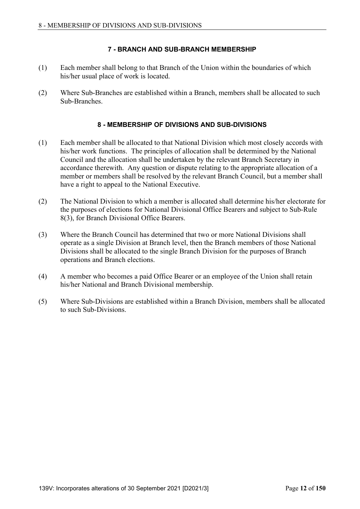# **7 - BRANCH AND SUB-BRANCH MEMBERSHIP**

- (1) Each member shall belong to that Branch of the Union within the boundaries of which his/her usual place of work is located.
- (2) Where Sub-Branches are established within a Branch, members shall be allocated to such Sub-Branches.

## **8 - MEMBERSHIP OF DIVISIONS AND SUB-DIVISIONS**

- (1) Each member shall be allocated to that National Division which most closely accords with his/her work functions. The principles of allocation shall be determined by the National Council and the allocation shall be undertaken by the relevant Branch Secretary in accordance therewith. Any question or dispute relating to the appropriate allocation of a member or members shall be resolved by the relevant Branch Council, but a member shall have a right to appeal to the National Executive.
- (2) The National Division to which a member is allocated shall determine his/her electorate for the purposes of elections for National Divisional Office Bearers and subject to Sub-Rule 8(3), for Branch Divisional Office Bearers.
- (3) Where the Branch Council has determined that two or more National Divisions shall operate as a single Division at Branch level, then the Branch members of those National Divisions shall be allocated to the single Branch Division for the purposes of Branch operations and Branch elections.
- (4) A member who becomes a paid Office Bearer or an employee of the Union shall retain his/her National and Branch Divisional membership.
- (5) Where Sub-Divisions are established within a Branch Division, members shall be allocated to such Sub-Divisions.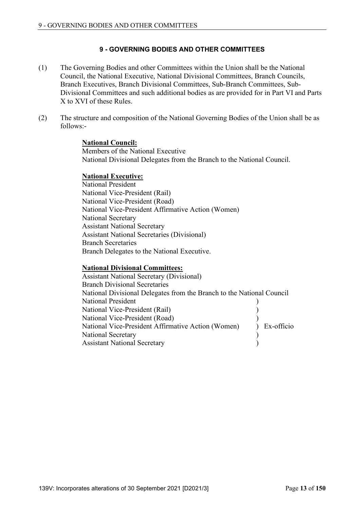# **9 - GOVERNING BODIES AND OTHER COMMITTEES**

- (1) The Governing Bodies and other Committees within the Union shall be the National Council, the National Executive, National Divisional Committees, Branch Councils, Branch Executives, Branch Divisional Committees, Sub-Branch Committees, Sub-Divisional Committees and such additional bodies as are provided for in Part VI and Parts X to XVI of these Rules.
- (2) The structure and composition of the National Governing Bodies of the Union shall be as follows:-

#### **National Council:**

 Members of the National Executive National Divisional Delegates from the Branch to the National Council.

#### **National Executive:**

 National President National Vice-President (Rail) National Vice-President (Road) National Vice-President Affirmative Action (Women) National Secretary Assistant National Secretary Assistant National Secretaries (Divisional) Branch Secretaries Branch Delegates to the National Executive.

## **National Divisional Committees:**

 Assistant National Secretary (Divisional) Branch Divisional Secretaries National Divisional Delegates from the Branch to the National Council National President (1988) National Vice-President (Rail) ) National Vice-President (Road) ) National Vice-President Affirmative Action (Women) ) Ex-officio National Secretary (1992) Assistant National Secretary (1992)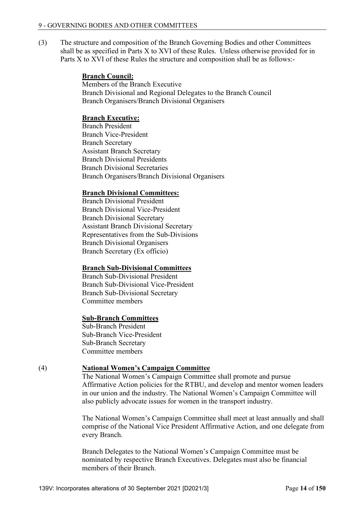(3) The structure and composition of the Branch Governing Bodies and other Committees shall be as specified in Parts X to XVI of these Rules. Unless otherwise provided for in Parts X to XVI of these Rules the structure and composition shall be as follows:-

#### **Branch Council:**

 Members of the Branch Executive Branch Divisional and Regional Delegates to the Branch Council Branch Organisers/Branch Divisional Organisers

## **Branch Executive:**

 Branch President Branch Vice-President Branch Secretary Assistant Branch Secretary Branch Divisional Presidents Branch Divisional Secretaries Branch Organisers/Branch Divisional Organisers

# **Branch Divisional Committees:**

 Branch Divisional President Branch Divisional Vice-President Branch Divisional Secretary Assistant Branch Divisional Secretary Representatives from the Sub-Divisions Branch Divisional Organisers Branch Secretary (Ex officio)

## **Branch Sub-Divisional Committees**

 Branch Sub-Divisional President Branch Sub-Divisional Vice-President Branch Sub-Divisional Secretary Committee members

#### **Sub-Branch Committees**

 Sub-Branch President Sub-Branch Vice-President Sub-Branch Secretary Committee members

## (4) **National Women's Campaign Committee**

 The National Women's Campaign Committee shall promote and pursue Affirmative Action policies for the RTBU, and develop and mentor women leaders in our union and the industry. The National Women's Campaign Committee will also publicly advocate issues for women in the transport industry.

 The National Women's Campaign Committee shall meet at least annually and shall comprise of the National Vice President Affirmative Action, and one delegate from every Branch.

 Branch Delegates to the National Women's Campaign Committee must be nominated by respective Branch Executives. Delegates must also be financial members of their Branch.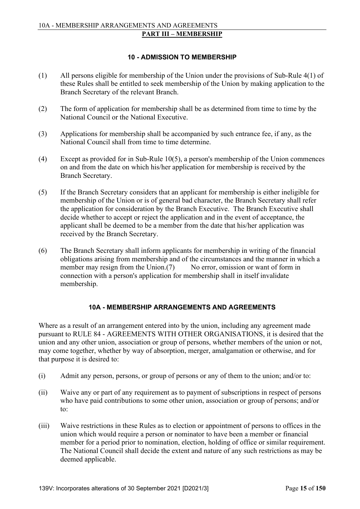# **10 - ADMISSION TO MEMBERSHIP**

- (1) All persons eligible for membership of the Union under the provisions of Sub-Rule 4(1) of these Rules shall be entitled to seek membership of the Union by making application to the Branch Secretary of the relevant Branch.
- (2) The form of application for membership shall be as determined from time to time by the National Council or the National Executive.
- (3) Applications for membership shall be accompanied by such entrance fee, if any, as the National Council shall from time to time determine.
- (4) Except as provided for in Sub-Rule 10(5), a person's membership of the Union commences on and from the date on which his/her application for membership is received by the Branch Secretary.
- (5) If the Branch Secretary considers that an applicant for membership is either ineligible for membership of the Union or is of general bad character, the Branch Secretary shall refer the application for consideration by the Branch Executive. The Branch Executive shall decide whether to accept or reject the application and in the event of acceptance, the applicant shall be deemed to be a member from the date that his/her application was received by the Branch Secretary.
- (6) The Branch Secretary shall inform applicants for membership in writing of the financial obligations arising from membership and of the circumstances and the manner in which a member may resign from the Union.(7) No error, omission or want of form in connection with a person's application for membership shall in itself invalidate membership.

## **10A - MEMBERSHIP ARRANGEMENTS AND AGREEMENTS**

Where as a result of an arrangement entered into by the union, including any agreement made pursuant to RULE 84 - AGREEMENTS WITH OTHER ORGANISATIONS, it is desired that the union and any other union, association or group of persons, whether members of the union or not, may come together, whether by way of absorption, merger, amalgamation or otherwise, and for that purpose it is desired to:

- (i) Admit any person, persons, or group of persons or any of them to the union; and/or to:
- (ii) Waive any or part of any requirement as to payment of subscriptions in respect of persons who have paid contributions to some other union, association or group of persons; and/or to:
- (iii) Waive restrictions in these Rules as to election or appointment of persons to offices in the union which would require a person or nominator to have been a member or financial member for a period prior to nomination, election, holding of office or similar requirement. The National Council shall decide the extent and nature of any such restrictions as may be deemed applicable.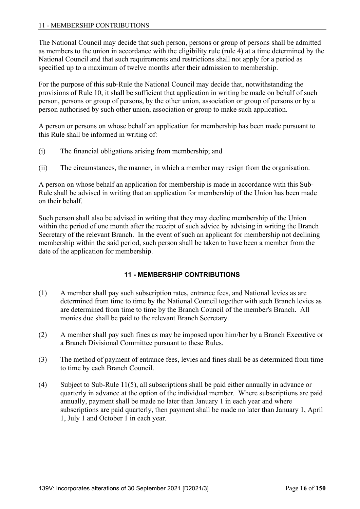The National Council may decide that such person, persons or group of persons shall be admitted as members to the union in accordance with the eligibility rule (rule 4) at a time determined by the National Council and that such requirements and restrictions shall not apply for a period as specified up to a maximum of twelve months after their admission to membership.

For the purpose of this sub-Rule the National Council may decide that, notwithstanding the provisions of Rule 10, it shall be sufficient that application in writing be made on behalf of such person, persons or group of persons, by the other union, association or group of persons or by a person authorised by such other union, association or group to make such application.

A person or persons on whose behalf an application for membership has been made pursuant to this Rule shall be informed in writing of:

- (i) The financial obligations arising from membership; and
- (ii) The circumstances, the manner, in which a member may resign from the organisation.

A person on whose behalf an application for membership is made in accordance with this Sub-Rule shall be advised in writing that an application for membership of the Union has been made on their behalf.

Such person shall also be advised in writing that they may decline membership of the Union within the period of one month after the receipt of such advice by advising in writing the Branch Secretary of the relevant Branch. In the event of such an applicant for membership not declining membership within the said period, such person shall be taken to have been a member from the date of the application for membership.

# **11 - MEMBERSHIP CONTRIBUTIONS**

- (1) A member shall pay such subscription rates, entrance fees, and National levies as are determined from time to time by the National Council together with such Branch levies as are determined from time to time by the Branch Council of the member's Branch. All monies due shall be paid to the relevant Branch Secretary.
- (2) A member shall pay such fines as may be imposed upon him/her by a Branch Executive or a Branch Divisional Committee pursuant to these Rules.
- (3) The method of payment of entrance fees, levies and fines shall be as determined from time to time by each Branch Council.
- (4) Subject to Sub-Rule 11(5), all subscriptions shall be paid either annually in advance or quarterly in advance at the option of the individual member. Where subscriptions are paid annually, payment shall be made no later than January 1 in each year and where subscriptions are paid quarterly, then payment shall be made no later than January 1, April 1, July 1 and October 1 in each year.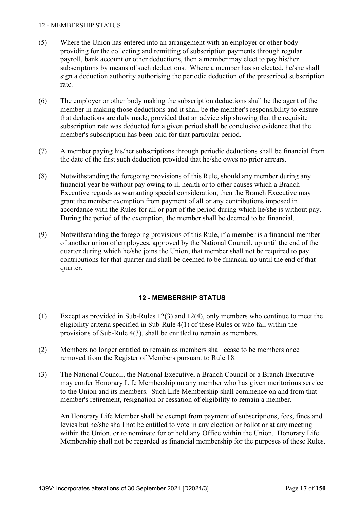#### 12 - MEMBERSHIP STATUS

- (5) Where the Union has entered into an arrangement with an employer or other body providing for the collecting and remitting of subscription payments through regular payroll, bank account or other deductions, then a member may elect to pay his/her subscriptions by means of such deductions. Where a member has so elected, he/she shall sign a deduction authority authorising the periodic deduction of the prescribed subscription rate.
- (6) The employer or other body making the subscription deductions shall be the agent of the member in making those deductions and it shall be the member's responsibility to ensure that deductions are duly made, provided that an advice slip showing that the requisite subscription rate was deducted for a given period shall be conclusive evidence that the member's subscription has been paid for that particular period.
- (7) A member paying his/her subscriptions through periodic deductions shall be financial from the date of the first such deduction provided that he/she owes no prior arrears.
- (8) Notwithstanding the foregoing provisions of this Rule, should any member during any financial year be without pay owing to ill health or to other causes which a Branch Executive regards as warranting special consideration, then the Branch Executive may grant the member exemption from payment of all or any contributions imposed in accordance with the Rules for all or part of the period during which he/she is without pay. During the period of the exemption, the member shall be deemed to be financial.
- (9) Notwithstanding the foregoing provisions of this Rule, if a member is a financial member of another union of employees, approved by the National Council, up until the end of the quarter during which he/she joins the Union, that member shall not be required to pay contributions for that quarter and shall be deemed to be financial up until the end of that quarter.

## **12 - MEMBERSHIP STATUS**

- (1) Except as provided in Sub-Rules 12(3) and 12(4), only members who continue to meet the eligibility criteria specified in Sub-Rule 4(1) of these Rules or who fall within the provisions of Sub-Rule 4(3), shall be entitled to remain as members.
- (2) Members no longer entitled to remain as members shall cease to be members once removed from the Register of Members pursuant to Rule 18.
- (3) The National Council, the National Executive, a Branch Council or a Branch Executive may confer Honorary Life Membership on any member who has given meritorious service to the Union and its members. Such Life Membership shall commence on and from that member's retirement, resignation or cessation of eligibility to remain a member.

 An Honorary Life Member shall be exempt from payment of subscriptions, fees, fines and levies but he/she shall not be entitled to vote in any election or ballot or at any meeting within the Union, or to nominate for or hold any Office within the Union. Honorary Life Membership shall not be regarded as financial membership for the purposes of these Rules.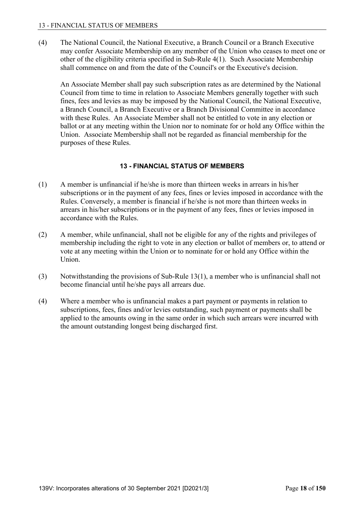(4) The National Council, the National Executive, a Branch Council or a Branch Executive may confer Associate Membership on any member of the Union who ceases to meet one or other of the eligibility criteria specified in Sub-Rule 4(1). Such Associate Membership shall commence on and from the date of the Council's or the Executive's decision.

 An Associate Member shall pay such subscription rates as are determined by the National Council from time to time in relation to Associate Members generally together with such fines, fees and levies as may be imposed by the National Council, the National Executive, a Branch Council, a Branch Executive or a Branch Divisional Committee in accordance with these Rules. An Associate Member shall not be entitled to vote in any election or ballot or at any meeting within the Union nor to nominate for or hold any Office within the Union. Associate Membership shall not be regarded as financial membership for the purposes of these Rules.

# **13 - FINANCIAL STATUS OF MEMBERS**

- (1) A member is unfinancial if he/she is more than thirteen weeks in arrears in his/her subscriptions or in the payment of any fees, fines or levies imposed in accordance with the Rules. Conversely, a member is financial if he/she is not more than thirteen weeks in arrears in his/her subscriptions or in the payment of any fees, fines or levies imposed in accordance with the Rules.
- (2) A member, while unfinancial, shall not be eligible for any of the rights and privileges of membership including the right to vote in any election or ballot of members or, to attend or vote at any meeting within the Union or to nominate for or hold any Office within the Union.
- (3) Notwithstanding the provisions of Sub-Rule 13(1), a member who is unfinancial shall not become financial until he/she pays all arrears due.
- (4) Where a member who is unfinancial makes a part payment or payments in relation to subscriptions, fees, fines and/or levies outstanding, such payment or payments shall be applied to the amounts owing in the same order in which such arrears were incurred with the amount outstanding longest being discharged first.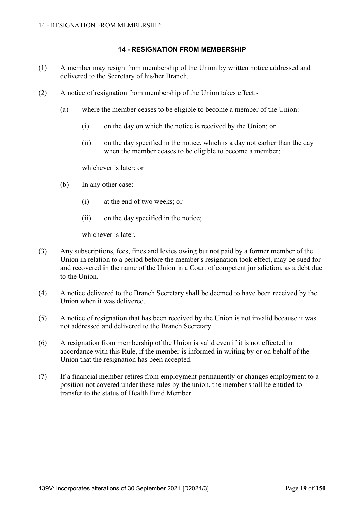## **14 - RESIGNATION FROM MEMBERSHIP**

- (1) A member may resign from membership of the Union by written notice addressed and delivered to the Secretary of his/her Branch.
- (2) A notice of resignation from membership of the Union takes effect:-
	- (a) where the member ceases to be eligible to become a member of the Union:-
		- (i) on the day on which the notice is received by the Union; or
		- (ii) on the day specified in the notice, which is a day not earlier than the day when the member ceases to be eligible to become a member;

whichever is later; or

- (b) In any other case:-
	- (i) at the end of two weeks; or
	- (ii) on the day specified in the notice;

whichever is later.

- (3) Any subscriptions, fees, fines and levies owing but not paid by a former member of the Union in relation to a period before the member's resignation took effect, may be sued for and recovered in the name of the Union in a Court of competent jurisdiction, as a debt due to the Union.
- (4) A notice delivered to the Branch Secretary shall be deemed to have been received by the Union when it was delivered.
- (5) A notice of resignation that has been received by the Union is not invalid because it was not addressed and delivered to the Branch Secretary.
- (6) A resignation from membership of the Union is valid even if it is not effected in accordance with this Rule, if the member is informed in writing by or on behalf of the Union that the resignation has been accepted.
- (7) If a financial member retires from employment permanently or changes employment to a position not covered under these rules by the union, the member shall be entitled to transfer to the status of Health Fund Member.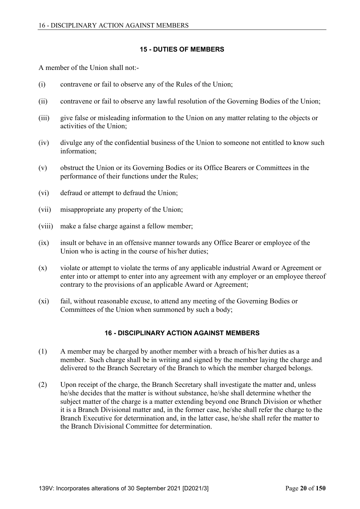## **15 - DUTIES OF MEMBERS**

A member of the Union shall not:-

- (i) contravene or fail to observe any of the Rules of the Union;
- (ii) contravene or fail to observe any lawful resolution of the Governing Bodies of the Union;
- (iii) give false or misleading information to the Union on any matter relating to the objects or activities of the Union;
- (iv) divulge any of the confidential business of the Union to someone not entitled to know such information;
- (v) obstruct the Union or its Governing Bodies or its Office Bearers or Committees in the performance of their functions under the Rules;
- (vi) defraud or attempt to defraud the Union;
- (vii) misappropriate any property of the Union;
- (viii) make a false charge against a fellow member;
- (ix) insult or behave in an offensive manner towards any Office Bearer or employee of the Union who is acting in the course of his/her duties;
- (x) violate or attempt to violate the terms of any applicable industrial Award or Agreement or enter into or attempt to enter into any agreement with any employer or an employee thereof contrary to the provisions of an applicable Award or Agreement;
- (xi) fail, without reasonable excuse, to attend any meeting of the Governing Bodies or Committees of the Union when summoned by such a body;

## **16 - DISCIPLINARY ACTION AGAINST MEMBERS**

- (1) A member may be charged by another member with a breach of his/her duties as a member. Such charge shall be in writing and signed by the member laying the charge and delivered to the Branch Secretary of the Branch to which the member charged belongs.
- (2) Upon receipt of the charge, the Branch Secretary shall investigate the matter and, unless he/she decides that the matter is without substance, he/she shall determine whether the subject matter of the charge is a matter extending beyond one Branch Division or whether it is a Branch Divisional matter and, in the former case, he/she shall refer the charge to the Branch Executive for determination and, in the latter case, he/she shall refer the matter to the Branch Divisional Committee for determination.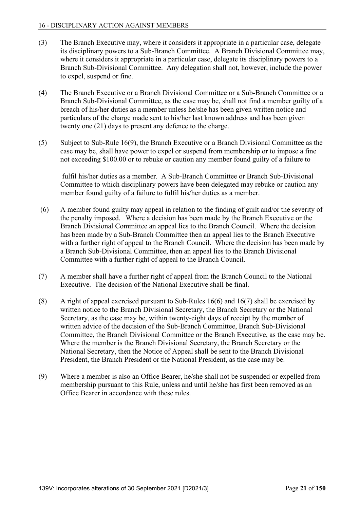- (3) The Branch Executive may, where it considers it appropriate in a particular case, delegate its disciplinary powers to a Sub-Branch Committee. A Branch Divisional Committee may, where it considers it appropriate in a particular case, delegate its disciplinary powers to a Branch Sub-Divisional Committee. Any delegation shall not, however, include the power to expel, suspend or fine.
- (4) The Branch Executive or a Branch Divisional Committee or a Sub-Branch Committee or a Branch Sub-Divisional Committee, as the case may be, shall not find a member guilty of a breach of his/her duties as a member unless he/she has been given written notice and particulars of the charge made sent to his/her last known address and has been given twenty one (21) days to present any defence to the charge.
- (5) Subject to Sub-Rule 16(9), the Branch Executive or a Branch Divisional Committee as the case may be, shall have power to expel or suspend from membership or to impose a fine not exceeding \$100.00 or to rebuke or caution any member found guilty of a failure to

 fulfil his/her duties as a member. A Sub-Branch Committee or Branch Sub-Divisional Committee to which disciplinary powers have been delegated may rebuke or caution any member found guilty of a failure to fulfil his/her duties as a member.

- (6) A member found guilty may appeal in relation to the finding of guilt and/or the severity of the penalty imposed. Where a decision has been made by the Branch Executive or the Branch Divisional Committee an appeal lies to the Branch Council. Where the decision has been made by a Sub-Branch Committee then an appeal lies to the Branch Executive with a further right of appeal to the Branch Council. Where the decision has been made by a Branch Sub-Divisional Committee, then an appeal lies to the Branch Divisional Committee with a further right of appeal to the Branch Council.
- (7) A member shall have a further right of appeal from the Branch Council to the National Executive. The decision of the National Executive shall be final.
- (8) A right of appeal exercised pursuant to Sub-Rules 16(6) and 16(7) shall be exercised by written notice to the Branch Divisional Secretary, the Branch Secretary or the National Secretary, as the case may be, within twenty-eight days of receipt by the member of written advice of the decision of the Sub-Branch Committee, Branch Sub-Divisional Committee, the Branch Divisional Committee or the Branch Executive, as the case may be. Where the member is the Branch Divisional Secretary, the Branch Secretary or the National Secretary, then the Notice of Appeal shall be sent to the Branch Divisional President, the Branch President or the National President, as the case may be.
- (9) Where a member is also an Office Bearer, he/she shall not be suspended or expelled from membership pursuant to this Rule, unless and until he/she has first been removed as an Office Bearer in accordance with these rules.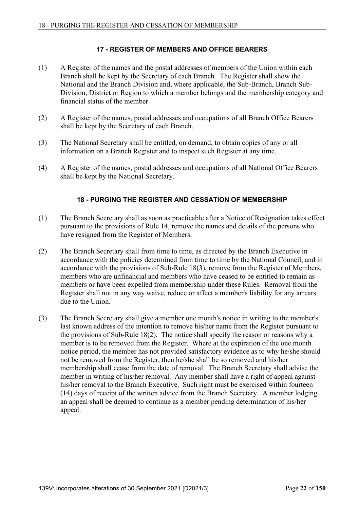# **17 - REGISTER OF MEMBERS AND OFFICE BEARERS**

- (1) A Register of the names and the postal addresses of members of the Union within each Branch shall be kept by the Secretary of each Branch. The Register shall show the National and the Branch Division and, where applicable, the Sub-Branch, Branch Sub-Division, District or Region to which a member belongs and the membership category and financial status of the member.
- (2) A Register of the names, postal addresses and occupations of all Branch Office Bearers shall be kept by the Secretary of each Branch.
- (3) The National Secretary shall be entitled, on demand, to obtain copies of any or all information on a Branch Register and to inspect such Register at any time.
- (4) A Register of the names, postal addresses and occupations of all National Office Bearers shall be kept by the National Secretary.

## **18 - PURGING THE REGISTER AND CESSATION OF MEMBERSHIP**

- (1) The Branch Secretary shall as soon as practicable after a Notice of Resignation takes effect pursuant to the provisions of Rule 14, remove the names and details of the persons who have resigned from the Register of Members.
- (2) The Branch Secretary shall from time to time, as directed by the Branch Executive in accordance with the policies determined from time to time by the National Council, and in accordance with the provisions of Sub-Rule 18(3), remove from the Register of Members, members who are unfinancial and members who have ceased to be entitled to remain as members or have been expelled from membership under these Rules. Removal from the Register shall not in any way waive, reduce or affect a member's liability for any arrears due to the Union.
- (3) The Branch Secretary shall give a member one month's notice in writing to the member's last known address of the intention to remove his/her name from the Register pursuant to the provisions of Sub-Rule 18(2). The notice shall specify the reason or reasons why a member is to be removed from the Register. Where at the expiration of the one month notice period, the member has not provided satisfactory evidence as to why he/she should not be removed from the Register, then he/she shall be so removed and his/her membership shall cease from the date of removal. The Branch Secretary shall advise the member in writing of his/her removal. Any member shall have a right of appeal against his/her removal to the Branch Executive. Such right must be exercised within fourteen (14) days of receipt of the written advice from the Branch Secretary. A member lodging an appeal shall be deemed to continue as a member pending determination of his/her appeal.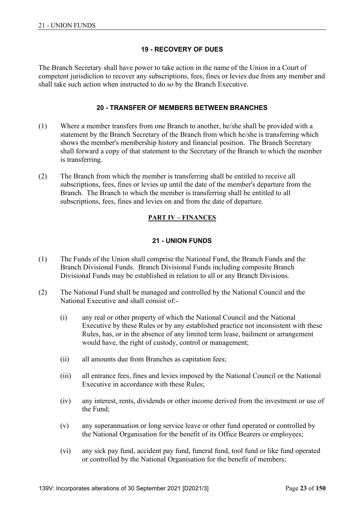# **19 - RECOVERY OF DUES**

The Branch Secretary shall have power to take action in the name of the Union in a Court of competent jurisdiction to recover any subscriptions, fees, fines or levies due from any member and shall take such action when instructed to do so by the Branch Executive.

## **20 - TRANSFER OF MEMBERS BETWEEN BRANCHES**

- (1) Where a member transfers from one Branch to another, he/she shall be provided with a statement by the Branch Secretary of the Branch from which he/she is transferring which shows the member's membership history and financial position. The Branch Secretary shall forward a copy of that statement to the Secretary of the Branch to which the member is transferring.
- (2) The Branch from which the member is transferring shall be entitled to receive all subscriptions, fees, fines or levies up until the date of the member's departure from the Branch. The Branch to which the member is transferring shall be entitled to all subscriptions, fees, fines and levies on and from the date of departure.

# **PART IV – FINANCES**

# **21 - UNION FUNDS**

- (1) The Funds of the Union shall comprise the National Fund, the Branch Funds and the Branch Divisional Funds. Branch Divisional Funds including composite Branch Divisional Funds may be established in relation to all or any Branch Divisions.
- (2) The National Fund shall be managed and controlled by the National Council and the National Executive and shall consist of:-
	- (i) any real or other property of which the National Council and the National Executive by these Rules or by any established practice not inconsistent with these Rules, has, or in the absence of any limited term lease, bailment or arrangement would have, the right of custody, control or management;
	- (ii) all amounts due from Branches as capitation fees;
	- (iii) all entrance fees, fines and levies imposed by the National Council or the National Executive in accordance with these Rules;
	- (iv) any interest, rents, dividends or other income derived from the investment or use of the Fund;
	- (v) any superannuation or long service leave or other fund operated or controlled by the National Organisation for the benefit of its Office Bearers or employees;
	- (vi) any sick pay fund, accident pay fund, funeral fund, tool fund or like fund operated or controlled by the National Organisation for the benefit of members;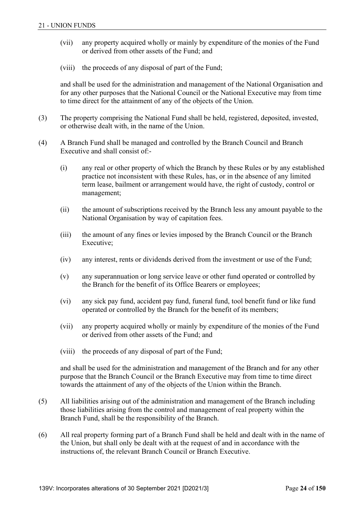- (vii) any property acquired wholly or mainly by expenditure of the monies of the Fund or derived from other assets of the Fund; and
- (viii) the proceeds of any disposal of part of the Fund;

 and shall be used for the administration and management of the National Organisation and for any other purposes that the National Council or the National Executive may from time to time direct for the attainment of any of the objects of the Union.

- (3) The property comprising the National Fund shall be held, registered, deposited, invested, or otherwise dealt with, in the name of the Union.
- (4) A Branch Fund shall be managed and controlled by the Branch Council and Branch Executive and shall consist of:-
	- (i) any real or other property of which the Branch by these Rules or by any established practice not inconsistent with these Rules, has, or in the absence of any limited term lease, bailment or arrangement would have, the right of custody, control or management;
	- (ii) the amount of subscriptions received by the Branch less any amount payable to the National Organisation by way of capitation fees.
	- (iii) the amount of any fines or levies imposed by the Branch Council or the Branch Executive;
	- (iv) any interest, rents or dividends derived from the investment or use of the Fund;
	- (v) any superannuation or long service leave or other fund operated or controlled by the Branch for the benefit of its Office Bearers or employees;
	- (vi) any sick pay fund, accident pay fund, funeral fund, tool benefit fund or like fund operated or controlled by the Branch for the benefit of its members;
	- (vii) any property acquired wholly or mainly by expenditure of the monies of the Fund or derived from other assets of the Fund; and
	- (viii) the proceeds of any disposal of part of the Fund;

 and shall be used for the administration and management of the Branch and for any other purpose that the Branch Council or the Branch Executive may from time to time direct towards the attainment of any of the objects of the Union within the Branch.

- (5) All liabilities arising out of the administration and management of the Branch including those liabilities arising from the control and management of real property within the Branch Fund, shall be the responsibility of the Branch.
- (6) All real property forming part of a Branch Fund shall be held and dealt with in the name of the Union, but shall only be dealt with at the request of and in accordance with the instructions of, the relevant Branch Council or Branch Executive.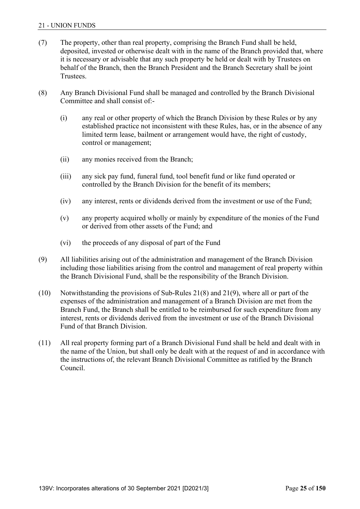- (7) The property, other than real property, comprising the Branch Fund shall be held, deposited, invested or otherwise dealt with in the name of the Branch provided that, where it is necessary or advisable that any such property be held or dealt with by Trustees on behalf of the Branch, then the Branch President and the Branch Secretary shall be joint Trustees.
- (8) Any Branch Divisional Fund shall be managed and controlled by the Branch Divisional Committee and shall consist of:-
	- (i) any real or other property of which the Branch Division by these Rules or by any established practice not inconsistent with these Rules, has, or in the absence of any limited term lease, bailment or arrangement would have, the right of custody, control or management;
	- (ii) any monies received from the Branch;
	- (iii) any sick pay fund, funeral fund, tool benefit fund or like fund operated or controlled by the Branch Division for the benefit of its members;
	- (iv) any interest, rents or dividends derived from the investment or use of the Fund;
	- (v) any property acquired wholly or mainly by expenditure of the monies of the Fund or derived from other assets of the Fund; and
	- (vi) the proceeds of any disposal of part of the Fund
- (9) All liabilities arising out of the administration and management of the Branch Division including those liabilities arising from the control and management of real property within the Branch Divisional Fund, shall be the responsibility of the Branch Division.
- (10) Notwithstanding the provisions of Sub-Rules 21(8) and 21(9), where all or part of the expenses of the administration and management of a Branch Division are met from the Branch Fund, the Branch shall be entitled to be reimbursed for such expenditure from any interest, rents or dividends derived from the investment or use of the Branch Divisional Fund of that Branch Division.
- (11) All real property forming part of a Branch Divisional Fund shall be held and dealt with in the name of the Union, but shall only be dealt with at the request of and in accordance with the instructions of, the relevant Branch Divisional Committee as ratified by the Branch Council.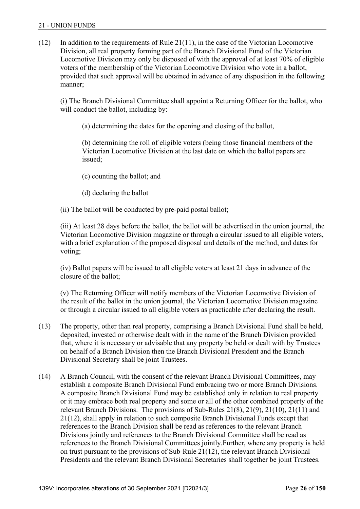$(12)$  In addition to the requirements of Rule 21(11), in the case of the Victorian Locomotive Division, all real property forming part of the Branch Divisional Fund of the Victorian Locomotive Division may only be disposed of with the approval of at least 70% of eligible voters of the membership of the Victorian Locomotive Division who vote in a ballot, provided that such approval will be obtained in advance of any disposition in the following manner;

 (i) The Branch Divisional Committee shall appoint a Returning Officer for the ballot, who will conduct the ballot, including by:

(a) determining the dates for the opening and closing of the ballot,

 (b) determining the roll of eligible voters (being those financial members of the Victorian Locomotive Division at the last date on which the ballot papers are issued;

- (c) counting the ballot; and
- (d) declaring the ballot
- (ii) The ballot will be conducted by pre-paid postal ballot;

 (iii) At least 28 days before the ballot, the ballot will be advertised in the union journal, the Victorian Locomotive Division magazine or through a circular issued to all eligible voters, with a brief explanation of the proposed disposal and details of the method, and dates for voting;

 (iv) Ballot papers will be issued to all eligible voters at least 21 days in advance of the closure of the ballot;

 (v) The Returning Officer will notify members of the Victorian Locomotive Division of the result of the ballot in the union journal, the Victorian Locomotive Division magazine or through a circular issued to all eligible voters as practicable after declaring the result.

- (13) The property, other than real property, comprising a Branch Divisional Fund shall be held, deposited, invested or otherwise dealt with in the name of the Branch Division provided that, where it is necessary or advisable that any property be held or dealt with by Trustees on behalf of a Branch Division then the Branch Divisional President and the Branch Divisional Secretary shall be joint Trustees.
- (14) A Branch Council, with the consent of the relevant Branch Divisional Committees, may establish a composite Branch Divisional Fund embracing two or more Branch Divisions. A composite Branch Divisional Fund may be established only in relation to real property or it may embrace both real property and some or all of the other combined property of the relevant Branch Divisions. The provisions of Sub-Rules  $21(8)$ ,  $21(9)$ ,  $21(10)$ ,  $21(11)$  and 21(12), shall apply in relation to such composite Branch Divisional Funds except that references to the Branch Division shall be read as references to the relevant Branch Divisions jointly and references to the Branch Divisional Committee shall be read as references to the Branch Divisional Committees jointly.Further, where any property is held on trust pursuant to the provisions of Sub-Rule 21(12), the relevant Branch Divisional Presidents and the relevant Branch Divisional Secretaries shall together be joint Trustees.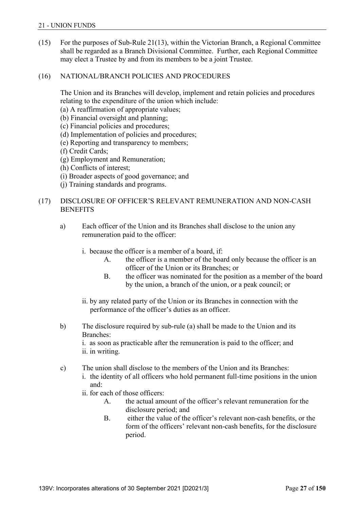(15) For the purposes of Sub-Rule 21(13), within the Victorian Branch, a Regional Committee shall be regarded as a Branch Divisional Committee. Further, each Regional Committee may elect a Trustee by and from its members to be a joint Trustee.

## (16) NATIONAL/BRANCH POLICIES AND PROCEDURES

 The Union and its Branches will develop, implement and retain policies and procedures relating to the expenditure of the union which include:

(a) A reaffirmation of appropriate values;

- (b) Financial oversight and planning;
- (c) Financial policies and procedures;
- (d) Implementation of policies and procedures;
- (e) Reporting and transparency to members;
- (f) Credit Cards;
- (g) Employment and Remuneration;
- (h) Conflicts of interest;
- (i) Broader aspects of good governance; and
- (j) Training standards and programs.

# (17) DISCLOSURE OF OFFICER'S RELEVANT REMUNERATION AND NON-CASH **BENEFITS**

- a) Each officer of the Union and its Branches shall disclose to the union any remuneration paid to the officer:
	- i. because the officer is a member of a board, if:
		- A. the officer is a member of the board only because the officer is an officer of the Union or its Branches; or
		- B. the officer was nominated for the position as a member of the board by the union, a branch of the union, or a peak council; or
	- ii. by any related party of the Union or its Branches in connection with the performance of the officer's duties as an officer.
- b) The disclosure required by sub-rule (a) shall be made to the Union and its Branches:

 i. as soon as practicable after the remuneration is paid to the officer; and ii. in writing.

- c) The union shall disclose to the members of the Union and its Branches:
	- i. the identity of all officers who hold permanent full-time positions in the union and:
	- ii. for each of those officers:
		- A. the actual amount of the officer's relevant remuneration for the disclosure period; and
		- B. either the value of the officer's relevant non-cash benefits, or the form of the officers' relevant non-cash benefits, for the disclosure period.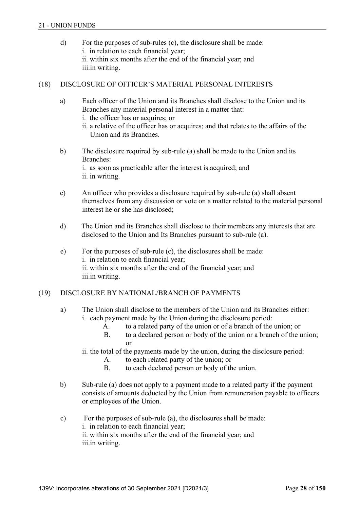d) For the purposes of sub-rules (c), the disclosure shall be made: i. in relation to each financial year; ii. within six months after the end of the financial year; and iii.in writing.

## (18) DISCLOSURE OF OFFICER'S MATERIAL PERSONAL INTERESTS

- a) Each officer of the Union and its Branches shall disclose to the Union and its Branches any material personal interest in a matter that:
	- i. the officer has or acquires; or
	- ii. a relative of the officer has or acquires; and that relates to the affairs of the Union and its Branches.
- b) The disclosure required by sub-rule (a) shall be made to the Union and its Branches: i. as soon as practicable after the interest is acquired; and ii. in writing.
- c) An officer who provides a disclosure required by sub-rule (a) shall absent themselves from any discussion or vote on a matter related to the material personal interest he or she has disclosed;
- d) The Union and its Branches shall disclose to their members any interests that are disclosed to the Union and Its Branches pursuant to sub-rule (a).
- e) For the purposes of sub-rule (c), the disclosures shall be made: i. in relation to each financial year; ii. within six months after the end of the financial year; and iii.in writing.

## (19) DISCLOSURE BY NATIONAL/BRANCH OF PAYMENTS

- a) The Union shall disclose to the members of the Union and its Branches either: i. each payment made by the Union during the disclosure period:
	- A. to a related party of the union or of a branch of the union; or
	- B. to a declared person or body of the union or a branch of the union; or
	- ii. the total of the payments made by the union, during the disclosure period:
		- A. to each related party of the union; or
		- B. to each declared person or body of the union.
- b) Sub-rule (a) does not apply to a payment made to a related party if the payment consists of amounts deducted by the Union from remuneration payable to officers or employees of the Union.
- c) For the purposes of sub-rule (a), the disclosures shall be made: i. in relation to each financial year; ii. within six months after the end of the financial year; and iii.in writing.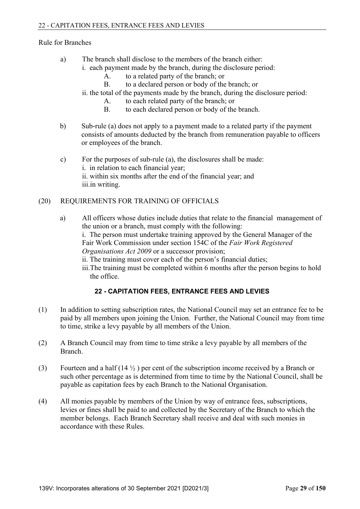## Rule for Branches

- a) The branch shall disclose to the members of the branch either:
	- i. each payment made by the branch, during the disclosure period:
		- A. to a related party of the branch; or
		- B. to a declared person or body of the branch; or
		- ii. the total of the payments made by the branch, during the disclosure period:
			- A. to each related party of the branch; or
			- B. to each declared person or body of the branch.
- b) Sub-rule (a) does not apply to a payment made to a related party if the payment consists of amounts deducted by the branch from remuneration payable to officers or employees of the branch.
- c) For the purposes of sub-rule (a), the disclosures shall be made: i. in relation to each financial year; ii. within six months after the end of the financial year; and iii.in writing.

# (20) REQUIREMENTS FOR TRAINING OF OFFICIALS

 a) All officers whose duties include duties that relate to the financial management of the union or a branch, must comply with the following: i. The person must undertake training approved by the General Manager of the Fair Work Commission under section 154C of the *Fair Work Registered Organisations Act 2009* or a successor provision; ii. The training must cover each of the person's financial duties; iii.The training must be completed within 6 months after the person begins to hold the office.

# **22 - CAPITATION FEES, ENTRANCE FEES AND LEVIES**

- (1) In addition to setting subscription rates, the National Council may set an entrance fee to be paid by all members upon joining the Union. Further, the National Council may from time to time, strike a levy payable by all members of the Union.
- (2) A Branch Council may from time to time strike a levy payable by all members of the Branch.
- (3) Fourteen and a half  $(14 \frac{1}{2})$  per cent of the subscription income received by a Branch or such other percentage as is determined from time to time by the National Council, shall be payable as capitation fees by each Branch to the National Organisation.
- (4) All monies payable by members of the Union by way of entrance fees, subscriptions, levies or fines shall be paid to and collected by the Secretary of the Branch to which the member belongs. Each Branch Secretary shall receive and deal with such monies in accordance with these Rules.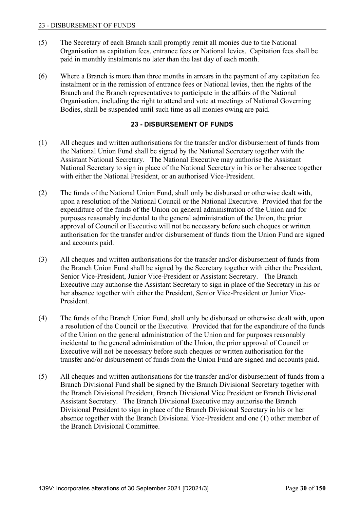- (5) The Secretary of each Branch shall promptly remit all monies due to the National Organisation as capitation fees, entrance fees or National levies. Capitation fees shall be paid in monthly instalments no later than the last day of each month.
- (6) Where a Branch is more than three months in arrears in the payment of any capitation fee instalment or in the remission of entrance fees or National levies, then the rights of the Branch and the Branch representatives to participate in the affairs of the National Organisation, including the right to attend and vote at meetings of National Governing Bodies, shall be suspended until such time as all monies owing are paid.

# **23 - DISBURSEMENT OF FUNDS**

- (1) All cheques and written authorisations for the transfer and/or disbursement of funds from the National Union Fund shall be signed by the National Secretary together with the Assistant National Secretary. The National Executive may authorise the Assistant National Secretary to sign in place of the National Secretary in his or her absence together with either the National President, or an authorised Vice-President.
- (2) The funds of the National Union Fund, shall only be disbursed or otherwise dealt with, upon a resolution of the National Council or the National Executive. Provided that for the expenditure of the funds of the Union on general administration of the Union and for purposes reasonably incidental to the general administration of the Union, the prior approval of Council or Executive will not be necessary before such cheques or written authorisation for the transfer and/or disbursement of funds from the Union Fund are signed and accounts paid.
- (3) All cheques and written authorisations for the transfer and/or disbursement of funds from the Branch Union Fund shall be signed by the Secretary together with either the President, Senior Vice-President, Junior Vice-President or Assistant Secretary. The Branch Executive may authorise the Assistant Secretary to sign in place of the Secretary in his or her absence together with either the President, Senior Vice-President or Junior Vice-President.
- (4) The funds of the Branch Union Fund, shall only be disbursed or otherwise dealt with, upon a resolution of the Council or the Executive. Provided that for the expenditure of the funds of the Union on the general administration of the Union and for purposes reasonably incidental to the general administration of the Union, the prior approval of Council or Executive will not be necessary before such cheques or written authorisation for the transfer and/or disbursement of funds from the Union Fund are signed and accounts paid.
- (5) All cheques and written authorisations for the transfer and/or disbursement of funds from a Branch Divisional Fund shall be signed by the Branch Divisional Secretary together with the Branch Divisional President, Branch Divisional Vice President or Branch Divisional Assistant Secretary. The Branch Divisional Executive may authorise the Branch Divisional President to sign in place of the Branch Divisional Secretary in his or her absence together with the Branch Divisional Vice-President and one (1) other member of the Branch Divisional Committee.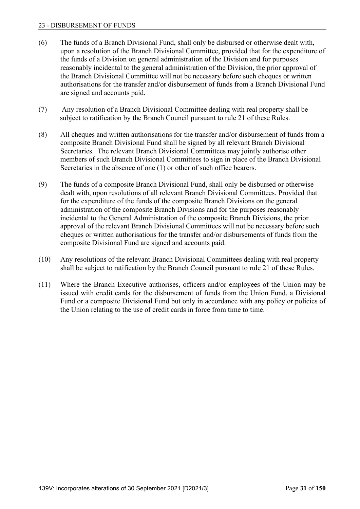#### 23 - DISBURSEMENT OF FUNDS

- (6) The funds of a Branch Divisional Fund, shall only be disbursed or otherwise dealt with, upon a resolution of the Branch Divisional Committee, provided that for the expenditure of the funds of a Division on general administration of the Division and for purposes reasonably incidental to the general administration of the Division, the prior approval of the Branch Divisional Committee will not be necessary before such cheques or written authorisations for the transfer and/or disbursement of funds from a Branch Divisional Fund are signed and accounts paid.
- (7) Any resolution of a Branch Divisional Committee dealing with real property shall be subject to ratification by the Branch Council pursuant to rule 21 of these Rules.
- (8) All cheques and written authorisations for the transfer and/or disbursement of funds from a composite Branch Divisional Fund shall be signed by all relevant Branch Divisional Secretaries. The relevant Branch Divisional Committees may jointly authorise other members of such Branch Divisional Committees to sign in place of the Branch Divisional Secretaries in the absence of one (1) or other of such office bearers.
- (9) The funds of a composite Branch Divisional Fund, shall only be disbursed or otherwise dealt with, upon resolutions of all relevant Branch Divisional Committees. Provided that for the expenditure of the funds of the composite Branch Divisions on the general administration of the composite Branch Divisions and for the purposes reasonably incidental to the General Administration of the composite Branch Divisions, the prior approval of the relevant Branch Divisional Committees will not be necessary before such cheques or written authorisations for the transfer and/or disbursements of funds from the composite Divisional Fund are signed and accounts paid.
- (10) Any resolutions of the relevant Branch Divisional Committees dealing with real property shall be subject to ratification by the Branch Council pursuant to rule 21 of these Rules.
- (11) Where the Branch Executive authorises, officers and/or employees of the Union may be issued with credit cards for the disbursement of funds from the Union Fund, a Divisional Fund or a composite Divisional Fund but only in accordance with any policy or policies of the Union relating to the use of credit cards in force from time to time.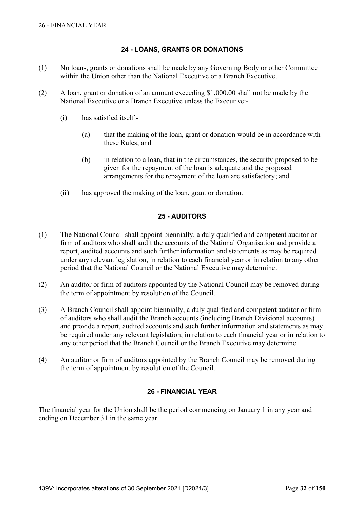## **24 - LOANS, GRANTS OR DONATIONS**

- (1) No loans, grants or donations shall be made by any Governing Body or other Committee within the Union other than the National Executive or a Branch Executive.
- (2) A loan, grant or donation of an amount exceeding \$1,000.00 shall not be made by the National Executive or a Branch Executive unless the Executive:-
	- (i) has satisfied itself:-
		- (a) that the making of the loan, grant or donation would be in accordance with these Rules; and
		- (b) in relation to a loan, that in the circumstances, the security proposed to be given for the repayment of the loan is adequate and the proposed arrangements for the repayment of the loan are satisfactory; and
	- (ii) has approved the making of the loan, grant or donation.

### **25 - AUDITORS**

- (1) The National Council shall appoint biennially, a duly qualified and competent auditor or firm of auditors who shall audit the accounts of the National Organisation and provide a report, audited accounts and such further information and statements as may be required under any relevant legislation, in relation to each financial year or in relation to any other period that the National Council or the National Executive may determine.
- (2) An auditor or firm of auditors appointed by the National Council may be removed during the term of appointment by resolution of the Council.
- (3) A Branch Council shall appoint biennially, a duly qualified and competent auditor or firm of auditors who shall audit the Branch accounts (including Branch Divisional accounts) and provide a report, audited accounts and such further information and statements as may be required under any relevant legislation, in relation to each financial year or in relation to any other period that the Branch Council or the Branch Executive may determine.
- (4) An auditor or firm of auditors appointed by the Branch Council may be removed during the term of appointment by resolution of the Council.

## **26 - FINANCIAL YEAR**

The financial year for the Union shall be the period commencing on January 1 in any year and ending on December 31 in the same year.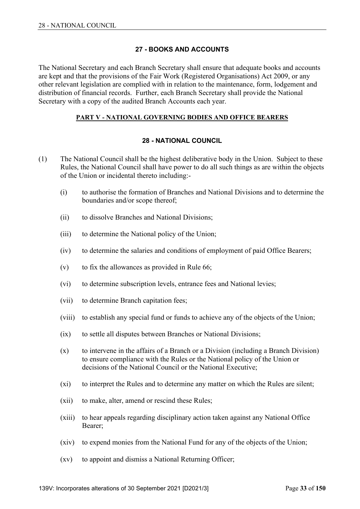### **27 - BOOKS AND ACCOUNTS**

The National Secretary and each Branch Secretary shall ensure that adequate books and accounts are kept and that the provisions of the Fair Work (Registered Organisations) Act 2009, or any other relevant legislation are complied with in relation to the maintenance, form, lodgement and distribution of financial records. Further, each Branch Secretary shall provide the National Secretary with a copy of the audited Branch Accounts each year.

#### **PART V - NATIONAL GOVERNING BODIES AND OFFICE BEARERS**

#### **28 - NATIONAL COUNCIL**

- (1) The National Council shall be the highest deliberative body in the Union. Subject to these Rules, the National Council shall have power to do all such things as are within the objects of the Union or incidental thereto including:-
	- (i) to authorise the formation of Branches and National Divisions and to determine the boundaries and/or scope thereof;
	- (ii) to dissolve Branches and National Divisions;
	- (iii) to determine the National policy of the Union;
	- (iv) to determine the salaries and conditions of employment of paid Office Bearers;
	- (v) to fix the allowances as provided in Rule 66;
	- (vi) to determine subscription levels, entrance fees and National levies;
	- (vii) to determine Branch capitation fees;
	- (viii) to establish any special fund or funds to achieve any of the objects of the Union;
	- (ix) to settle all disputes between Branches or National Divisions;
	- (x) to intervene in the affairs of a Branch or a Division (including a Branch Division) to ensure compliance with the Rules or the National policy of the Union or decisions of the National Council or the National Executive;
	- (xi) to interpret the Rules and to determine any matter on which the Rules are silent;
	- (xii) to make, alter, amend or rescind these Rules;
	- (xiii) to hear appeals regarding disciplinary action taken against any National Office Bearer;
	- (xiv) to expend monies from the National Fund for any of the objects of the Union;
	- (xv) to appoint and dismiss a National Returning Officer;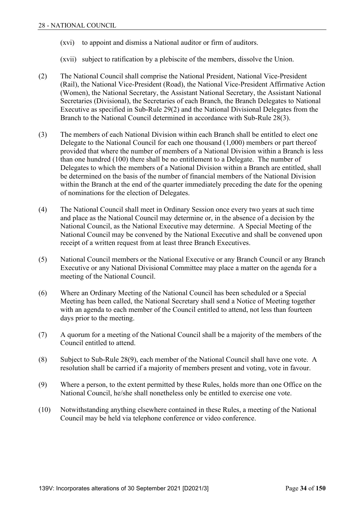- (xvi) to appoint and dismiss a National auditor or firm of auditors.
- (xvii) subject to ratification by a plebiscite of the members, dissolve the Union.
- (2) The National Council shall comprise the National President, National Vice-President (Rail), the National Vice-President (Road), the National Vice-President Affirmative Action (Women), the National Secretary, the Assistant National Secretary, the Assistant National Secretaries (Divisional), the Secretaries of each Branch, the Branch Delegates to National Executive as specified in Sub-Rule 29(2) and the National Divisional Delegates from the Branch to the National Council determined in accordance with Sub-Rule 28(3).
- (3) The members of each National Division within each Branch shall be entitled to elect one Delegate to the National Council for each one thousand (1,000) members or part thereof provided that where the number of members of a National Division within a Branch is less than one hundred (100) there shall be no entitlement to a Delegate. The number of Delegates to which the members of a National Division within a Branch are entitled, shall be determined on the basis of the number of financial members of the National Division within the Branch at the end of the quarter immediately preceding the date for the opening of nominations for the election of Delegates.
- (4) The National Council shall meet in Ordinary Session once every two years at such time and place as the National Council may determine or, in the absence of a decision by the National Council, as the National Executive may determine. A Special Meeting of the National Council may be convened by the National Executive and shall be convened upon receipt of a written request from at least three Branch Executives.
- (5) National Council members or the National Executive or any Branch Council or any Branch Executive or any National Divisional Committee may place a matter on the agenda for a meeting of the National Council.
- (6) Where an Ordinary Meeting of the National Council has been scheduled or a Special Meeting has been called, the National Secretary shall send a Notice of Meeting together with an agenda to each member of the Council entitled to attend, not less than fourteen days prior to the meeting.
- (7) A quorum for a meeting of the National Council shall be a majority of the members of the Council entitled to attend.
- (8) Subject to Sub-Rule 28(9), each member of the National Council shall have one vote. A resolution shall be carried if a majority of members present and voting, vote in favour.
- (9) Where a person, to the extent permitted by these Rules, holds more than one Office on the National Council, he/she shall nonetheless only be entitled to exercise one vote.
- (10) Notwithstanding anything elsewhere contained in these Rules, a meeting of the National Council may be held via telephone conference or video conference.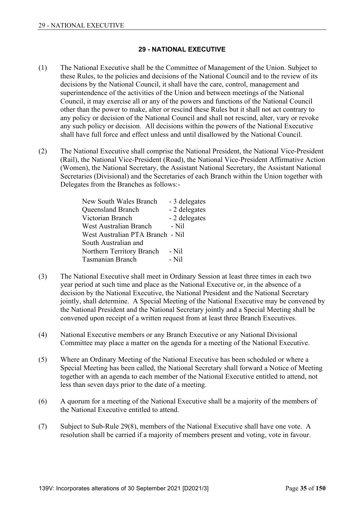### **29 - NATIONAL EXECUTIVE**

- (1) The National Executive shall be the Committee of Management of the Union. Subject to these Rules, to the policies and decisions of the National Council and to the review of its decisions by the National Council, it shall have the care, control, management and superintendence of the activities of the Union and between meetings of the National Council, it may exercise all or any of the powers and functions of the National Council other than the power to make, alter or rescind these Rules but it shall not act contrary to any policy or decision of the National Council and shall not rescind, alter, vary or revoke any such policy or decision. All decisions within the powers of the National Executive shall have full force and effect unless and until disallowed by the National Council.
- (2) The National Executive shall comprise the National President, the National Vice-President (Rail), the National Vice-President (Road), the National Vice-President Affirmative Action (Women), the National Secretary, the Assistant National Secretary, the Assistant National Secretaries (Divisional) and the Secretaries of each Branch within the Union together with Delegates from the Branches as follows:-

| New South Wales Branch           | - 3 delegates |
|----------------------------------|---------------|
| Queensland Branch                | - 2 delegates |
| Victorian Branch                 | - 2 delegates |
| West Australian Branch           | - Nil         |
| West Australian PTA Branch - Nil |               |
| South Australian and             |               |
| Northern Territory Branch        | - Nil         |
| <b>Tasmanian Branch</b>          | - Nil         |

- (3) The National Executive shall meet in Ordinary Session at least three times in each two year period at such time and place as the National Executive or, in the absence of a decision by the National Executive, the National President and the National Secretary jointly, shall determine. A Special Meeting of the National Executive may be convened by the National President and the National Secretary jointly and a Special Meeting shall be convened upon receipt of a written request from at least three Branch Executives.
- (4) National Executive members or any Branch Executive or any National Divisional Committee may place a matter on the agenda for a meeting of the National Executive.
- (5) Where an Ordinary Meeting of the National Executive has been scheduled or where a Special Meeting has been called, the National Secretary shall forward a Notice of Meeting together with an agenda to each member of the National Executive entitled to attend, not less than seven days prior to the date of a meeting.
- (6) A quorum for a meeting of the National Executive shall be a majority of the members of the National Executive entitled to attend.
- (7) Subject to Sub-Rule 29(8), members of the National Executive shall have one vote. A resolution shall be carried if a majority of members present and voting, vote in favour.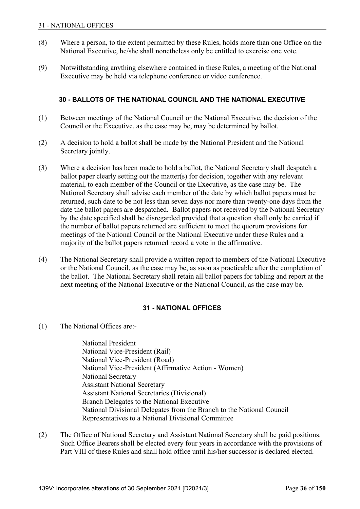- (8) Where a person, to the extent permitted by these Rules, holds more than one Office on the National Executive, he/she shall nonetheless only be entitled to exercise one vote.
- (9) Notwithstanding anything elsewhere contained in these Rules, a meeting of the National Executive may be held via telephone conference or video conference.

### **30 - BALLOTS OF THE NATIONAL COUNCIL AND THE NATIONAL EXECUTIVE**

- (1) Between meetings of the National Council or the National Executive, the decision of the Council or the Executive, as the case may be, may be determined by ballot.
- (2) A decision to hold a ballot shall be made by the National President and the National Secretary jointly.
- (3) Where a decision has been made to hold a ballot, the National Secretary shall despatch a ballot paper clearly setting out the matter(s) for decision, together with any relevant material, to each member of the Council or the Executive, as the case may be. The National Secretary shall advise each member of the date by which ballot papers must be returned, such date to be not less than seven days nor more than twenty-one days from the date the ballot papers are despatched. Ballot papers not received by the National Secretary by the date specified shall be disregarded provided that a question shall only be carried if the number of ballot papers returned are sufficient to meet the quorum provisions for meetings of the National Council or the National Executive under these Rules and a majority of the ballot papers returned record a vote in the affirmative.
- (4) The National Secretary shall provide a written report to members of the National Executive or the National Council, as the case may be, as soon as practicable after the completion of the ballot. The National Secretary shall retain all ballot papers for tabling and report at the next meeting of the National Executive or the National Council, as the case may be.

### **31 - NATIONAL OFFICES**

(1) The National Offices are:-

 National President National Vice-President (Rail) National Vice-President (Road) National Vice-President (Affirmative Action - Women) National Secretary Assistant National Secretary Assistant National Secretaries (Divisional) Branch Delegates to the National Executive National Divisional Delegates from the Branch to the National Council Representatives to a National Divisional Committee

(2) The Office of National Secretary and Assistant National Secretary shall be paid positions. Such Office Bearers shall be elected every four years in accordance with the provisions of Part VIII of these Rules and shall hold office until his/her successor is declared elected.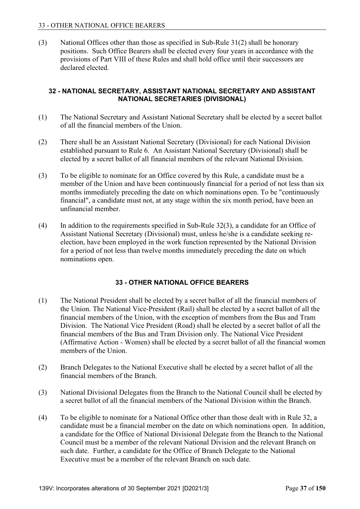(3) National Offices other than those as specified in Sub-Rule 31(2) shall be honorary positions. Such Office Bearers shall be elected every four years in accordance with the provisions of Part VIII of these Rules and shall hold office until their successors are declared elected.

### **32 - NATIONAL SECRETARY, ASSISTANT NATIONAL SECRETARY AND ASSISTANT NATIONAL SECRETARIES (DIVISIONAL)**

- (1) The National Secretary and Assistant National Secretary shall be elected by a secret ballot of all the financial members of the Union.
- (2) There shall be an Assistant National Secretary (Divisional) for each National Division established pursuant to Rule 6. An Assistant National Secretary (Divisional) shall be elected by a secret ballot of all financial members of the relevant National Division.
- (3) To be eligible to nominate for an Office covered by this Rule, a candidate must be a member of the Union and have been continuously financial for a period of not less than six months immediately preceding the date on which nominations open. To be "continuously financial", a candidate must not, at any stage within the six month period, have been an unfinancial member.
- $(4)$  In addition to the requirements specified in Sub-Rule 32 $(3)$ , a candidate for an Office of Assistant National Secretary (Divisional) must, unless he/she is a candidate seeking reelection, have been employed in the work function represented by the National Division for a period of not less than twelve months immediately preceding the date on which nominations open.

## **33 - OTHER NATIONAL OFFICE BEARERS**

- (1) The National President shall be elected by a secret ballot of all the financial members of the Union. The National Vice-President (Rail) shall be elected by a secret ballot of all the financial members of the Union, with the exception of members from the Bus and Tram Division. The National Vice President (Road) shall be elected by a secret ballot of all the financial members of the Bus and Tram Division only. The National Vice President (Affirmative Action - Women) shall be elected by a secret ballot of all the financial women members of the Union.
- (2) Branch Delegates to the National Executive shall be elected by a secret ballot of all the financial members of the Branch.
- (3) National Divisional Delegates from the Branch to the National Council shall be elected by a secret ballot of all the financial members of the National Division within the Branch.
- (4) To be eligible to nominate for a National Office other than those dealt with in Rule 32, a candidate must be a financial member on the date on which nominations open. In addition, a candidate for the Office of National Divisional Delegate from the Branch to the National Council must be a member of the relevant National Division and the relevant Branch on such date. Further, a candidate for the Office of Branch Delegate to the National Executive must be a member of the relevant Branch on such date.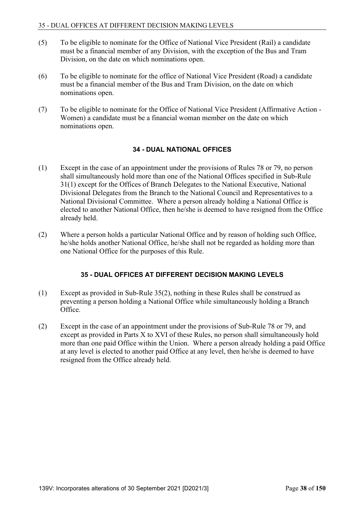- (5) To be eligible to nominate for the Office of National Vice President (Rail) a candidate must be a financial member of any Division, with the exception of the Bus and Tram Division, on the date on which nominations open.
- (6) To be eligible to nominate for the office of National Vice President (Road) a candidate must be a financial member of the Bus and Tram Division, on the date on which nominations open.
- (7) To be eligible to nominate for the Office of National Vice President (Affirmative Action Women) a candidate must be a financial woman member on the date on which nominations open.

#### **34 - DUAL NATIONAL OFFICES**

- (1) Except in the case of an appointment under the provisions of Rules 78 or 79, no person shall simultaneously hold more than one of the National Offices specified in Sub-Rule 31(1) except for the Offices of Branch Delegates to the National Executive, National Divisional Delegates from the Branch to the National Council and Representatives to a National Divisional Committee. Where a person already holding a National Office is elected to another National Office, then he/she is deemed to have resigned from the Office already held.
- (2) Where a person holds a particular National Office and by reason of holding such Office, he/she holds another National Office, he/she shall not be regarded as holding more than one National Office for the purposes of this Rule.

#### **35 - DUAL OFFICES AT DIFFERENT DECISION MAKING LEVELS**

- (1) Except as provided in Sub-Rule 35(2), nothing in these Rules shall be construed as preventing a person holding a National Office while simultaneously holding a Branch Office.
- (2) Except in the case of an appointment under the provisions of Sub-Rule 78 or 79, and except as provided in Parts X to XVI of these Rules, no person shall simultaneously hold more than one paid Office within the Union. Where a person already holding a paid Office at any level is elected to another paid Office at any level, then he/she is deemed to have resigned from the Office already held.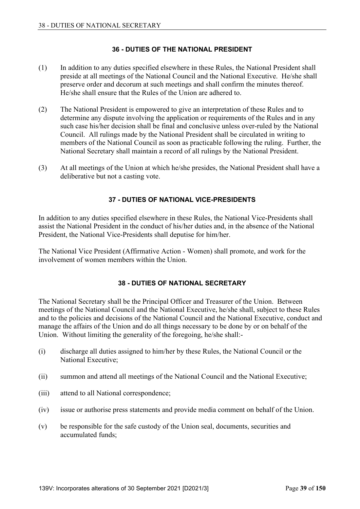### **36 - DUTIES OF THE NATIONAL PRESIDENT**

- (1) In addition to any duties specified elsewhere in these Rules, the National President shall preside at all meetings of the National Council and the National Executive. He/she shall preserve order and decorum at such meetings and shall confirm the minutes thereof. He/she shall ensure that the Rules of the Union are adhered to.
- (2) The National President is empowered to give an interpretation of these Rules and to determine any dispute involving the application or requirements of the Rules and in any such case his/her decision shall be final and conclusive unless over-ruled by the National Council. All rulings made by the National President shall be circulated in writing to members of the National Council as soon as practicable following the ruling. Further, the National Secretary shall maintain a record of all rulings by the National President.
- (3) At all meetings of the Union at which he/she presides, the National President shall have a deliberative but not a casting vote.

### **37 - DUTIES OF NATIONAL VICE-PRESIDENTS**

In addition to any duties specified elsewhere in these Rules, the National Vice-Presidents shall assist the National President in the conduct of his/her duties and, in the absence of the National President, the National Vice-Presidents shall deputise for him/her.

The National Vice President (Affirmative Action - Women) shall promote, and work for the involvement of women members within the Union.

#### **38 - DUTIES OF NATIONAL SECRETARY**

The National Secretary shall be the Principal Officer and Treasurer of the Union. Between meetings of the National Council and the National Executive, he/she shall, subject to these Rules and to the policies and decisions of the National Council and the National Executive, conduct and manage the affairs of the Union and do all things necessary to be done by or on behalf of the Union. Without limiting the generality of the foregoing, he/she shall:-

- (i) discharge all duties assigned to him/her by these Rules, the National Council or the National Executive;
- (ii) summon and attend all meetings of the National Council and the National Executive;
- (iii) attend to all National correspondence;
- (iv) issue or authorise press statements and provide media comment on behalf of the Union.
- (v) be responsible for the safe custody of the Union seal, documents, securities and accumulated funds;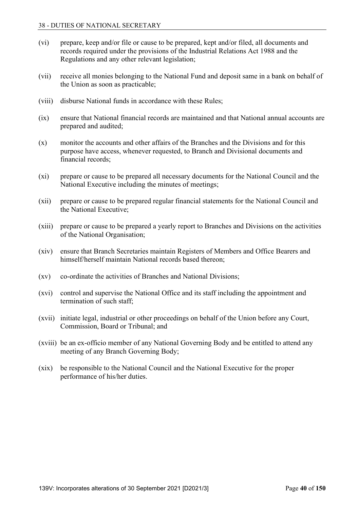- (vi) prepare, keep and/or file or cause to be prepared, kept and/or filed, all documents and records required under the provisions of the Industrial Relations Act 1988 and the Regulations and any other relevant legislation;
- (vii) receive all monies belonging to the National Fund and deposit same in a bank on behalf of the Union as soon as practicable;
- (viii) disburse National funds in accordance with these Rules;
- (ix) ensure that National financial records are maintained and that National annual accounts are prepared and audited;
- (x) monitor the accounts and other affairs of the Branches and the Divisions and for this purpose have access, whenever requested, to Branch and Divisional documents and financial records;
- (xi) prepare or cause to be prepared all necessary documents for the National Council and the National Executive including the minutes of meetings;
- (xii) prepare or cause to be prepared regular financial statements for the National Council and the National Executive;
- (xiii) prepare or cause to be prepared a yearly report to Branches and Divisions on the activities of the National Organisation;
- (xiv) ensure that Branch Secretaries maintain Registers of Members and Office Bearers and himself/herself maintain National records based thereon;
- (xv) co-ordinate the activities of Branches and National Divisions;
- (xvi) control and supervise the National Office and its staff including the appointment and termination of such staff;
- (xvii) initiate legal, industrial or other proceedings on behalf of the Union before any Court, Commission, Board or Tribunal; and
- (xviii) be an ex-officio member of any National Governing Body and be entitled to attend any meeting of any Branch Governing Body;
- (xix) be responsible to the National Council and the National Executive for the proper performance of his/her duties.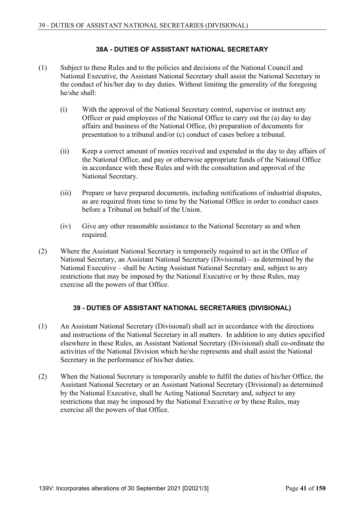### **38A - DUTIES OF ASSISTANT NATIONAL SECRETARY**

- (1) Subject to these Rules and to the policies and decisions of the National Council and National Executive, the Assistant National Secretary shall assist the National Secretary in the conduct of his/her day to day duties. Without limiting the generality of the foregoing he/she shall:
	- (i) With the approval of the National Secretary control, supervise or instruct any Officer or paid employees of the National Office to carry out the (a) day to day affairs and business of the National Office, (b) preparation of documents for presentation to a tribunal and/or (c) conduct of cases before a tribunal.
	- (ii) Keep a correct amount of monies received and expended in the day to day affairs of the National Office, and pay or otherwise appropriate funds of the National Office in accordance with these Rules and with the consultation and approval of the National Secretary.
	- (iii) Prepare or have prepared documents, including notifications of industrial disputes, as are required from time to time by the National Office in order to conduct cases before a Tribunal on behalf of the Union.
	- (iv) Give any other reasonable assistance to the National Secretary as and when required.
- (2) Where the Assistant National Secretary is temporarily required to act in the Office of National Secretary, an Assistant National Secretary (Divisional) – as determined by the National Executive – shall be Acting Assistant National Secretary and, subject to any restrictions that may be imposed by the National Executive or by these Rules, may exercise all the powers of that Office.

## **39 - DUTIES OF ASSISTANT NATIONAL SECRETARIES (DIVISIONAL)**

- (1) An Assistant National Secretary (Divisional) shall act in accordance with the directions and instructions of the National Secretary in all matters. In addition to any duties specified elsewhere in these Rules, an Assistant National Secretary (Divisional) shall co-ordinate the activities of the National Division which he/she represents and shall assist the National Secretary in the performance of his/her duties.
- (2) When the National Secretary is temporarily unable to fulfil the duties of his/her Office, the Assistant National Secretary or an Assistant National Secretary (Divisional) as determined by the National Executive, shall be Acting National Secretary and, subject to any restrictions that may be imposed by the National Executive or by these Rules, may exercise all the powers of that Office.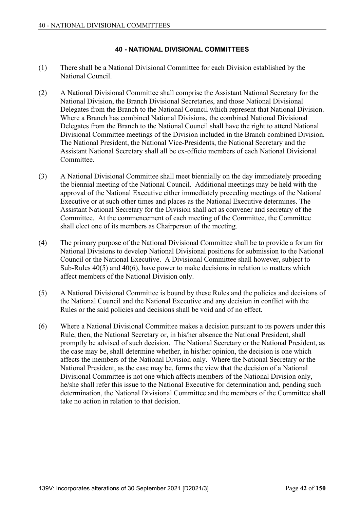## **40 - NATIONAL DIVISIONAL COMMITTEES**

- (1) There shall be a National Divisional Committee for each Division established by the National Council.
- (2) A National Divisional Committee shall comprise the Assistant National Secretary for the National Division, the Branch Divisional Secretaries, and those National Divisional Delegates from the Branch to the National Council which represent that National Division. Where a Branch has combined National Divisions, the combined National Divisional Delegates from the Branch to the National Council shall have the right to attend National Divisional Committee meetings of the Division included in the Branch combined Division. The National President, the National Vice-Presidents, the National Secretary and the Assistant National Secretary shall all be ex-officio members of each National Divisional Committee.
- (3) A National Divisional Committee shall meet biennially on the day immediately preceding the biennial meeting of the National Council. Additional meetings may be held with the approval of the National Executive either immediately preceding meetings of the National Executive or at such other times and places as the National Executive determines. The Assistant National Secretary for the Division shall act as convener and secretary of the Committee. At the commencement of each meeting of the Committee, the Committee shall elect one of its members as Chairperson of the meeting.
- (4) The primary purpose of the National Divisional Committee shall be to provide a forum for National Divisions to develop National Divisional positions for submission to the National Council or the National Executive. A Divisional Committee shall however, subject to Sub-Rules 40(5) and 40(6), have power to make decisions in relation to matters which affect members of the National Division only.
- (5) A National Divisional Committee is bound by these Rules and the policies and decisions of the National Council and the National Executive and any decision in conflict with the Rules or the said policies and decisions shall be void and of no effect.
- (6) Where a National Divisional Committee makes a decision pursuant to its powers under this Rule, then, the National Secretary or, in his/her absence the National President, shall promptly be advised of such decision. The National Secretary or the National President, as the case may be, shall determine whether, in his/her opinion, the decision is one which affects the members of the National Division only. Where the National Secretary or the National President, as the case may be, forms the view that the decision of a National Divisional Committee is not one which affects members of the National Division only, he/she shall refer this issue to the National Executive for determination and, pending such determination, the National Divisional Committee and the members of the Committee shall take no action in relation to that decision.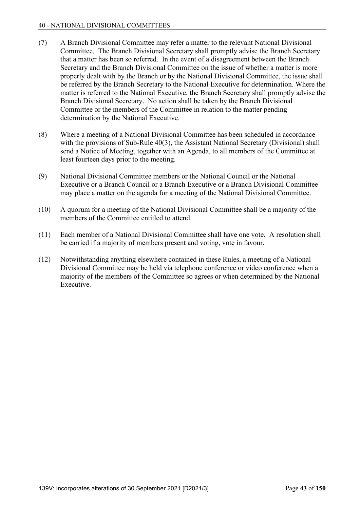#### 40 - NATIONAL DIVISIONAL COMMITTEES

- (7) A Branch Divisional Committee may refer a matter to the relevant National Divisional Committee. The Branch Divisional Secretary shall promptly advise the Branch Secretary that a matter has been so referred. In the event of a disagreement between the Branch Secretary and the Branch Divisional Committee on the issue of whether a matter is more properly dealt with by the Branch or by the National Divisional Committee, the issue shall be referred by the Branch Secretary to the National Executive for determination. Where the matter is referred to the National Executive, the Branch Secretary shall promptly advise the Branch Divisional Secretary. No action shall be taken by the Branch Divisional Committee or the members of the Committee in relation to the matter pending determination by the National Executive.
- (8) Where a meeting of a National Divisional Committee has been scheduled in accordance with the provisions of Sub-Rule 40(3), the Assistant National Secretary (Divisional) shall send a Notice of Meeting, together with an Agenda, to all members of the Committee at least fourteen days prior to the meeting.
- (9) National Divisional Committee members or the National Council or the National Executive or a Branch Council or a Branch Executive or a Branch Divisional Committee may place a matter on the agenda for a meeting of the National Divisional Committee.
- (10) A quorum for a meeting of the National Divisional Committee shall be a majority of the members of the Committee entitled to attend.
- (11) Each member of a National Divisional Committee shall have one vote. A resolution shall be carried if a majority of members present and voting, vote in favour.
- (12) Notwithstanding anything elsewhere contained in these Rules, a meeting of a National Divisional Committee may be held via telephone conference or video conference when a majority of the members of the Committee so agrees or when determined by the National Executive.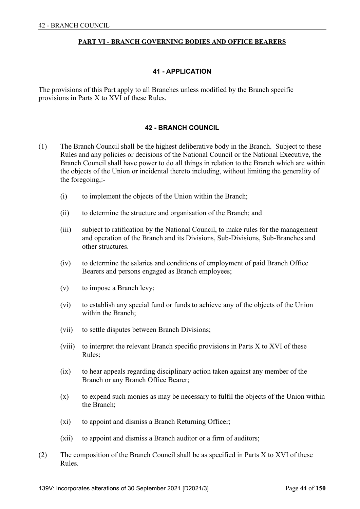#### **PART VI - BRANCH GOVERNING BODIES AND OFFICE BEARERS**

#### **41 - APPLICATION**

The provisions of this Part apply to all Branches unless modified by the Branch specific provisions in Parts X to XVI of these Rules.

#### **42 - BRANCH COUNCIL**

- (1) The Branch Council shall be the highest deliberative body in the Branch. Subject to these Rules and any policies or decisions of the National Council or the National Executive, the Branch Council shall have power to do all things in relation to the Branch which are within the objects of the Union or incidental thereto including, without limiting the generality of the foregoing,:-
	- (i) to implement the objects of the Union within the Branch;
	- (ii) to determine the structure and organisation of the Branch; and
	- (iii) subject to ratification by the National Council, to make rules for the management and operation of the Branch and its Divisions, Sub-Divisions, Sub-Branches and other structures.
	- (iv) to determine the salaries and conditions of employment of paid Branch Office Bearers and persons engaged as Branch employees;
	- (v) to impose a Branch levy;
	- (vi) to establish any special fund or funds to achieve any of the objects of the Union within the Branch;
	- (vii) to settle disputes between Branch Divisions;
	- (viii) to interpret the relevant Branch specific provisions in Parts X to XVI of these Rules;
	- (ix) to hear appeals regarding disciplinary action taken against any member of the Branch or any Branch Office Bearer;
	- (x) to expend such monies as may be necessary to fulfil the objects of the Union within the Branch;
	- (xi) to appoint and dismiss a Branch Returning Officer;
	- (xii) to appoint and dismiss a Branch auditor or a firm of auditors;
- (2) The composition of the Branch Council shall be as specified in Parts X to XVI of these Rules.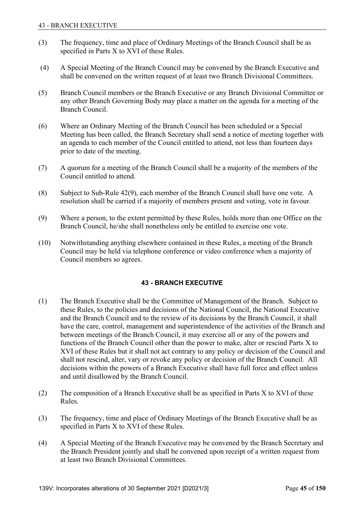- (3) The frequency, time and place of Ordinary Meetings of the Branch Council shall be as specified in Parts X to XVI of these Rules.
- (4) A Special Meeting of the Branch Council may be convened by the Branch Executive and shall be convened on the written request of at least two Branch Divisional Committees.
- (5) Branch Council members or the Branch Executive or any Branch Divisional Committee or any other Branch Governing Body may place a matter on the agenda for a meeting of the Branch Council.
- (6) Where an Ordinary Meeting of the Branch Council has been scheduled or a Special Meeting has been called, the Branch Secretary shall send a notice of meeting together with an agenda to each member of the Council entitled to attend, not less than fourteen days prior to date of the meeting.
- (7) A quorum for a meeting of the Branch Council shall be a majority of the members of the Council entitled to attend.
- (8) Subject to Sub-Rule 42(9), each member of the Branch Council shall have one vote. A resolution shall be carried if a majority of members present and voting, vote in favour.
- (9) Where a person, to the extent permitted by these Rules, holds more than one Office on the Branch Council, he/she shall nonetheless only be entitled to exercise one vote.
- (10) Notwithstanding anything elsewhere contained in these Rules, a meeting of the Branch Council may be held via telephone conference or video conference when a majority of Council members so agrees.

## **43 - BRANCH EXECUTIVE**

- (1) The Branch Executive shall be the Committee of Management of the Branch. Subject to these Rules, to the policies and decisions of the National Council, the National Executive and the Branch Council and to the review of its decisions by the Branch Council, it shall have the care, control, management and superintendence of the activities of the Branch and between meetings of the Branch Council, it may exercise all or any of the powers and functions of the Branch Council other than the power to make, alter or rescind Parts X to XVI of these Rules but it shall not act contrary to any policy or decision of the Council and shall not rescind, alter, vary or revoke any policy or decision of the Branch Council. All decisions within the powers of a Branch Executive shall have full force and effect unless and until disallowed by the Branch Council.
- (2) The composition of a Branch Executive shall be as specified in Parts X to XVI of these Rules.
- (3) The frequency, time and place of Ordinary Meetings of the Branch Executive shall be as specified in Parts X to XVI of these Rules.
- (4) A Special Meeting of the Branch Executive may be convened by the Branch Secretary and the Branch President jointly and shall be convened upon receipt of a written request from at least two Branch Divisional Committees.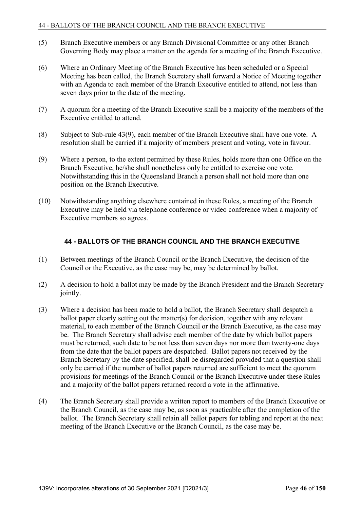- (5) Branch Executive members or any Branch Divisional Committee or any other Branch Governing Body may place a matter on the agenda for a meeting of the Branch Executive.
- (6) Where an Ordinary Meeting of the Branch Executive has been scheduled or a Special Meeting has been called, the Branch Secretary shall forward a Notice of Meeting together with an Agenda to each member of the Branch Executive entitled to attend, not less than seven days prior to the date of the meeting.
- (7) A quorum for a meeting of the Branch Executive shall be a majority of the members of the Executive entitled to attend.
- (8) Subject to Sub-rule 43(9), each member of the Branch Executive shall have one vote. A resolution shall be carried if a majority of members present and voting, vote in favour.
- (9) Where a person, to the extent permitted by these Rules, holds more than one Office on the Branch Executive, he/she shall nonetheless only be entitled to exercise one vote. Notwithstanding this in the Queensland Branch a person shall not hold more than one position on the Branch Executive.
- (10) Notwithstanding anything elsewhere contained in these Rules, a meeting of the Branch Executive may be held via telephone conference or video conference when a majority of Executive members so agrees.

## **44 - BALLOTS OF THE BRANCH COUNCIL AND THE BRANCH EXECUTIVE**

- (1) Between meetings of the Branch Council or the Branch Executive, the decision of the Council or the Executive, as the case may be, may be determined by ballot.
- (2) A decision to hold a ballot may be made by the Branch President and the Branch Secretary jointly.
- (3) Where a decision has been made to hold a ballot, the Branch Secretary shall despatch a ballot paper clearly setting out the matter(s) for decision, together with any relevant material, to each member of the Branch Council or the Branch Executive, as the case may be. The Branch Secretary shall advise each member of the date by which ballot papers must be returned, such date to be not less than seven days nor more than twenty-one days from the date that the ballot papers are despatched. Ballot papers not received by the Branch Secretary by the date specified, shall be disregarded provided that a question shall only be carried if the number of ballot papers returned are sufficient to meet the quorum provisions for meetings of the Branch Council or the Branch Executive under these Rules and a majority of the ballot papers returned record a vote in the affirmative.
- (4) The Branch Secretary shall provide a written report to members of the Branch Executive or the Branch Council, as the case may be, as soon as practicable after the completion of the ballot. The Branch Secretary shall retain all ballot papers for tabling and report at the next meeting of the Branch Executive or the Branch Council, as the case may be.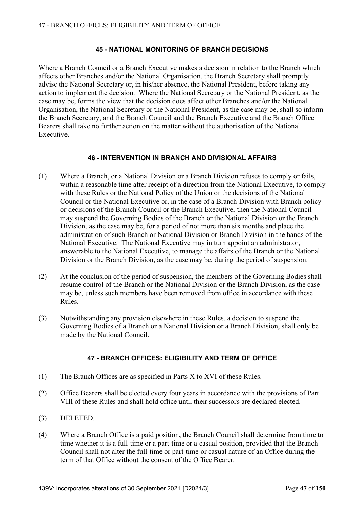### **45 - NATIONAL MONITORING OF BRANCH DECISIONS**

Where a Branch Council or a Branch Executive makes a decision in relation to the Branch which affects other Branches and/or the National Organisation, the Branch Secretary shall promptly advise the National Secretary or, in his/her absence, the National President, before taking any action to implement the decision. Where the National Secretary or the National President, as the case may be, forms the view that the decision does affect other Branches and/or the National Organisation, the National Secretary or the National President, as the case may be, shall so inform the Branch Secretary, and the Branch Council and the Branch Executive and the Branch Office Bearers shall take no further action on the matter without the authorisation of the National Executive.

#### **46 - INTERVENTION IN BRANCH AND DIVISIONAL AFFAIRS**

- (1) Where a Branch, or a National Division or a Branch Division refuses to comply or fails, within a reasonable time after receipt of a direction from the National Executive, to comply with these Rules or the National Policy of the Union or the decisions of the National Council or the National Executive or, in the case of a Branch Division with Branch policy or decisions of the Branch Council or the Branch Executive, then the National Council may suspend the Governing Bodies of the Branch or the National Division or the Branch Division, as the case may be, for a period of not more than six months and place the administration of such Branch or National Division or Branch Division in the hands of the National Executive. The National Executive may in turn appoint an administrator, answerable to the National Executive, to manage the affairs of the Branch or the National Division or the Branch Division, as the case may be, during the period of suspension.
- (2) At the conclusion of the period of suspension, the members of the Governing Bodies shall resume control of the Branch or the National Division or the Branch Division, as the case may be, unless such members have been removed from office in accordance with these Rules.
- (3) Notwithstanding any provision elsewhere in these Rules, a decision to suspend the Governing Bodies of a Branch or a National Division or a Branch Division, shall only be made by the National Council.

## **47 - BRANCH OFFICES: ELIGIBILITY AND TERM OF OFFICE**

- (1) The Branch Offices are as specified in Parts X to XVI of these Rules.
- (2) Office Bearers shall be elected every four years in accordance with the provisions of Part VIII of these Rules and shall hold office until their successors are declared elected.
- (3) DELETED.
- (4) Where a Branch Office is a paid position, the Branch Council shall determine from time to time whether it is a full-time or a part-time or a casual position, provided that the Branch Council shall not alter the full-time or part-time or casual nature of an Office during the term of that Office without the consent of the Office Bearer.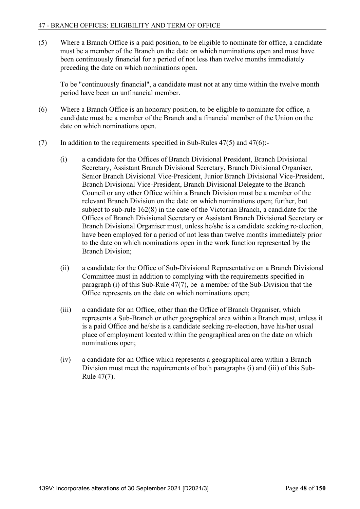(5) Where a Branch Office is a paid position, to be eligible to nominate for office, a candidate must be a member of the Branch on the date on which nominations open and must have been continuously financial for a period of not less than twelve months immediately preceding the date on which nominations open.

 To be "continuously financial", a candidate must not at any time within the twelve month period have been an unfinancial member.

- (6) Where a Branch Office is an honorary position, to be eligible to nominate for office, a candidate must be a member of the Branch and a financial member of the Union on the date on which nominations open.
- (7) In addition to the requirements specified in Sub-Rules  $47(5)$  and  $47(6)$ :
	- (i) a candidate for the Offices of Branch Divisional President, Branch Divisional Secretary, Assistant Branch Divisional Secretary, Branch Divisional Organiser, Senior Branch Divisional Vice-President, Junior Branch Divisional Vice-President, Branch Divisional Vice-President, Branch Divisional Delegate to the Branch Council or any other Office within a Branch Division must be a member of the relevant Branch Division on the date on which nominations open; further, but subject to sub-rule 162(8) in the case of the Victorian Branch, a candidate for the Offices of Branch Divisional Secretary or Assistant Branch Divisional Secretary or Branch Divisional Organiser must, unless he/she is a candidate seeking re-election, have been employed for a period of not less than twelve months immediately prior to the date on which nominations open in the work function represented by the Branch Division;
	- (ii) a candidate for the Office of Sub-Divisional Representative on a Branch Divisional Committee must in addition to complying with the requirements specified in paragraph (i) of this Sub-Rule 47(7), be a member of the Sub-Division that the Office represents on the date on which nominations open;
	- (iii) a candidate for an Office, other than the Office of Branch Organiser, which represents a Sub-Branch or other geographical area within a Branch must, unless it is a paid Office and he/she is a candidate seeking re-election, have his/her usual place of employment located within the geographical area on the date on which nominations open;
	- (iv) a candidate for an Office which represents a geographical area within a Branch Division must meet the requirements of both paragraphs (i) and (iii) of this Sub-Rule 47(7).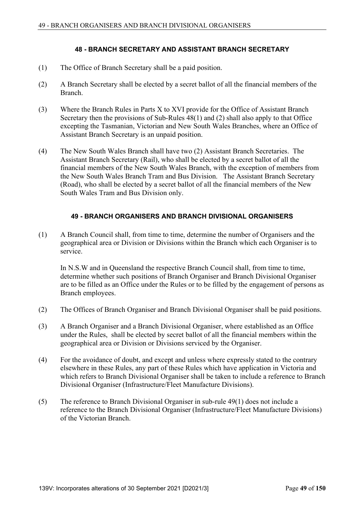### **48 - BRANCH SECRETARY AND ASSISTANT BRANCH SECRETARY**

- (1) The Office of Branch Secretary shall be a paid position.
- (2) A Branch Secretary shall be elected by a secret ballot of all the financial members of the Branch.
- (3) Where the Branch Rules in Parts X to XVI provide for the Office of Assistant Branch Secretary then the provisions of Sub-Rules 48(1) and (2) shall also apply to that Office excepting the Tasmanian, Victorian and New South Wales Branches, where an Office of Assistant Branch Secretary is an unpaid position.
- (4) The New South Wales Branch shall have two (2) Assistant Branch Secretaries. The Assistant Branch Secretary (Rail), who shall be elected by a secret ballot of all the financial members of the New South Wales Branch, with the exception of members from the New South Wales Branch Tram and Bus Division. The Assistant Branch Secretary (Road), who shall be elected by a secret ballot of all the financial members of the New South Wales Tram and Bus Division only.

### **49 - BRANCH ORGANISERS AND BRANCH DIVISIONAL ORGANISERS**

(1) A Branch Council shall, from time to time, determine the number of Organisers and the geographical area or Division or Divisions within the Branch which each Organiser is to service.

 In N.S.W and in Queensland the respective Branch Council shall, from time to time, determine whether such positions of Branch Organiser and Branch Divisional Organiser are to be filled as an Office under the Rules or to be filled by the engagement of persons as Branch employees.

- (2) The Offices of Branch Organiser and Branch Divisional Organiser shall be paid positions.
- (3) A Branch Organiser and a Branch Divisional Organiser, where established as an Office under the Rules, shall be elected by secret ballot of all the financial members within the geographical area or Division or Divisions serviced by the Organiser.
- (4) For the avoidance of doubt, and except and unless where expressly stated to the contrary elsewhere in these Rules, any part of these Rules which have application in Victoria and which refers to Branch Divisional Organiser shall be taken to include a reference to Branch Divisional Organiser (Infrastructure/Fleet Manufacture Divisions).
- (5) The reference to Branch Divisional Organiser in sub-rule 49(1) does not include a reference to the Branch Divisional Organiser (Infrastructure/Fleet Manufacture Divisions) of the Victorian Branch.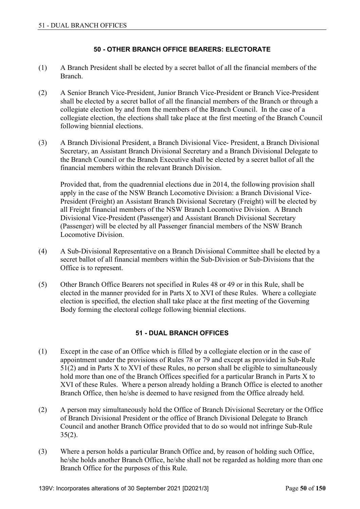### **50 - OTHER BRANCH OFFICE BEARERS: ELECTORATE**

- (1) A Branch President shall be elected by a secret ballot of all the financial members of the Branch.
- (2) A Senior Branch Vice-President, Junior Branch Vice-President or Branch Vice-President shall be elected by a secret ballot of all the financial members of the Branch or through a collegiate election by and from the members of the Branch Council. In the case of a collegiate election, the elections shall take place at the first meeting of the Branch Council following biennial elections.
- (3) A Branch Divisional President, a Branch Divisional Vice- President, a Branch Divisional Secretary, an Assistant Branch Divisional Secretary and a Branch Divisional Delegate to the Branch Council or the Branch Executive shall be elected by a secret ballot of all the financial members within the relevant Branch Division.

 Provided that, from the quadrennial elections due in 2014, the following provision shall apply in the case of the NSW Branch Locomotive Division: a Branch Divisional Vice-President (Freight) an Assistant Branch Divisional Secretary (Freight) will be elected by all Freight financial members of the NSW Branch Locomotive Division. A Branch Divisional Vice-President (Passenger) and Assistant Branch Divisional Secretary (Passenger) will be elected by all Passenger financial members of the NSW Branch Locomotive Division.

- (4) A Sub-Divisional Representative on a Branch Divisional Committee shall be elected by a secret ballot of all financial members within the Sub-Division or Sub-Divisions that the Office is to represent.
- (5) Other Branch Office Bearers not specified in Rules 48 or 49 or in this Rule, shall be elected in the manner provided for in Parts X to XVI of these Rules. Where a collegiate election is specified, the election shall take place at the first meeting of the Governing Body forming the electoral college following biennial elections.

## **51 - DUAL BRANCH OFFICES**

- (1) Except in the case of an Office which is filled by a collegiate election or in the case of appointment under the provisions of Rules 78 or 79 and except as provided in Sub-Rule  $51(2)$  and in Parts X to XVI of these Rules, no person shall be eligible to simultaneously hold more than one of the Branch Offices specified for a particular Branch in Parts X to XVI of these Rules. Where a person already holding a Branch Office is elected to another Branch Office, then he/she is deemed to have resigned from the Office already held.
- (2) A person may simultaneously hold the Office of Branch Divisional Secretary or the Office of Branch Divisional President or the office of Branch Divisional Delegate to Branch Council and another Branch Office provided that to do so would not infringe Sub-Rule  $35(2)$ .
- (3) Where a person holds a particular Branch Office and, by reason of holding such Office, he/she holds another Branch Office, he/she shall not be regarded as holding more than one Branch Office for the purposes of this Rule.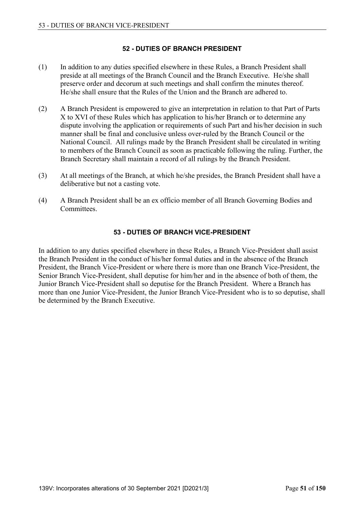### **52 - DUTIES OF BRANCH PRESIDENT**

- (1) In addition to any duties specified elsewhere in these Rules, a Branch President shall preside at all meetings of the Branch Council and the Branch Executive. He/she shall preserve order and decorum at such meetings and shall confirm the minutes thereof. He/she shall ensure that the Rules of the Union and the Branch are adhered to.
- (2) A Branch President is empowered to give an interpretation in relation to that Part of Parts X to XVI of these Rules which has application to his/her Branch or to determine any dispute involving the application or requirements of such Part and his/her decision in such manner shall be final and conclusive unless over-ruled by the Branch Council or the National Council. All rulings made by the Branch President shall be circulated in writing to members of the Branch Council as soon as practicable following the ruling. Further, the Branch Secretary shall maintain a record of all rulings by the Branch President.
- (3) At all meetings of the Branch, at which he/she presides, the Branch President shall have a deliberative but not a casting vote.
- (4) A Branch President shall be an ex officio member of all Branch Governing Bodies and Committees.

### **53 - DUTIES OF BRANCH VICE-PRESIDENT**

In addition to any duties specified elsewhere in these Rules, a Branch Vice-President shall assist the Branch President in the conduct of his/her formal duties and in the absence of the Branch President, the Branch Vice-President or where there is more than one Branch Vice-President, the Senior Branch Vice-President, shall deputise for him/her and in the absence of both of them, the Junior Branch Vice-President shall so deputise for the Branch President. Where a Branch has more than one Junior Vice-President, the Junior Branch Vice-President who is to so deputise, shall be determined by the Branch Executive.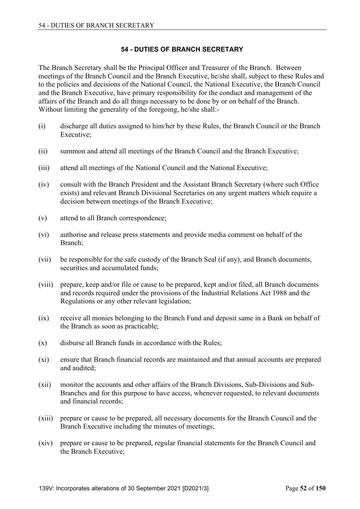## **54 - DUTIES OF BRANCH SECRETARY**

The Branch Secretary shall be the Principal Officer and Treasurer of the Branch. Between meetings of the Branch Council and the Branch Executive, he/she shall, subject to these Rules and to the policies and decisions of the National Council, the National Executive, the Branch Council and the Branch Executive, have primary responsibility for the conduct and management of the affairs of the Branch and do all things necessary to be done by or on behalf of the Branch. Without limiting the generality of the foregoing, he/she shall:-

- (i) discharge all duties assigned to him/her by these Rules, the Branch Council or the Branch Executive;
- (ii) summon and attend all meetings of the Branch Council and the Branch Executive;
- (iii) attend all meetings of the National Council and the National Executive;
- (iv) consult with the Branch President and the Assistant Branch Secretary (where such Office exists) and relevant Branch Divisional Secretaries on any urgent matters which require a decision between meetings of the Branch Executive;
- (v) attend to all Branch correspondence;
- (vi) authorise and release press statements and provide media comment on behalf of the Branch;
- (vii) be responsible for the safe custody of the Branch Seal (if any), and Branch documents, securities and accumulated funds;
- (viii) prepare, keep and/or file or cause to be prepared, kept and/or filed, all Branch documents and records required under the provisions of the Industrial Relations Act 1988 and the Regulations or any other relevant legislation;
- (ix) receive all monies belonging to the Branch Fund and deposit same in a Bank on behalf of the Branch as soon as practicable;
- (x) disburse all Branch funds in accordance with the Rules;
- (xi) ensure that Branch financial records are maintained and that annual accounts are prepared and audited;
- (xii) monitor the accounts and other affairs of the Branch Divisions, Sub-Divisions and Sub-Branches and for this purpose to have access, whenever requested, to relevant documents and financial records;
- (xiii) prepare or cause to be prepared, all necessary documents for the Branch Council and the Branch Executive including the minutes of meetings;
- (xiv) prepare or cause to be prepared, regular financial statements for the Branch Council and the Branch Executive;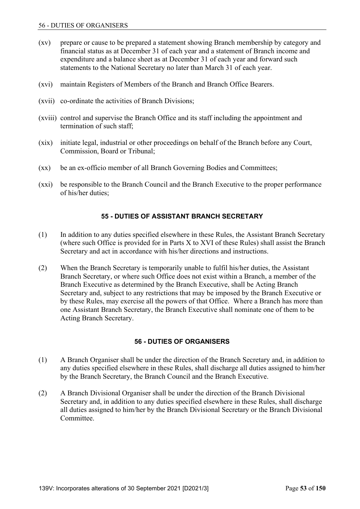- (xv) prepare or cause to be prepared a statement showing Branch membership by category and financial status as at December 31 of each year and a statement of Branch income and expenditure and a balance sheet as at December 31 of each year and forward such statements to the National Secretary no later than March 31 of each year.
- (xvi) maintain Registers of Members of the Branch and Branch Office Bearers.
- (xvii) co-ordinate the activities of Branch Divisions;
- (xviii) control and supervise the Branch Office and its staff including the appointment and termination of such staff;
- (xix) initiate legal, industrial or other proceedings on behalf of the Branch before any Court, Commission, Board or Tribunal;
- (xx) be an ex-officio member of all Branch Governing Bodies and Committees;
- (xxi) be responsible to the Branch Council and the Branch Executive to the proper performance of his/her duties;

### **55 - DUTIES OF ASSISTANT BRANCH SECRETARY**

- (1) In addition to any duties specified elsewhere in these Rules, the Assistant Branch Secretary (where such Office is provided for in Parts X to XVI of these Rules) shall assist the Branch Secretary and act in accordance with his/her directions and instructions.
- (2) When the Branch Secretary is temporarily unable to fulfil his/her duties, the Assistant Branch Secretary, or where such Office does not exist within a Branch, a member of the Branch Executive as determined by the Branch Executive, shall be Acting Branch Secretary and, subject to any restrictions that may be imposed by the Branch Executive or by these Rules, may exercise all the powers of that Office. Where a Branch has more than one Assistant Branch Secretary, the Branch Executive shall nominate one of them to be Acting Branch Secretary.

#### **56 - DUTIES OF ORGANISERS**

- (1) A Branch Organiser shall be under the direction of the Branch Secretary and, in addition to any duties specified elsewhere in these Rules, shall discharge all duties assigned to him/her by the Branch Secretary, the Branch Council and the Branch Executive.
- (2) A Branch Divisional Organiser shall be under the direction of the Branch Divisional Secretary and, in addition to any duties specified elsewhere in these Rules, shall discharge all duties assigned to him/her by the Branch Divisional Secretary or the Branch Divisional Committee.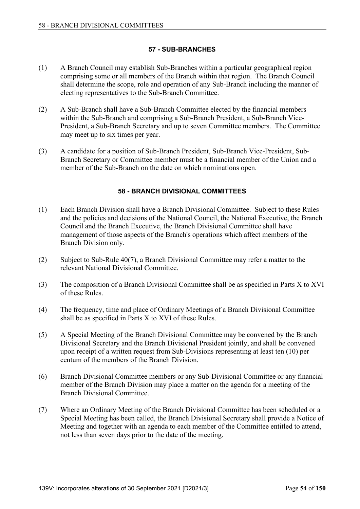### **57 - SUB-BRANCHES**

- (1) A Branch Council may establish Sub-Branches within a particular geographical region comprising some or all members of the Branch within that region. The Branch Council shall determine the scope, role and operation of any Sub-Branch including the manner of electing representatives to the Sub-Branch Committee.
- (2) A Sub-Branch shall have a Sub-Branch Committee elected by the financial members within the Sub-Branch and comprising a Sub-Branch President, a Sub-Branch Vice-President, a Sub-Branch Secretary and up to seven Committee members. The Committee may meet up to six times per year.
- (3) A candidate for a position of Sub-Branch President, Sub-Branch Vice-President, Sub-Branch Secretary or Committee member must be a financial member of the Union and a member of the Sub-Branch on the date on which nominations open.

## **58 - BRANCH DIVISIONAL COMMITTEES**

- (1) Each Branch Division shall have a Branch Divisional Committee. Subject to these Rules and the policies and decisions of the National Council, the National Executive, the Branch Council and the Branch Executive, the Branch Divisional Committee shall have management of those aspects of the Branch's operations which affect members of the Branch Division only.
- (2) Subject to Sub-Rule 40(7), a Branch Divisional Committee may refer a matter to the relevant National Divisional Committee.
- (3) The composition of a Branch Divisional Committee shall be as specified in Parts X to XVI of these Rules.
- (4) The frequency, time and place of Ordinary Meetings of a Branch Divisional Committee shall be as specified in Parts X to XVI of these Rules.
- (5) A Special Meeting of the Branch Divisional Committee may be convened by the Branch Divisional Secretary and the Branch Divisional President jointly, and shall be convened upon receipt of a written request from Sub-Divisions representing at least ten (10) per centum of the members of the Branch Division.
- (6) Branch Divisional Committee members or any Sub-Divisional Committee or any financial member of the Branch Division may place a matter on the agenda for a meeting of the Branch Divisional Committee.
- (7) Where an Ordinary Meeting of the Branch Divisional Committee has been scheduled or a Special Meeting has been called, the Branch Divisional Secretary shall provide a Notice of Meeting and together with an agenda to each member of the Committee entitled to attend, not less than seven days prior to the date of the meeting.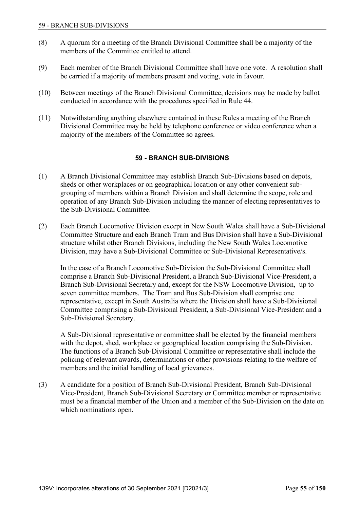- (8) A quorum for a meeting of the Branch Divisional Committee shall be a majority of the members of the Committee entitled to attend.
- (9) Each member of the Branch Divisional Committee shall have one vote. A resolution shall be carried if a majority of members present and voting, vote in favour.
- (10) Between meetings of the Branch Divisional Committee, decisions may be made by ballot conducted in accordance with the procedures specified in Rule 44.
- (11) Notwithstanding anything elsewhere contained in these Rules a meeting of the Branch Divisional Committee may be held by telephone conference or video conference when a majority of the members of the Committee so agrees.

### **59 - BRANCH SUB-DIVISIONS**

- (1) A Branch Divisional Committee may establish Branch Sub-Divisions based on depots, sheds or other workplaces or on geographical location or any other convenient subgrouping of members within a Branch Division and shall determine the scope, role and operation of any Branch Sub-Division including the manner of electing representatives to the Sub-Divisional Committee.
- (2) Each Branch Locomotive Division except in New South Wales shall have a Sub-Divisional Committee Structure and each Branch Tram and Bus Division shall have a Sub-Divisional structure whilst other Branch Divisions, including the New South Wales Locomotive Division, may have a Sub-Divisional Committee or Sub-Divisional Representative/s.

 In the case of a Branch Locomotive Sub-Division the Sub-Divisional Committee shall comprise a Branch Sub-Divisional President, a Branch Sub-Divisional Vice-President, a Branch Sub-Divisional Secretary and, except for the NSW Locomotive Division, up to seven committee members. The Tram and Bus Sub-Division shall comprise one representative, except in South Australia where the Division shall have a Sub-Divisional Committee comprising a Sub-Divisional President, a Sub-Divisional Vice-President and a Sub-Divisional Secretary.

 A Sub-Divisional representative or committee shall be elected by the financial members with the depot, shed, workplace or geographical location comprising the Sub-Division. The functions of a Branch Sub-Divisional Committee or representative shall include the policing of relevant awards, determinations or other provisions relating to the welfare of members and the initial handling of local grievances.

(3) A candidate for a position of Branch Sub-Divisional President, Branch Sub-Divisional Vice-President, Branch Sub-Divisional Secretary or Committee member or representative must be a financial member of the Union and a member of the Sub-Division on the date on which nominations open.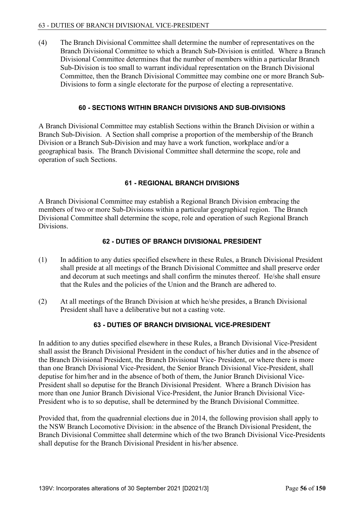(4) The Branch Divisional Committee shall determine the number of representatives on the Branch Divisional Committee to which a Branch Sub-Division is entitled. Where a Branch Divisional Committee determines that the number of members within a particular Branch Sub-Division is too small to warrant individual representation on the Branch Divisional Committee, then the Branch Divisional Committee may combine one or more Branch Sub-Divisions to form a single electorate for the purpose of electing a representative.

### **60 - SECTIONS WITHIN BRANCH DIVISIONS AND SUB-DIVISIONS**

A Branch Divisional Committee may establish Sections within the Branch Division or within a Branch Sub-Division. A Section shall comprise a proportion of the membership of the Branch Division or a Branch Sub-Division and may have a work function, workplace and/or a geographical basis. The Branch Divisional Committee shall determine the scope, role and operation of such Sections.

### **61 - REGIONAL BRANCH DIVISIONS**

A Branch Divisional Committee may establish a Regional Branch Division embracing the members of two or more Sub-Divisions within a particular geographical region. The Branch Divisional Committee shall determine the scope, role and operation of such Regional Branch Divisions.

### **62 - DUTIES OF BRANCH DIVISIONAL PRESIDENT**

- (1) In addition to any duties specified elsewhere in these Rules, a Branch Divisional President shall preside at all meetings of the Branch Divisional Committee and shall preserve order and decorum at such meetings and shall confirm the minutes thereof. He/she shall ensure that the Rules and the policies of the Union and the Branch are adhered to.
- (2) At all meetings of the Branch Division at which he/she presides, a Branch Divisional President shall have a deliberative but not a casting vote.

## **63 - DUTIES OF BRANCH DIVISIONAL VICE-PRESIDENT**

In addition to any duties specified elsewhere in these Rules, a Branch Divisional Vice-President shall assist the Branch Divisional President in the conduct of his/her duties and in the absence of the Branch Divisional President, the Branch Divisional Vice- President, or where there is more than one Branch Divisional Vice-President, the Senior Branch Divisional Vice-President, shall deputise for him/her and in the absence of both of them, the Junior Branch Divisional Vice-President shall so deputise for the Branch Divisional President. Where a Branch Division has more than one Junior Branch Divisional Vice-President, the Junior Branch Divisional Vice-President who is to so deputise, shall be determined by the Branch Divisional Committee.

Provided that, from the quadrennial elections due in 2014, the following provision shall apply to the NSW Branch Locomotive Division: in the absence of the Branch Divisional President, the Branch Divisional Committee shall determine which of the two Branch Divisional Vice-Presidents shall deputise for the Branch Divisional President in his/her absence.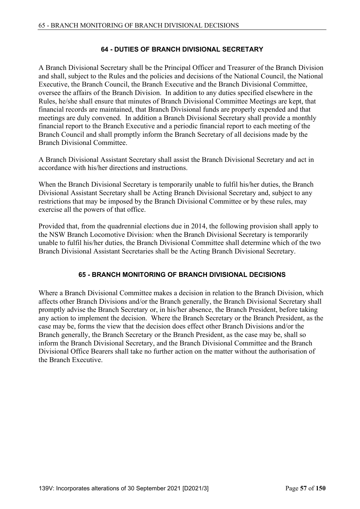### **64 - DUTIES OF BRANCH DIVISIONAL SECRETARY**

A Branch Divisional Secretary shall be the Principal Officer and Treasurer of the Branch Division and shall, subject to the Rules and the policies and decisions of the National Council, the National Executive, the Branch Council, the Branch Executive and the Branch Divisional Committee, oversee the affairs of the Branch Division. In addition to any duties specified elsewhere in the Rules, he/she shall ensure that minutes of Branch Divisional Committee Meetings are kept, that financial records are maintained, that Branch Divisional funds are properly expended and that meetings are duly convened. In addition a Branch Divisional Secretary shall provide a monthly financial report to the Branch Executive and a periodic financial report to each meeting of the Branch Council and shall promptly inform the Branch Secretary of all decisions made by the Branch Divisional Committee.

A Branch Divisional Assistant Secretary shall assist the Branch Divisional Secretary and act in accordance with his/her directions and instructions.

When the Branch Divisional Secretary is temporarily unable to fulfil his/her duties, the Branch Divisional Assistant Secretary shall be Acting Branch Divisional Secretary and, subject to any restrictions that may be imposed by the Branch Divisional Committee or by these rules, may exercise all the powers of that office.

Provided that, from the quadrennial elections due in 2014, the following provision shall apply to the NSW Branch Locomotive Division: when the Branch Divisional Secretary is temporarily unable to fulfil his/her duties, the Branch Divisional Committee shall determine which of the two Branch Divisional Assistant Secretaries shall be the Acting Branch Divisional Secretary.

#### **65 - BRANCH MONITORING OF BRANCH DIVISIONAL DECISIONS**

Where a Branch Divisional Committee makes a decision in relation to the Branch Division, which affects other Branch Divisions and/or the Branch generally, the Branch Divisional Secretary shall promptly advise the Branch Secretary or, in his/her absence, the Branch President, before taking any action to implement the decision. Where the Branch Secretary or the Branch President, as the case may be, forms the view that the decision does effect other Branch Divisions and/or the Branch generally, the Branch Secretary or the Branch President, as the case may be, shall so inform the Branch Divisional Secretary, and the Branch Divisional Committee and the Branch Divisional Office Bearers shall take no further action on the matter without the authorisation of the Branch Executive.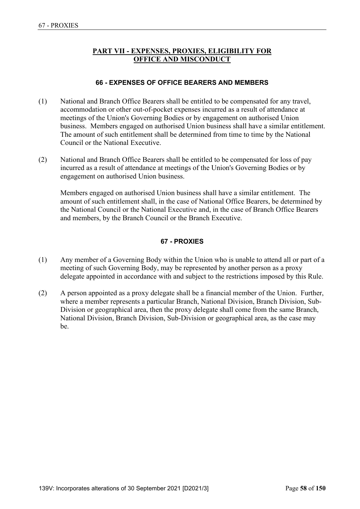## **PART VII - EXPENSES, PROXIES, ELIGIBILITY FOR OFFICE AND MISCONDUCT**

### **66 - EXPENSES OF OFFICE BEARERS AND MEMBERS**

- (1) National and Branch Office Bearers shall be entitled to be compensated for any travel, accommodation or other out-of-pocket expenses incurred as a result of attendance at meetings of the Union's Governing Bodies or by engagement on authorised Union business. Members engaged on authorised Union business shall have a similar entitlement. The amount of such entitlement shall be determined from time to time by the National Council or the National Executive.
- (2) National and Branch Office Bearers shall be entitled to be compensated for loss of pay incurred as a result of attendance at meetings of the Union's Governing Bodies or by engagement on authorised Union business.

 Members engaged on authorised Union business shall have a similar entitlement. The amount of such entitlement shall, in the case of National Office Bearers, be determined by the National Council or the National Executive and, in the case of Branch Office Bearers and members, by the Branch Council or the Branch Executive.

## **67 - PROXIES**

- (1) Any member of a Governing Body within the Union who is unable to attend all or part of a meeting of such Governing Body, may be represented by another person as a proxy delegate appointed in accordance with and subject to the restrictions imposed by this Rule.
- (2) A person appointed as a proxy delegate shall be a financial member of the Union. Further, where a member represents a particular Branch, National Division, Branch Division, Sub-Division or geographical area, then the proxy delegate shall come from the same Branch, National Division, Branch Division, Sub-Division or geographical area, as the case may be.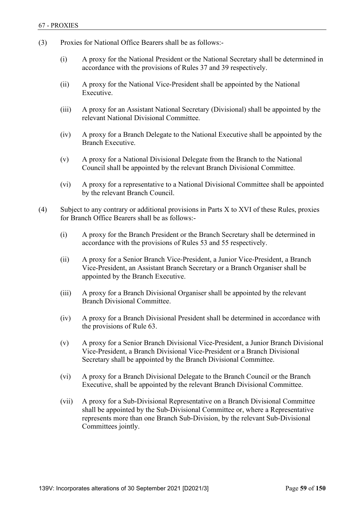- (3) Proxies for National Office Bearers shall be as follows:-
	- (i) A proxy for the National President or the National Secretary shall be determined in accordance with the provisions of Rules 37 and 39 respectively.
	- (ii) A proxy for the National Vice-President shall be appointed by the National Executive.
	- (iii) A proxy for an Assistant National Secretary (Divisional) shall be appointed by the relevant National Divisional Committee.
	- (iv) A proxy for a Branch Delegate to the National Executive shall be appointed by the Branch Executive.
	- (v) A proxy for a National Divisional Delegate from the Branch to the National Council shall be appointed by the relevant Branch Divisional Committee.
	- (vi) A proxy for a representative to a National Divisional Committee shall be appointed by the relevant Branch Council.
- (4) Subject to any contrary or additional provisions in Parts X to XVI of these Rules, proxies for Branch Office Bearers shall be as follows:-
	- (i) A proxy for the Branch President or the Branch Secretary shall be determined in accordance with the provisions of Rules 53 and 55 respectively.
	- (ii) A proxy for a Senior Branch Vice-President, a Junior Vice-President, a Branch Vice-President, an Assistant Branch Secretary or a Branch Organiser shall be appointed by the Branch Executive.
	- (iii) A proxy for a Branch Divisional Organiser shall be appointed by the relevant Branch Divisional Committee.
	- (iv) A proxy for a Branch Divisional President shall be determined in accordance with the provisions of Rule 63.
	- (v) A proxy for a Senior Branch Divisional Vice-President, a Junior Branch Divisional Vice-President, a Branch Divisional Vice-President or a Branch Divisional Secretary shall be appointed by the Branch Divisional Committee.
	- (vi) A proxy for a Branch Divisional Delegate to the Branch Council or the Branch Executive, shall be appointed by the relevant Branch Divisional Committee.
	- (vii) A proxy for a Sub-Divisional Representative on a Branch Divisional Committee shall be appointed by the Sub-Divisional Committee or, where a Representative represents more than one Branch Sub-Division, by the relevant Sub-Divisional Committees jointly.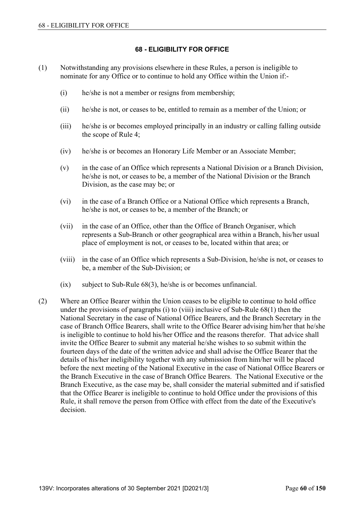#### **68 - ELIGIBILITY FOR OFFICE**

- (1) Notwithstanding any provisions elsewhere in these Rules, a person is ineligible to nominate for any Office or to continue to hold any Office within the Union if:-
	- (i) he/she is not a member or resigns from membership;
	- (ii) he/she is not, or ceases to be, entitled to remain as a member of the Union; or
	- (iii) he/she is or becomes employed principally in an industry or calling falling outside the scope of Rule 4;
	- (iv) he/she is or becomes an Honorary Life Member or an Associate Member;
	- (v) in the case of an Office which represents a National Division or a Branch Division, he/she is not, or ceases to be, a member of the National Division or the Branch Division, as the case may be; or
	- (vi) in the case of a Branch Office or a National Office which represents a Branch, he/she is not, or ceases to be, a member of the Branch; or
	- (vii) in the case of an Office, other than the Office of Branch Organiser, which represents a Sub-Branch or other geographical area within a Branch, his/her usual place of employment is not, or ceases to be, located within that area; or
	- (viii) in the case of an Office which represents a Sub-Division, he/she is not, or ceases to be, a member of the Sub-Division; or
	- $(ix)$  subject to Sub-Rule  $68(3)$ , he/she is or becomes unfinancial.
- (2) Where an Office Bearer within the Union ceases to be eligible to continue to hold office under the provisions of paragraphs (i) to (viii) inclusive of Sub-Rule 68(1) then the National Secretary in the case of National Office Bearers, and the Branch Secretary in the case of Branch Office Bearers, shall write to the Office Bearer advising him/her that he/she is ineligible to continue to hold his/her Office and the reasons therefor. That advice shall invite the Office Bearer to submit any material he/she wishes to so submit within the fourteen days of the date of the written advice and shall advise the Office Bearer that the details of his/her ineligibility together with any submission from him/her will be placed before the next meeting of the National Executive in the case of National Office Bearers or the Branch Executive in the case of Branch Office Bearers. The National Executive or the Branch Executive, as the case may be, shall consider the material submitted and if satisfied that the Office Bearer is ineligible to continue to hold Office under the provisions of this Rule, it shall remove the person from Office with effect from the date of the Executive's decision.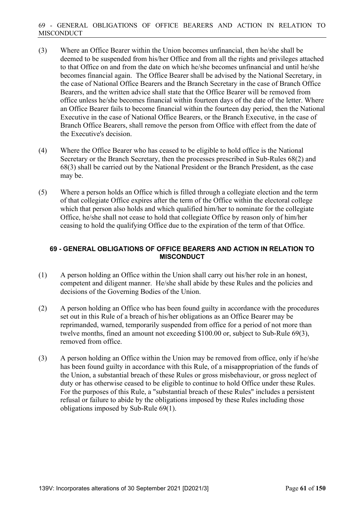- (3) Where an Office Bearer within the Union becomes unfinancial, then he/she shall be deemed to be suspended from his/her Office and from all the rights and privileges attached to that Office on and from the date on which he/she becomes unfinancial and until he/she becomes financial again. The Office Bearer shall be advised by the National Secretary, in the case of National Office Bearers and the Branch Secretary in the case of Branch Office Bearers, and the written advice shall state that the Office Bearer will be removed from office unless he/she becomes financial within fourteen days of the date of the letter. Where an Office Bearer fails to become financial within the fourteen day period, then the National Executive in the case of National Office Bearers, or the Branch Executive, in the case of Branch Office Bearers, shall remove the person from Office with effect from the date of the Executive's decision.
- (4) Where the Office Bearer who has ceased to be eligible to hold office is the National Secretary or the Branch Secretary, then the processes prescribed in Sub-Rules 68(2) and 68(3) shall be carried out by the National President or the Branch President, as the case may be.
- (5) Where a person holds an Office which is filled through a collegiate election and the term of that collegiate Office expires after the term of the Office within the electoral college which that person also holds and which qualified him/her to nominate for the collegiate Office, he/she shall not cease to hold that collegiate Office by reason only of him/her ceasing to hold the qualifying Office due to the expiration of the term of that Office.

### **69 - GENERAL OBLIGATIONS OF OFFICE BEARERS AND ACTION IN RELATION TO MISCONDUCT**

- (1) A person holding an Office within the Union shall carry out his/her role in an honest, competent and diligent manner. He/she shall abide by these Rules and the policies and decisions of the Governing Bodies of the Union.
- (2) A person holding an Office who has been found guilty in accordance with the procedures set out in this Rule of a breach of his/her obligations as an Office Bearer may be reprimanded, warned, temporarily suspended from office for a period of not more than twelve months, fined an amount not exceeding \$100.00 or, subject to Sub-Rule 69(3), removed from office.
- (3) A person holding an Office within the Union may be removed from office, only if he/she has been found guilty in accordance with this Rule, of a misappropriation of the funds of the Union, a substantial breach of these Rules or gross misbehaviour, or gross neglect of duty or has otherwise ceased to be eligible to continue to hold Office under these Rules. For the purposes of this Rule, a "substantial breach of these Rules" includes a persistent refusal or failure to abide by the obligations imposed by these Rules including those obligations imposed by Sub-Rule 69(1).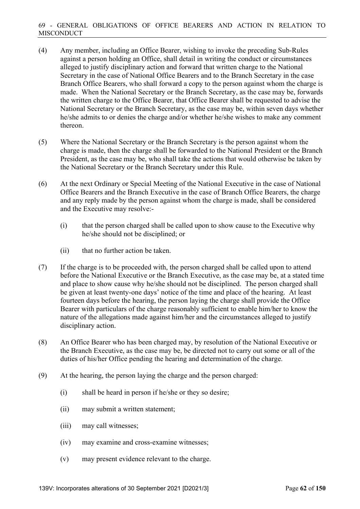- (4) Any member, including an Office Bearer, wishing to invoke the preceding Sub-Rules against a person holding an Office, shall detail in writing the conduct or circumstances alleged to justify disciplinary action and forward that written charge to the National Secretary in the case of National Office Bearers and to the Branch Secretary in the case Branch Office Bearers, who shall forward a copy to the person against whom the charge is made. When the National Secretary or the Branch Secretary, as the case may be, forwards the written charge to the Office Bearer, that Office Bearer shall be requested to advise the National Secretary or the Branch Secretary, as the case may be, within seven days whether he/she admits to or denies the charge and/or whether he/she wishes to make any comment thereon.
- (5) Where the National Secretary or the Branch Secretary is the person against whom the charge is made, then the charge shall be forwarded to the National President or the Branch President, as the case may be, who shall take the actions that would otherwise be taken by the National Secretary or the Branch Secretary under this Rule.
- (6) At the next Ordinary or Special Meeting of the National Executive in the case of National Office Bearers and the Branch Executive in the case of Branch Office Bearers, the charge and any reply made by the person against whom the charge is made, shall be considered and the Executive may resolve:-
	- (i) that the person charged shall be called upon to show cause to the Executive why he/she should not be disciplined; or
	- (ii) that no further action be taken.
- (7) If the charge is to be proceeded with, the person charged shall be called upon to attend before the National Executive or the Branch Executive, as the case may be, at a stated time and place to show cause why he/she should not be disciplined. The person charged shall be given at least twenty-one days' notice of the time and place of the hearing. At least fourteen days before the hearing, the person laying the charge shall provide the Office Bearer with particulars of the charge reasonably sufficient to enable him/her to know the nature of the allegations made against him/her and the circumstances alleged to justify disciplinary action.
- (8) An Office Bearer who has been charged may, by resolution of the National Executive or the Branch Executive, as the case may be, be directed not to carry out some or all of the duties of his/her Office pending the hearing and determination of the charge.
- (9) At the hearing, the person laying the charge and the person charged:
	- (i) shall be heard in person if he/she or they so desire;
	- (ii) may submit a written statement;
	- (iii) may call witnesses;
	- (iv) may examine and cross-examine witnesses;
	- (v) may present evidence relevant to the charge.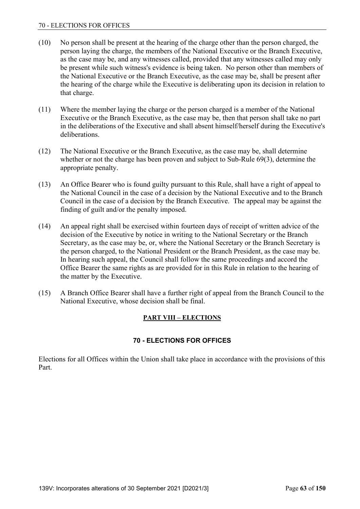- (10) No person shall be present at the hearing of the charge other than the person charged, the person laying the charge, the members of the National Executive or the Branch Executive, as the case may be, and any witnesses called, provided that any witnesses called may only be present while such witness's evidence is being taken. No person other than members of the National Executive or the Branch Executive, as the case may be, shall be present after the hearing of the charge while the Executive is deliberating upon its decision in relation to that charge.
- (11) Where the member laying the charge or the person charged is a member of the National Executive or the Branch Executive, as the case may be, then that person shall take no part in the deliberations of the Executive and shall absent himself/herself during the Executive's deliberations.
- (12) The National Executive or the Branch Executive, as the case may be, shall determine whether or not the charge has been proven and subject to Sub-Rule 69(3), determine the appropriate penalty.
- (13) An Office Bearer who is found guilty pursuant to this Rule, shall have a right of appeal to the National Council in the case of a decision by the National Executive and to the Branch Council in the case of a decision by the Branch Executive. The appeal may be against the finding of guilt and/or the penalty imposed.
- (14) An appeal right shall be exercised within fourteen days of receipt of written advice of the decision of the Executive by notice in writing to the National Secretary or the Branch Secretary, as the case may be, or, where the National Secretary or the Branch Secretary is the person charged, to the National President or the Branch President, as the case may be. In hearing such appeal, the Council shall follow the same proceedings and accord the Office Bearer the same rights as are provided for in this Rule in relation to the hearing of the matter by the Executive.
- (15) A Branch Office Bearer shall have a further right of appeal from the Branch Council to the National Executive, whose decision shall be final.

# **PART VIII – ELECTIONS**

# **70 - ELECTIONS FOR OFFICES**

Elections for all Offices within the Union shall take place in accordance with the provisions of this Part.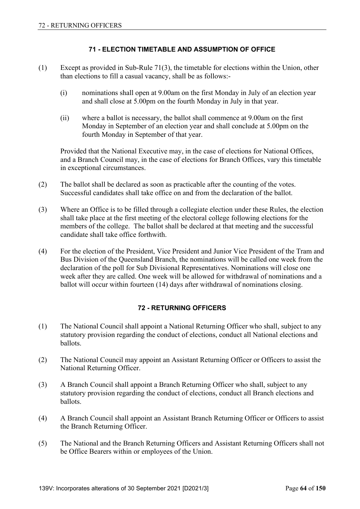### **71 - ELECTION TIMETABLE AND ASSUMPTION OF OFFICE**

- (1) Except as provided in Sub-Rule 71(3), the timetable for elections within the Union, other than elections to fill a casual vacancy, shall be as follows:-
	- (i) nominations shall open at 9.00am on the first Monday in July of an election year and shall close at 5.00pm on the fourth Monday in July in that year.
	- (ii) where a ballot is necessary, the ballot shall commence at 9.00am on the first Monday in September of an election year and shall conclude at 5.00pm on the fourth Monday in September of that year.

 Provided that the National Executive may, in the case of elections for National Offices, and a Branch Council may, in the case of elections for Branch Offices, vary this timetable in exceptional circumstances.

- (2) The ballot shall be declared as soon as practicable after the counting of the votes. Successful candidates shall take office on and from the declaration of the ballot.
- (3) Where an Office is to be filled through a collegiate election under these Rules, the election shall take place at the first meeting of the electoral college following elections for the members of the college. The ballot shall be declared at that meeting and the successful candidate shall take office forthwith.
- (4) For the election of the President, Vice President and Junior Vice President of the Tram and Bus Division of the Queensland Branch, the nominations will be called one week from the declaration of the poll for Sub Divisional Representatives. Nominations will close one week after they are called. One week will be allowed for withdrawal of nominations and a ballot will occur within fourteen (14) days after withdrawal of nominations closing.

## **72 - RETURNING OFFICERS**

- (1) The National Council shall appoint a National Returning Officer who shall, subject to any statutory provision regarding the conduct of elections, conduct all National elections and ballots.
- (2) The National Council may appoint an Assistant Returning Officer or Officers to assist the National Returning Officer.
- (3) A Branch Council shall appoint a Branch Returning Officer who shall, subject to any statutory provision regarding the conduct of elections, conduct all Branch elections and ballots.
- (4) A Branch Council shall appoint an Assistant Branch Returning Officer or Officers to assist the Branch Returning Officer.
- (5) The National and the Branch Returning Officers and Assistant Returning Officers shall not be Office Bearers within or employees of the Union.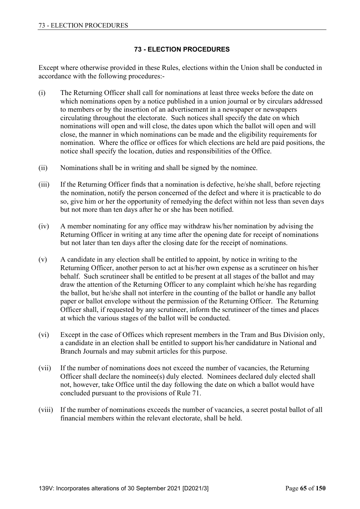## **73 - ELECTION PROCEDURES**

Except where otherwise provided in these Rules, elections within the Union shall be conducted in accordance with the following procedures:-

- (i) The Returning Officer shall call for nominations at least three weeks before the date on which nominations open by a notice published in a union journal or by circulars addressed to members or by the insertion of an advertisement in a newspaper or newspapers circulating throughout the electorate. Such notices shall specify the date on which nominations will open and will close, the dates upon which the ballot will open and will close, the manner in which nominations can be made and the eligibility requirements for nomination. Where the office or offices for which elections are held are paid positions, the notice shall specify the location, duties and responsibilities of the Office.
- (ii) Nominations shall be in writing and shall be signed by the nominee.
- (iii) If the Returning Officer finds that a nomination is defective, he/she shall, before rejecting the nomination, notify the person concerned of the defect and where it is practicable to do so, give him or her the opportunity of remedying the defect within not less than seven days but not more than ten days after he or she has been notified.
- (iv) A member nominating for any office may withdraw his/her nomination by advising the Returning Officer in writing at any time after the opening date for receipt of nominations but not later than ten days after the closing date for the receipt of nominations.
- (v) A candidate in any election shall be entitled to appoint, by notice in writing to the Returning Officer, another person to act at his/her own expense as a scrutineer on his/her behalf. Such scrutineer shall be entitled to be present at all stages of the ballot and may draw the attention of the Returning Officer to any complaint which he/she has regarding the ballot, but he/she shall not interfere in the counting of the ballot or handle any ballot paper or ballot envelope without the permission of the Returning Officer. The Returning Officer shall, if requested by any scrutineer, inform the scrutineer of the times and places at which the various stages of the ballot will be conducted.
- (vi) Except in the case of Offices which represent members in the Tram and Bus Division only, a candidate in an election shall be entitled to support his/her candidature in National and Branch Journals and may submit articles for this purpose.
- (vii) If the number of nominations does not exceed the number of vacancies, the Returning Officer shall declare the nominee(s) duly elected. Nominees declared duly elected shall not, however, take Office until the day following the date on which a ballot would have concluded pursuant to the provisions of Rule 71.
- (viii) If the number of nominations exceeds the number of vacancies, a secret postal ballot of all financial members within the relevant electorate, shall be held.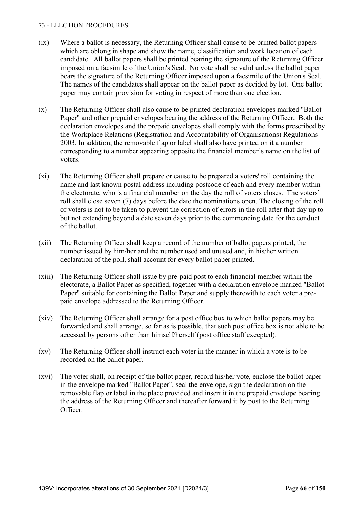#### 73 - ELECTION PROCEDURES

- (ix) Where a ballot is necessary, the Returning Officer shall cause to be printed ballot papers which are oblong in shape and show the name, classification and work location of each candidate. All ballot papers shall be printed bearing the signature of the Returning Officer imposed on a facsimile of the Union's Seal. No vote shall be valid unless the ballot paper bears the signature of the Returning Officer imposed upon a facsimile of the Union's Seal. The names of the candidates shall appear on the ballot paper as decided by lot. One ballot paper may contain provision for voting in respect of more than one election.
- (x) The Returning Officer shall also cause to be printed declaration envelopes marked "Ballot Paper" and other prepaid envelopes bearing the address of the Returning Officer. Both the declaration envelopes and the prepaid envelopes shall comply with the forms prescribed by the Workplace Relations (Registration and Accountability of Organisations) Regulations 2003. In addition, the removable flap or label shall also have printed on it a number corresponding to a number appearing opposite the financial member's name on the list of voters.
- (xi) The Returning Officer shall prepare or cause to be prepared a voters' roll containing the name and last known postal address including postcode of each and every member within the electorate, who is a financial member on the day the roll of voters closes. The voters' roll shall close seven (7) days before the date the nominations open. The closing of the roll of voters is not to be taken to prevent the correction of errors in the roll after that day up to but not extending beyond a date seven days prior to the commencing date for the conduct of the ballot.
- (xii) The Returning Officer shall keep a record of the number of ballot papers printed, the number issued by him/her and the number used and unused and, in his/her written declaration of the poll, shall account for every ballot paper printed.
- (xiii) The Returning Officer shall issue by pre-paid post to each financial member within the electorate, a Ballot Paper as specified, together with a declaration envelope marked "Ballot Paper" suitable for containing the Ballot Paper and supply therewith to each voter a prepaid envelope addressed to the Returning Officer.
- (xiv) The Returning Officer shall arrange for a post office box to which ballot papers may be forwarded and shall arrange, so far as is possible, that such post office box is not able to be accessed by persons other than himself/herself (post office staff excepted).
- (xv) The Returning Officer shall instruct each voter in the manner in which a vote is to be recorded on the ballot paper.
- (xvi) The voter shall, on receipt of the ballot paper, record his/her vote, enclose the ballot paper in the envelope marked "Ballot Paper", seal the envelope**,** sign the declaration on the removable flap or label in the place provided and insert it in the prepaid envelope bearing the address of the Returning Officer and thereafter forward it by post to the Returning Officer.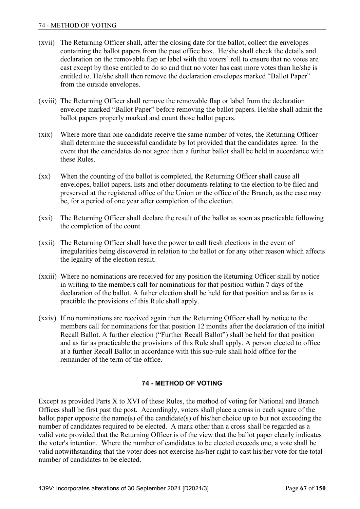- (xvii) The Returning Officer shall, after the closing date for the ballot, collect the envelopes containing the ballot papers from the post office box. He/she shall check the details and declaration on the removable flap or label with the voters' roll to ensure that no votes are cast except by those entitled to do so and that no voter has cast more votes than he/she is entitled to. He/she shall then remove the declaration envelopes marked "Ballot Paper" from the outside envelopes.
- (xviii) The Returning Officer shall remove the removable flap or label from the declaration envelope marked "Ballot Paper" before removing the ballot papers. He/she shall admit the ballot papers properly marked and count those ballot papers.
- (xix) Where more than one candidate receive the same number of votes, the Returning Officer shall determine the successful candidate by lot provided that the candidates agree. In the event that the candidates do not agree then a further ballot shall be held in accordance with these Rules.
- (xx) When the counting of the ballot is completed, the Returning Officer shall cause all envelopes, ballot papers, lists and other documents relating to the election to be filed and preserved at the registered office of the Union or the office of the Branch, as the case may be, for a period of one year after completion of the election.
- (xxi) The Returning Officer shall declare the result of the ballot as soon as practicable following the completion of the count.
- (xxii) The Returning Officer shall have the power to call fresh elections in the event of irregularities being discovered in relation to the ballot or for any other reason which affects the legality of the election result.
- (xxiii) Where no nominations are received for any position the Returning Officer shall by notice in writing to the members call for nominations for that position within 7 days of the declaration of the ballot. A futher election shall be held for that position and as far as is practible the provisions of this Rule shall apply.
- (xxiv) If no nominations are received again then the Returning Officer shall by notice to the members call for nominations for that position 12 months after the declaration of the initial Recall Ballot. A further election ("Further Recall Ballot") shall be held for that position and as far as practicable the provisions of this Rule shall apply. A person elected to office at a further Recall Ballot in accordance with this sub-rule shall hold office for the remainder of the term of the office.

# **74 - METHOD OF VOTING**

Except as provided Parts X to XVI of these Rules, the method of voting for National and Branch Offices shall be first past the post. Accordingly, voters shall place a cross in each square of the ballot paper opposite the name(s) of the candidate(s) of his/her choice up to but not exceeding the number of candidates required to be elected. A mark other than a cross shall be regarded as a valid vote provided that the Returning Officer is of the view that the ballot paper clearly indicates the voter's intention. Where the number of candidates to be elected exceeds one, a vote shall be valid notwithstanding that the voter does not exercise his/her right to cast his/her vote for the total number of candidates to be elected.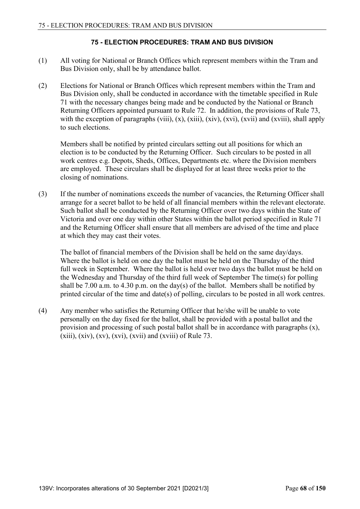### **75 - ELECTION PROCEDURES: TRAM AND BUS DIVISION**

- (1) All voting for National or Branch Offices which represent members within the Tram and Bus Division only, shall be by attendance ballot.
- (2) Elections for National or Branch Offices which represent members within the Tram and Bus Division only, shall be conducted in accordance with the timetable specified in Rule 71 with the necessary changes being made and be conducted by the National or Branch Returning Officers appointed pursuant to Rule 72. In addition, the provisions of Rule 73, with the exception of paragraphs (viii),  $(x)$ ,  $(xii)$ ,  $(xiv)$ ,  $(xvi)$ ,  $(xvii)$  and  $(xviii)$ , shall apply to such elections.

 Members shall be notified by printed circulars setting out all positions for which an election is to be conducted by the Returning Officer. Such circulars to be posted in all work centres e.g. Depots, Sheds, Offices, Departments etc. where the Division members are employed. These circulars shall be displayed for at least three weeks prior to the closing of nominations.

(3) If the number of nominations exceeds the number of vacancies, the Returning Officer shall arrange for a secret ballot to be held of all financial members within the relevant electorate. Such ballot shall be conducted by the Returning Officer over two days within the State of Victoria and over one day within other States within the ballot period specified in Rule 71 and the Returning Officer shall ensure that all members are advised of the time and place at which they may cast their votes.

 The ballot of financial members of the Division shall be held on the same day/days. Where the ballot is held on one day the ballot must be held on the Thursday of the third full week in September. Where the ballot is held over two days the ballot must be held on the Wednesday and Thursday of the third full week of September The time(s) for polling shall be 7.00 a.m. to 4.30 p.m. on the day(s) of the ballot. Members shall be notified by printed circular of the time and date(s) of polling, circulars to be posted in all work centres.

(4) Any member who satisfies the Returning Officer that he/she will be unable to vote personally on the day fixed for the ballot, shall be provided with a postal ballot and the provision and processing of such postal ballot shall be in accordance with paragraphs (x),  $(xiii)$ ,  $(xiv)$ ,  $(xv)$ ,  $(xvi)$ ,  $(xvii)$  and  $(xviii)$  of Rule 73.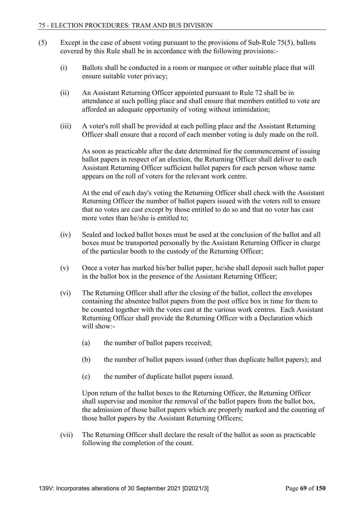- (5) Except in the case of absent voting pursuant to the provisions of Sub-Rule 75(5), ballots covered by this Rule shall be in accordance with the following provisions:-
	- (i) Ballots shall be conducted in a room or marquee or other suitable place that will ensure suitable voter privacy;
	- (ii) An Assistant Returning Officer appointed pursuant to Rule 72 shall be in attendance at such polling place and shall ensure that members entitled to vote are afforded an adequate opportunity of voting without intimidation;
	- (iii) A voter's roll shall be provided at each polling place and the Assistant Returning Officer shall ensure that a record of each member voting is duly made on the roll.

 As soon as practicable after the date determined for the commencement of issuing ballot papers in respect of an election, the Returning Officer shall deliver to each Assistant Returning Officer sufficient ballot papers for each person whose name appears on the roll of voters for the relevant work centre.

 At the end of each day's voting the Returning Officer shall check with the Assistant Returning Officer the number of ballot papers issued with the voters roll to ensure that no votes are cast except by those entitled to do so and that no voter has cast more votes than he/she is entitled to;

- (iv) Sealed and locked ballot boxes must be used at the conclusion of the ballot and all boxes must be transported personally by the Assistant Returning Officer in charge of the particular booth to the custody of the Returning Officer;
- (v) Once a voter has marked his/her ballot paper, he/she shall deposit such ballot paper in the ballot box in the presence of the Assistant Returning Officer;
- (vi) The Returning Officer shall after the closing of the ballot, collect the envelopes containing the absentee ballot papers from the post office box in time for them to be counted together with the votes cast at the various work centres. Each Assistant Returning Officer shall provide the Returning Officer with a Declaration which will show:-
	- (a) the number of ballot papers received;
	- (b) the number of ballot papers issued (other than duplicate ballot papers); and
	- (c) the number of duplicate ballot papers issued.

 Upon return of the ballot boxes to the Returning Officer, the Returning Officer shall supervise and monitor the removal of the ballot papers from the ballot box, the admission of those ballot papers which are properly marked and the counting of those ballot papers by the Assistant Returning Officers;

 (vii) The Returning Officer shall declare the result of the ballot as soon as practicable following the completion of the count.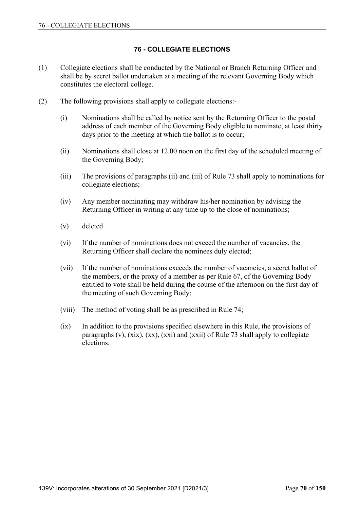# **76 - COLLEGIATE ELECTIONS**

- (1) Collegiate elections shall be conducted by the National or Branch Returning Officer and shall be by secret ballot undertaken at a meeting of the relevant Governing Body which constitutes the electoral college.
- (2) The following provisions shall apply to collegiate elections:-
	- (i) Nominations shall be called by notice sent by the Returning Officer to the postal address of each member of the Governing Body eligible to nominate, at least thirty days prior to the meeting at which the ballot is to occur;
	- (ii) Nominations shall close at 12.00 noon on the first day of the scheduled meeting of the Governing Body;
	- (iii) The provisions of paragraphs (ii) and (iii) of Rule 73 shall apply to nominations for collegiate elections;
	- (iv) Any member nominating may withdraw his/her nomination by advising the Returning Officer in writing at any time up to the close of nominations;
	- (v) deleted
	- (vi) If the number of nominations does not exceed the number of vacancies, the Returning Officer shall declare the nominees duly elected;
	- (vii) If the number of nominations exceeds the number of vacancies, a secret ballot of the members, or the proxy of a member as per Rule 67, of the Governing Body entitled to vote shall be held during the course of the afternoon on the first day of the meeting of such Governing Body;
	- (viii) The method of voting shall be as prescribed in Rule 74;
	- (ix) In addition to the provisions specified elsewhere in this Rule, the provisions of paragraphs (v), (xix), (xx), (xxi) and (xxii) of Rule 73 shall apply to collegiate elections.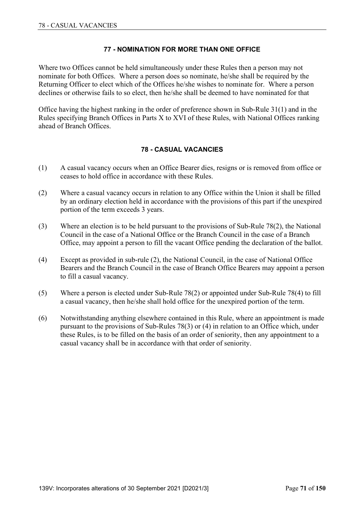# **77 - NOMINATION FOR MORE THAN ONE OFFICE**

Where two Offices cannot be held simultaneously under these Rules then a person may not nominate for both Offices. Where a person does so nominate, he/she shall be required by the Returning Officer to elect which of the Offices he/she wishes to nominate for. Where a person declines or otherwise fails to so elect, then he/she shall be deemed to have nominated for that

Office having the highest ranking in the order of preference shown in Sub-Rule 31(1) and in the Rules specifying Branch Offices in Parts X to XVI of these Rules, with National Offices ranking ahead of Branch Offices.

### **78 - CASUAL VACANCIES**

- (1) A casual vacancy occurs when an Office Bearer dies, resigns or is removed from office or ceases to hold office in accordance with these Rules.
- (2) Where a casual vacancy occurs in relation to any Office within the Union it shall be filled by an ordinary election held in accordance with the provisions of this part if the unexpired portion of the term exceeds 3 years.
- (3) Where an election is to be held pursuant to the provisions of Sub-Rule 78(2), the National Council in the case of a National Office or the Branch Council in the case of a Branch Office, may appoint a person to fill the vacant Office pending the declaration of the ballot.
- (4) Except as provided in sub-rule (2), the National Council, in the case of National Office Bearers and the Branch Council in the case of Branch Office Bearers may appoint a person to fill a casual vacancy.
- (5) Where a person is elected under Sub-Rule 78(2) or appointed under Sub-Rule 78(4) to fill a casual vacancy, then he/she shall hold office for the unexpired portion of the term.
- (6) Notwithstanding anything elsewhere contained in this Rule, where an appointment is made pursuant to the provisions of Sub-Rules 78(3) or (4) in relation to an Office which, under these Rules, is to be filled on the basis of an order of seniority, then any appointment to a casual vacancy shall be in accordance with that order of seniority.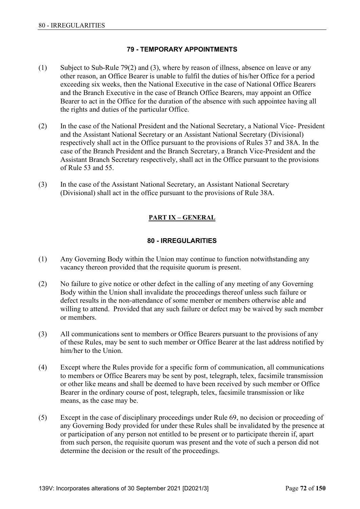## **79 - TEMPORARY APPOINTMENTS**

- (1) Subject to Sub-Rule 79(2) and (3), where by reason of illness, absence on leave or any other reason, an Office Bearer is unable to fulfil the duties of his/her Office for a period exceeding six weeks, then the National Executive in the case of National Office Bearers and the Branch Executive in the case of Branch Office Bearers, may appoint an Office Bearer to act in the Office for the duration of the absence with such appointee having all the rights and duties of the particular Office.
- (2) In the case of the National President and the National Secretary, a National Vice- President and the Assistant National Secretary or an Assistant National Secretary (Divisional) respectively shall act in the Office pursuant to the provisions of Rules 37 and 38A. In the case of the Branch President and the Branch Secretary, a Branch Vice-President and the Assistant Branch Secretary respectively, shall act in the Office pursuant to the provisions of Rule 53 and 55.
- (3) In the case of the Assistant National Secretary, an Assistant National Secretary (Divisional) shall act in the office pursuant to the provisions of Rule 38A.

# **PART IX – GENERAL**

# **80 - IRREGULARITIES**

- (1) Any Governing Body within the Union may continue to function notwithstanding any vacancy thereon provided that the requisite quorum is present.
- (2) No failure to give notice or other defect in the calling of any meeting of any Governing Body within the Union shall invalidate the proceedings thereof unless such failure or defect results in the non-attendance of some member or members otherwise able and willing to attend. Provided that any such failure or defect may be waived by such member or members.
- (3) All communications sent to members or Office Bearers pursuant to the provisions of any of these Rules, may be sent to such member or Office Bearer at the last address notified by him/her to the Union.
- (4) Except where the Rules provide for a specific form of communication, all communications to members or Office Bearers may be sent by post, telegraph, telex, facsimile transmission or other like means and shall be deemed to have been received by such member or Office Bearer in the ordinary course of post, telegraph, telex, facsimile transmission or like means, as the case may be.
- (5) Except in the case of disciplinary proceedings under Rule 69, no decision or proceeding of any Governing Body provided for under these Rules shall be invalidated by the presence at or participation of any person not entitled to be present or to participate therein if, apart from such person, the requisite quorum was present and the vote of such a person did not determine the decision or the result of the proceedings.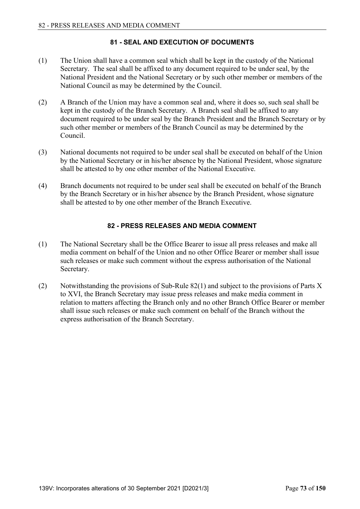# **81 - SEAL AND EXECUTION OF DOCUMENTS**

- (1) The Union shall have a common seal which shall be kept in the custody of the National Secretary. The seal shall be affixed to any document required to be under seal, by the National President and the National Secretary or by such other member or members of the National Council as may be determined by the Council.
- (2) A Branch of the Union may have a common seal and, where it does so, such seal shall be kept in the custody of the Branch Secretary. A Branch seal shall be affixed to any document required to be under seal by the Branch President and the Branch Secretary or by such other member or members of the Branch Council as may be determined by the Council.
- (3) National documents not required to be under seal shall be executed on behalf of the Union by the National Secretary or in his/her absence by the National President, whose signature shall be attested to by one other member of the National Executive.
- (4) Branch documents not required to be under seal shall be executed on behalf of the Branch by the Branch Secretary or in his/her absence by the Branch President, whose signature shall be attested to by one other member of the Branch Executive.

### **82 - PRESS RELEASES AND MEDIA COMMENT**

- (1) The National Secretary shall be the Office Bearer to issue all press releases and make all media comment on behalf of the Union and no other Office Bearer or member shall issue such releases or make such comment without the express authorisation of the National Secretary.
- (2) Notwithstanding the provisions of Sub-Rule 82(1) and subject to the provisions of Parts X to XVI, the Branch Secretary may issue press releases and make media comment in relation to matters affecting the Branch only and no other Branch Office Bearer or member shall issue such releases or make such comment on behalf of the Branch without the express authorisation of the Branch Secretary.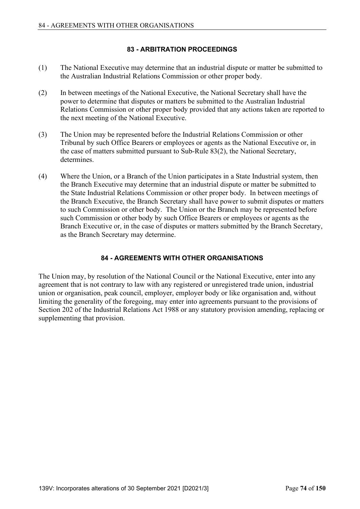# **83 - ARBITRATION PROCEEDINGS**

- (1) The National Executive may determine that an industrial dispute or matter be submitted to the Australian Industrial Relations Commission or other proper body.
- (2) In between meetings of the National Executive, the National Secretary shall have the power to determine that disputes or matters be submitted to the Australian Industrial Relations Commission or other proper body provided that any actions taken are reported to the next meeting of the National Executive.
- (3) The Union may be represented before the Industrial Relations Commission or other Tribunal by such Office Bearers or employees or agents as the National Executive or, in the case of matters submitted pursuant to Sub-Rule 83(2), the National Secretary, determines.
- (4) Where the Union, or a Branch of the Union participates in a State Industrial system, then the Branch Executive may determine that an industrial dispute or matter be submitted to the State Industrial Relations Commission or other proper body. In between meetings of the Branch Executive, the Branch Secretary shall have power to submit disputes or matters to such Commission or other body. The Union or the Branch may be represented before such Commission or other body by such Office Bearers or employees or agents as the Branch Executive or, in the case of disputes or matters submitted by the Branch Secretary, as the Branch Secretary may determine.

# **84 - AGREEMENTS WITH OTHER ORGANISATIONS**

The Union may, by resolution of the National Council or the National Executive, enter into any agreement that is not contrary to law with any registered or unregistered trade union, industrial union or organisation, peak council, employer, employer body or like organisation and, without limiting the generality of the foregoing, may enter into agreements pursuant to the provisions of Section 202 of the Industrial Relations Act 1988 or any statutory provision amending, replacing or supplementing that provision.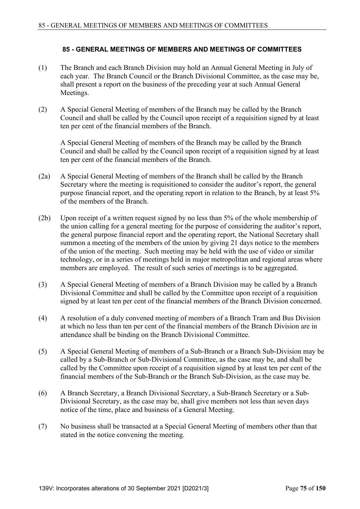# **85 - GENERAL MEETINGS OF MEMBERS AND MEETINGS OF COMMITTEES**

- (1) The Branch and each Branch Division may hold an Annual General Meeting in July of each year. The Branch Council or the Branch Divisional Committee, as the case may be, shall present a report on the business of the preceding year at such Annual General Meetings.
- (2) A Special General Meeting of members of the Branch may be called by the Branch Council and shall be called by the Council upon receipt of a requisition signed by at least ten per cent of the financial members of the Branch.

 A Special General Meeting of members of the Branch may be called by the Branch Council and shall be called by the Council upon receipt of a requisition signed by at least ten per cent of the financial members of the Branch.

- (2a) A Special General Meeting of members of the Branch shall be called by the Branch Secretary where the meeting is requisitioned to consider the auditor's report, the general purpose financial report, and the operating report in relation to the Branch, by at least 5% of the members of the Branch.
- (2b) Upon receipt of a written request signed by no less than 5% of the whole membership of the union calling for a general meeting for the purpose of considering the auditor's report, the general purpose financial report and the operating report, the National Secretary shall summon a meeting of the members of the union by giving 21 days notice to the members of the union of the meeting. Such meeting may be held with the use of video or similar technology, or in a series of meetings held in major metropolitan and regional areas where members are employed. The result of such series of meetings is to be aggregated.
- (3) A Special General Meeting of members of a Branch Division may be called by a Branch Divisional Committee and shall be called by the Committee upon receipt of a requisition signed by at least ten per cent of the financial members of the Branch Division concerned.
- (4) A resolution of a duly convened meeting of members of a Branch Tram and Bus Division at which no less than ten per cent of the financial members of the Branch Division are in attendance shall be binding on the Branch Divisional Committee.
- (5) A Special General Meeting of members of a Sub-Branch or a Branch Sub-Division may be called by a Sub-Branch or Sub-Divisional Committee, as the case may be, and shall be called by the Committee upon receipt of a requisition signed by at least ten per cent of the financial members of the Sub-Branch or the Branch Sub-Division, as the case may be.
- (6) A Branch Secretary, a Branch Divisional Secretary, a Sub-Branch Secretary or a Sub-Divisional Secretary, as the case may be, shall give members not less than seven days notice of the time, place and business of a General Meeting.
- (7) No business shall be transacted at a Special General Meeting of members other than that stated in the notice convening the meeting.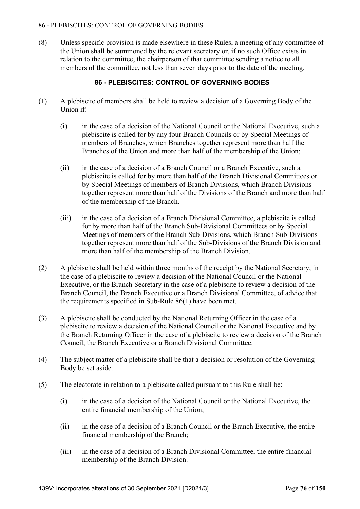(8) Unless specific provision is made elsewhere in these Rules, a meeting of any committee of the Union shall be summoned by the relevant secretary or, if no such Office exists in relation to the committee, the chairperson of that committee sending a notice to all members of the committee, not less than seven days prior to the date of the meeting.

# **86 - PLEBISCITES: CONTROL OF GOVERNING BODIES**

- (1) A plebiscite of members shall be held to review a decision of a Governing Body of the Union if:-
	- (i) in the case of a decision of the National Council or the National Executive, such a plebiscite is called for by any four Branch Councils or by Special Meetings of members of Branches, which Branches together represent more than half the Branches of the Union and more than half of the membership of the Union;
	- (ii) in the case of a decision of a Branch Council or a Branch Executive, such a plebiscite is called for by more than half of the Branch Divisional Committees or by Special Meetings of members of Branch Divisions, which Branch Divisions together represent more than half of the Divisions of the Branch and more than half of the membership of the Branch.
	- (iii) in the case of a decision of a Branch Divisional Committee, a plebiscite is called for by more than half of the Branch Sub-Divisional Committees or by Special Meetings of members of the Branch Sub-Divisions, which Branch Sub-Divisions together represent more than half of the Sub-Divisions of the Branch Division and more than half of the membership of the Branch Division.
- (2) A plebiscite shall be held within three months of the receipt by the National Secretary, in the case of a plebiscite to review a decision of the National Council or the National Executive, or the Branch Secretary in the case of a plebiscite to review a decision of the Branch Council, the Branch Executive or a Branch Divisional Committee, of advice that the requirements specified in Sub-Rule 86(1) have been met.
- (3) A plebiscite shall be conducted by the National Returning Officer in the case of a plebiscite to review a decision of the National Council or the National Executive and by the Branch Returning Officer in the case of a plebiscite to review a decision of the Branch Council, the Branch Executive or a Branch Divisional Committee.
- (4) The subject matter of a plebiscite shall be that a decision or resolution of the Governing Body be set aside.
- (5) The electorate in relation to a plebiscite called pursuant to this Rule shall be:-
	- (i) in the case of a decision of the National Council or the National Executive, the entire financial membership of the Union;
	- (ii) in the case of a decision of a Branch Council or the Branch Executive, the entire financial membership of the Branch;
	- (iii) in the case of a decision of a Branch Divisional Committee, the entire financial membership of the Branch Division.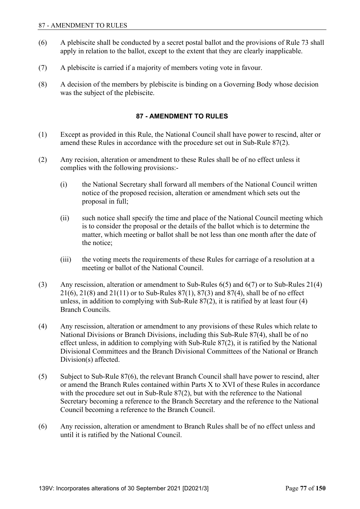- (6) A plebiscite shall be conducted by a secret postal ballot and the provisions of Rule 73 shall apply in relation to the ballot, except to the extent that they are clearly inapplicable.
- (7) A plebiscite is carried if a majority of members voting vote in favour.
- (8) A decision of the members by plebiscite is binding on a Governing Body whose decision was the subject of the plebiscite.

### **87 - AMENDMENT TO RULES**

- (1) Except as provided in this Rule, the National Council shall have power to rescind, alter or amend these Rules in accordance with the procedure set out in Sub-Rule 87(2).
- (2) Any recision, alteration or amendment to these Rules shall be of no effect unless it complies with the following provisions:-
	- (i) the National Secretary shall forward all members of the National Council written notice of the proposed recision, alteration or amendment which sets out the proposal in full;
	- (ii) such notice shall specify the time and place of the National Council meeting which is to consider the proposal or the details of the ballot which is to determine the matter, which meeting or ballot shall be not less than one month after the date of the notice;
	- (iii) the voting meets the requirements of these Rules for carriage of a resolution at a meeting or ballot of the National Council.
- (3) Any rescission, alteration or amendment to Sub-Rules 6(5) and 6(7) or to Sub-Rules 21(4) 21(6), 21(8) and 21(11) or to Sub-Rules 87(1), 87(3) and 87(4), shall be of no effect unless, in addition to complying with Sub-Rule 87(2), it is ratified by at least four (4) Branch Councils.
- (4) Any rescission, alteration or amendment to any provisions of these Rules which relate to National Divisions or Branch Divisions, including this Sub-Rule 87(4), shall be of no effect unless, in addition to complying with Sub-Rule 87(2), it is ratified by the National Divisional Committees and the Branch Divisional Committees of the National or Branch Division(s) affected.
- (5) Subject to Sub-Rule 87(6), the relevant Branch Council shall have power to rescind, alter or amend the Branch Rules contained within Parts X to XVI of these Rules in accordance with the procedure set out in Sub-Rule 87(2), but with the reference to the National Secretary becoming a reference to the Branch Secretary and the reference to the National Council becoming a reference to the Branch Council.
- (6) Any recission, alteration or amendment to Branch Rules shall be of no effect unless and until it is ratified by the National Council.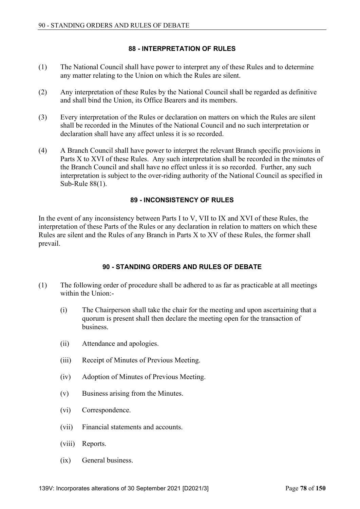# **88 - INTERPRETATION OF RULES**

- (1) The National Council shall have power to interpret any of these Rules and to determine any matter relating to the Union on which the Rules are silent.
- (2) Any interpretation of these Rules by the National Council shall be regarded as definitive and shall bind the Union, its Office Bearers and its members.
- (3) Every interpretation of the Rules or declaration on matters on which the Rules are silent shall be recorded in the Minutes of the National Council and no such interpretation or declaration shall have any affect unless it is so recorded.
- (4) A Branch Council shall have power to interpret the relevant Branch specific provisions in Parts X to XVI of these Rules. Any such interpretation shall be recorded in the minutes of the Branch Council and shall have no effect unless it is so recorded. Further, any such interpretation is subject to the over-riding authority of the National Council as specified in Sub-Rule 88(1).

# **89 - INCONSISTENCY OF RULES**

In the event of any inconsistency between Parts I to V, VII to IX and XVI of these Rules, the interpretation of these Parts of the Rules or any declaration in relation to matters on which these Rules are silent and the Rules of any Branch in Parts X to XV of these Rules, the former shall prevail.

# **90 - STANDING ORDERS AND RULES OF DEBATE**

- (1) The following order of procedure shall be adhered to as far as practicable at all meetings within the Union:-
	- (i) The Chairperson shall take the chair for the meeting and upon ascertaining that a quorum is present shall then declare the meeting open for the transaction of business.
	- (ii) Attendance and apologies.
	- (iii) Receipt of Minutes of Previous Meeting.
	- (iv) Adoption of Minutes of Previous Meeting.
	- (v) Business arising from the Minutes.
	- (vi) Correspondence.
	- (vii) Financial statements and accounts.
	- (viii) Reports.
	- (ix) General business.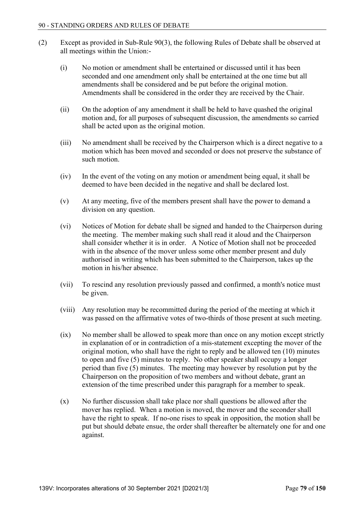- (2) Except as provided in Sub-Rule 90(3), the following Rules of Debate shall be observed at all meetings within the Union:-
	- (i) No motion or amendment shall be entertained or discussed until it has been seconded and one amendment only shall be entertained at the one time but all amendments shall be considered and be put before the original motion. Amendments shall be considered in the order they are received by the Chair.
	- (ii) On the adoption of any amendment it shall be held to have quashed the original motion and, for all purposes of subsequent discussion, the amendments so carried shall be acted upon as the original motion.
	- (iii) No amendment shall be received by the Chairperson which is a direct negative to a motion which has been moved and seconded or does not preserve the substance of such motion.
	- (iv) In the event of the voting on any motion or amendment being equal, it shall be deemed to have been decided in the negative and shall be declared lost.
	- (v) At any meeting, five of the members present shall have the power to demand a division on any question.
	- (vi) Notices of Motion for debate shall be signed and handed to the Chairperson during the meeting. The member making such shall read it aloud and the Chairperson shall consider whether it is in order. A Notice of Motion shall not be proceeded with in the absence of the mover unless some other member present and duly authorised in writing which has been submitted to the Chairperson, takes up the motion in his/her absence.
	- (vii) To rescind any resolution previously passed and confirmed, a month's notice must be given.
	- (viii) Any resolution may be recommitted during the period of the meeting at which it was passed on the affirmative votes of two-thirds of those present at such meeting.
	- (ix) No member shall be allowed to speak more than once on any motion except strictly in explanation of or in contradiction of a mis-statement excepting the mover of the original motion, who shall have the right to reply and be allowed ten (10) minutes to open and five (5) minutes to reply. No other speaker shall occupy a longer period than five (5) minutes. The meeting may however by resolution put by the Chairperson on the proposition of two members and without debate, grant an extension of the time prescribed under this paragraph for a member to speak.
	- $(x)$  No further discussion shall take place nor shall questions be allowed after the mover has replied. When a motion is moved, the mover and the seconder shall have the right to speak. If no-one rises to speak in opposition, the motion shall be put but should debate ensue, the order shall thereafter be alternately one for and one against.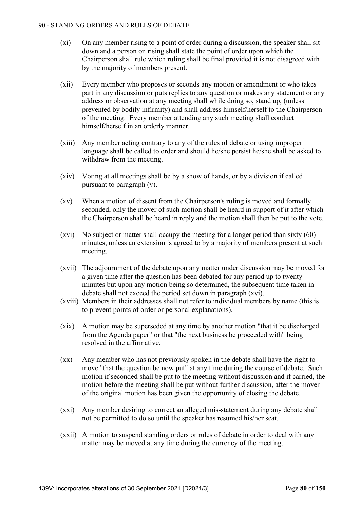- (xi) On any member rising to a point of order during a discussion, the speaker shall sit down and a person on rising shall state the point of order upon which the Chairperson shall rule which ruling shall be final provided it is not disagreed with by the majority of members present.
- (xii) Every member who proposes or seconds any motion or amendment or who takes part in any discussion or puts replies to any question or makes any statement or any address or observation at any meeting shall while doing so, stand up, (unless prevented by bodily infirmity) and shall address himself/herself to the Chairperson of the meeting. Every member attending any such meeting shall conduct himself/herself in an orderly manner.
- (xiii) Any member acting contrary to any of the rules of debate or using improper language shall be called to order and should he/she persist he/she shall be asked to withdraw from the meeting.
- (xiv) Voting at all meetings shall be by a show of hands, or by a division if called pursuant to paragraph (v).
- (xv) When a motion of dissent from the Chairperson's ruling is moved and formally seconded, only the mover of such motion shall be heard in support of it after which the Chairperson shall be heard in reply and the motion shall then be put to the vote.
- (xvi) No subject or matter shall occupy the meeting for a longer period than sixty (60) minutes, unless an extension is agreed to by a majority of members present at such meeting.
- (xvii) The adjournment of the debate upon any matter under discussion may be moved for a given time after the question has been debated for any period up to twenty minutes but upon any motion being so determined, the subsequent time taken in debate shall not exceed the period set down in paragraph (xvi).
- (xviii) Members in their addresses shall not refer to individual members by name (this is to prevent points of order or personal explanations).
- (xix) A motion may be superseded at any time by another motion "that it be discharged from the Agenda paper" or that "the next business be proceeded with" being resolved in the affirmative.
- (xx) Any member who has not previously spoken in the debate shall have the right to move "that the question be now put" at any time during the course of debate. Such motion if seconded shall be put to the meeting without discussion and if carried, the motion before the meeting shall be put without further discussion, after the mover of the original motion has been given the opportunity of closing the debate.
- (xxi) Any member desiring to correct an alleged mis-statement during any debate shall not be permitted to do so until the speaker has resumed his/her seat.
- (xxii) A motion to suspend standing orders or rules of debate in order to deal with any matter may be moved at any time during the currency of the meeting.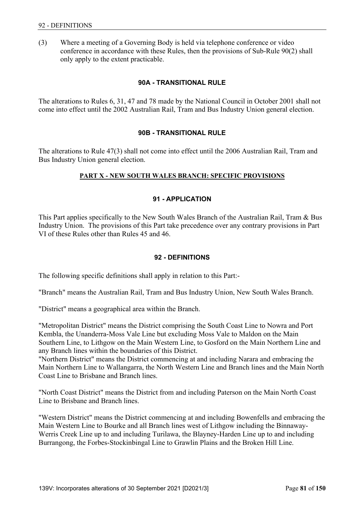(3) Where a meeting of a Governing Body is held via telephone conference or video conference in accordance with these Rules, then the provisions of Sub-Rule 90(2) shall only apply to the extent practicable.

#### **90A - TRANSITIONAL RULE**

The alterations to Rules 6, 31, 47 and 78 made by the National Council in October 2001 shall not come into effect until the 2002 Australian Rail, Tram and Bus Industry Union general election.

#### **90B - TRANSITIONAL RULE**

The alterations to Rule 47(3) shall not come into effect until the 2006 Australian Rail, Tram and Bus Industry Union general election.

### **PART X - NEW SOUTH WALES BRANCH: SPECIFIC PROVISIONS**

#### **91 - APPLICATION**

This Part applies specifically to the New South Wales Branch of the Australian Rail, Tram & Bus Industry Union. The provisions of this Part take precedence over any contrary provisions in Part VI of these Rules other than Rules 45 and 46.

#### **92 - DEFINITIONS**

The following specific definitions shall apply in relation to this Part:-

"Branch" means the Australian Rail, Tram and Bus Industry Union, New South Wales Branch.

"District" means a geographical area within the Branch.

"Metropolitan District" means the District comprising the South Coast Line to Nowra and Port Kembla, the Unanderra-Moss Vale Line but excluding Moss Vale to Maldon on the Main Southern Line, to Lithgow on the Main Western Line, to Gosford on the Main Northern Line and any Branch lines within the boundaries of this District.

"Northern District" means the District commencing at and including Narara and embracing the Main Northern Line to Wallangarra, the North Western Line and Branch lines and the Main North Coast Line to Brisbane and Branch lines.

"North Coast District" means the District from and including Paterson on the Main North Coast Line to Brisbane and Branch lines.

"Western District" means the District commencing at and including Bowenfells and embracing the Main Western Line to Bourke and all Branch lines west of Lithgow including the Binnaway-Werris Creek Line up to and including Turilawa, the Blayney-Harden Line up to and including Burrangong, the Forbes-Stockinbingal Line to Grawlin Plains and the Broken Hill Line.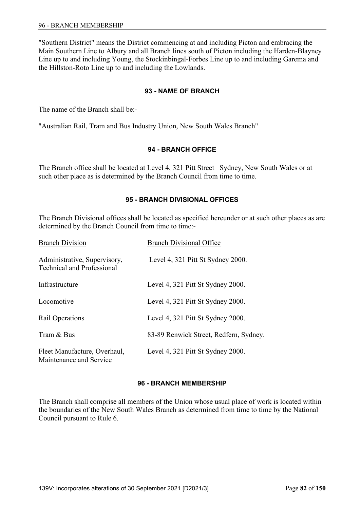"Southern District" means the District commencing at and including Picton and embracing the Main Southern Line to Albury and all Branch lines south of Picton including the Harden-Blayney Line up to and including Young, the Stockinbingal-Forbes Line up to and including Garema and the Hillston-Roto Line up to and including the Lowlands.

## **93 - NAME OF BRANCH**

The name of the Branch shall be:-

"Australian Rail, Tram and Bus Industry Union, New South Wales Branch"

### **94 - BRANCH OFFICE**

The Branch office shall be located at Level 4, 321 Pitt Street Sydney, New South Wales or at such other place as is determined by the Branch Council from time to time.

### **95 - BRANCH DIVISIONAL OFFICES**

The Branch Divisional offices shall be located as specified hereunder or at such other places as are determined by the Branch Council from time to time:-

| <b>Branch Division</b>                                            | <b>Branch Divisional Office</b>        |
|-------------------------------------------------------------------|----------------------------------------|
| Administrative, Supervisory,<br><b>Technical and Professional</b> | Level 4, 321 Pitt St Sydney 2000.      |
| Infrastructure                                                    | Level 4, 321 Pitt St Sydney 2000.      |
| Locomotive                                                        | Level 4, 321 Pitt St Sydney 2000.      |
| Rail Operations                                                   | Level 4, 321 Pitt St Sydney 2000.      |
| Tram & Bus                                                        | 83-89 Renwick Street, Redfern, Sydney. |
| Fleet Manufacture, Overhaul,<br>Maintenance and Service           | Level 4, 321 Pitt St Sydney 2000.      |

### **96 - BRANCH MEMBERSHIP**

The Branch shall comprise all members of the Union whose usual place of work is located within the boundaries of the New South Wales Branch as determined from time to time by the National Council pursuant to Rule 6.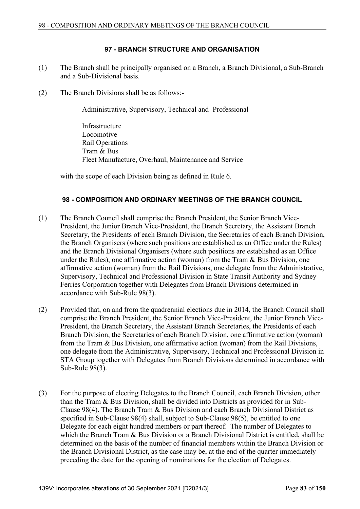# **97 - BRANCH STRUCTURE AND ORGANISATION**

- (1) The Branch shall be principally organised on a Branch, a Branch Divisional, a Sub-Branch and a Sub-Divisional basis.
- (2) The Branch Divisions shall be as follows:-

Administrative, Supervisory, Technical and Professional

 Infrastructure Locomotive Rail Operations Tram & Bus Fleet Manufacture, Overhaul, Maintenance and Service

with the scope of each Division being as defined in Rule 6.

### **98 - COMPOSITION AND ORDINARY MEETINGS OF THE BRANCH COUNCIL**

- (1) The Branch Council shall comprise the Branch President, the Senior Branch Vice-President, the Junior Branch Vice-President, the Branch Secretary, the Assistant Branch Secretary, the Presidents of each Branch Division, the Secretaries of each Branch Division, the Branch Organisers (where such positions are established as an Office under the Rules) and the Branch Divisional Organisers (where such positions are established as an Office under the Rules), one affirmative action (woman) from the Tram & Bus Division, one affirmative action (woman) from the Rail Divisions, one delegate from the Administrative, Supervisory, Technical and Professional Division in State Transit Authority and Sydney Ferries Corporation together with Delegates from Branch Divisions determined in accordance with Sub-Rule 98(3).
- (2) Provided that, on and from the quadrennial elections due in 2014, the Branch Council shall comprise the Branch President, the Senior Branch Vice-President, the Junior Branch Vice-President, the Branch Secretary, the Assistant Branch Secretaries, the Presidents of each Branch Division, the Secretaries of each Branch Division, one affirmative action (woman) from the Tram & Bus Division, one affirmative action (woman) from the Rail Divisions, one delegate from the Administrative, Supervisory, Technical and Professional Division in STA Group together with Delegates from Branch Divisions determined in accordance with Sub-Rule 98(3).
- (3) For the purpose of electing Delegates to the Branch Council, each Branch Division, other than the Tram & Bus Division, shall be divided into Districts as provided for in Sub-Clause 98(4). The Branch Tram & Bus Division and each Branch Divisional District as specified in Sub-Clause 98(4) shall, subject to Sub-Clause 98(5), be entitled to one Delegate for each eight hundred members or part thereof. The number of Delegates to which the Branch Tram & Bus Division or a Branch Divisional District is entitled, shall be determined on the basis of the number of financial members within the Branch Division or the Branch Divisional District, as the case may be, at the end of the quarter immediately preceding the date for the opening of nominations for the election of Delegates.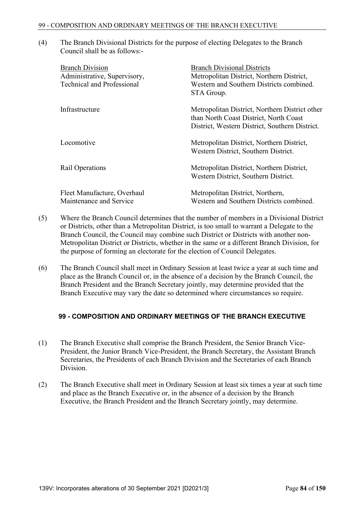(4) The Branch Divisional Districts for the purpose of electing Delegates to the Branch Council shall be as follows:-

| <b>Branch Division</b><br>Administrative, Supervisory,<br><b>Technical and Professional</b> | <b>Branch Divisional Districts</b><br>Metropolitan District, Northern District,<br>Western and Southern Districts combined.<br>STA Group.  |
|---------------------------------------------------------------------------------------------|--------------------------------------------------------------------------------------------------------------------------------------------|
| Infrastructure                                                                              | Metropolitan District, Northern District other<br>than North Coast District, North Coast<br>District, Western District, Southern District. |
| Locomotive                                                                                  | Metropolitan District, Northern District,<br>Western District, Southern District.                                                          |
| Rail Operations                                                                             | Metropolitan District, Northern District,<br>Western District, Southern District.                                                          |
| Fleet Manufacture, Overhaul<br>Maintenance and Service                                      | Metropolitan District, Northern,<br>Western and Southern Districts combined.                                                               |

- (5) Where the Branch Council determines that the number of members in a Divisional District or Districts, other than a Metropolitan District, is too small to warrant a Delegate to the Branch Council, the Council may combine such District or Districts with another non-Metropolitan District or Districts, whether in the same or a different Branch Division, for the purpose of forming an electorate for the election of Council Delegates.
- (6) The Branch Council shall meet in Ordinary Session at least twice a year at such time and place as the Branch Council or, in the absence of a decision by the Branch Council, the Branch President and the Branch Secretary jointly, may determine provided that the Branch Executive may vary the date so determined where circumstances so require.

### **99 - COMPOSITION AND ORDINARY MEETINGS OF THE BRANCH EXECUTIVE**

- (1) The Branch Executive shall comprise the Branch President, the Senior Branch Vice-President, the Junior Branch Vice-President, the Branch Secretary, the Assistant Branch Secretaries, the Presidents of each Branch Division and the Secretaries of each Branch Division.
- (2) The Branch Executive shall meet in Ordinary Session at least six times a year at such time and place as the Branch Executive or, in the absence of a decision by the Branch Executive, the Branch President and the Branch Secretary jointly, may determine.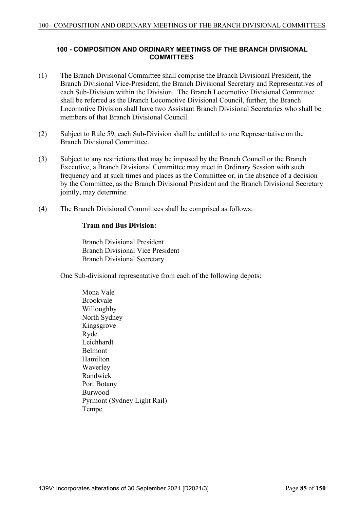# **100 - COMPOSITION AND ORDINARY MEETINGS OF THE BRANCH DIVISIONAL COMMITTEES**

- (1) The Branch Divisional Committee shall comprise the Branch Divisional President, the Branch Divisional Vice-President, the Branch Divisional Secretary and Representatives of each Sub-Division within the Division. The Branch Locomotive Divisional Committee shall be referred as the Branch Locomotive Divisional Council, further, the Branch Locomotive Division shall have two Assistant Branch Divisional Secretaries who shall be members of that Branch Divisional Council.
- (2) Subject to Rule 59, each Sub-Division shall be entitled to one Representative on the Branch Divisional Committee.
- (3) Subject to any restrictions that may be imposed by the Branch Council or the Branch Executive, a Branch Divisional Committee may meet in Ordinary Session with such frequency and at such times and places as the Committee or, in the absence of a decision by the Committee, as the Branch Divisional President and the Branch Divisional Secretary jointly, may determine.
- (4) The Branch Divisional Committees shall be comprised as follows:

### **Tram and Bus Division:**

 Branch Divisional President Branch Divisional Vice President Branch Divisional Secretary

One Sub-divisional representative from each of the following depots:

 Mona Vale Brookvale Willoughby North Sydney Kingsgrove Ryde Leichhardt Belmont Hamilton Waverley Randwick Port Botany Burwood Pyrmont (Sydney Light Rail) Tempe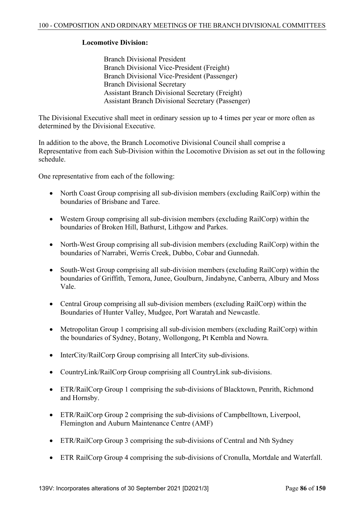# **Locomotive Division:**

 Branch Divisional President Branch Divisional Vice-President (Freight) Branch Divisional Vice-President (Passenger) Branch Divisional Secretary Assistant Branch Divisional Secretary (Freight) Assistant Branch Divisional Secretary (Passenger)

The Divisional Executive shall meet in ordinary session up to 4 times per year or more often as determined by the Divisional Executive.

In addition to the above, the Branch Locomotive Divisional Council shall comprise a Representative from each Sub-Division within the Locomotive Division as set out in the following schedule.

One representative from each of the following:

- North Coast Group comprising all sub-division members (excluding RailCorp) within the boundaries of Brisbane and Taree.
- Western Group comprising all sub-division members (excluding RailCorp) within the boundaries of Broken Hill, Bathurst, Lithgow and Parkes.
- North-West Group comprising all sub-division members (excluding RailCorp) within the boundaries of Narrabri, Werris Creek, Dubbo, Cobar and Gunnedah.
- South-West Group comprising all sub-division members (excluding RailCorp) within the boundaries of Griffith, Temora, Junee, Goulburn, Jindabyne, Canberra, Albury and Moss Vale.
- Central Group comprising all sub-division members (excluding RailCorp) within the Boundaries of Hunter Valley, Mudgee, Port Waratah and Newcastle.
- Metropolitan Group 1 comprising all sub-division members (excluding RailCorp) within the boundaries of Sydney, Botany, Wollongong, Pt Kembla and Nowra.
- InterCity/RailCorp Group comprising all InterCity sub-divisions.
- CountryLink/RailCorp Group comprising all CountryLink sub-divisions.
- ETR/RailCorp Group 1 comprising the sub-divisions of Blacktown, Penrith, Richmond and Hornsby.
- ETR/RailCorp Group 2 comprising the sub-divisions of Campbelltown, Liverpool, Flemington and Auburn Maintenance Centre (AMF)
- ETR/RailCorp Group 3 comprising the sub-divisions of Central and Nth Sydney
- ETR RailCorp Group 4 comprising the sub-divisions of Cronulla, Mortdale and Waterfall.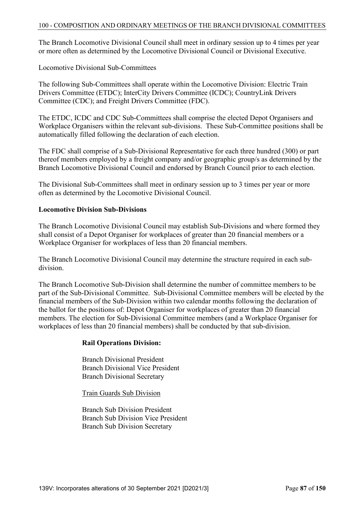The Branch Locomotive Divisional Council shall meet in ordinary session up to 4 times per year or more often as determined by the Locomotive Divisional Council or Divisional Executive.

Locomotive Divisional Sub-Committees

The following Sub-Committees shall operate within the Locomotive Division: Electric Train Drivers Committee (ETDC); InterCity Drivers Committee (ICDC); CountryLink Drivers Committee (CDC); and Freight Drivers Committee (FDC).

The ETDC, ICDC and CDC Sub-Committees shall comprise the elected Depot Organisers and Workplace Organisers within the relevant sub-divisions. These Sub-Committee positions shall be automatically filled following the declaration of each election.

The FDC shall comprise of a Sub-Divisional Representative for each three hundred (300) or part thereof members employed by a freight company and/or geographic group/s as determined by the Branch Locomotive Divisional Council and endorsed by Branch Council prior to each election.

The Divisional Sub-Committees shall meet in ordinary session up to 3 times per year or more often as determined by the Locomotive Divisional Council.

### **Locomotive Division Sub-Divisions**

The Branch Locomotive Divisional Council may establish Sub-Divisions and where formed they shall consist of a Depot Organiser for workplaces of greater than 20 financial members or a Workplace Organiser for workplaces of less than 20 financial members.

The Branch Locomotive Divisional Council may determine the structure required in each subdivision.

The Branch Locomotive Sub-Division shall determine the number of committee members to be part of the Sub-Divisional Committee. Sub-Divisional Committee members will be elected by the financial members of the Sub-Division within two calendar months following the declaration of the ballot for the positions of: Depot Organiser for workplaces of greater than 20 financial members. The election for Sub-Divisional Committee members (and a Workplace Organiser for workplaces of less than 20 financial members) shall be conducted by that sub-division.

### **Rail Operations Division:**

 Branch Divisional President Branch Divisional Vice President Branch Divisional Secretary

Train Guards Sub Division

 Branch Sub Division President Branch Sub Division Vice President Branch Sub Division Secretary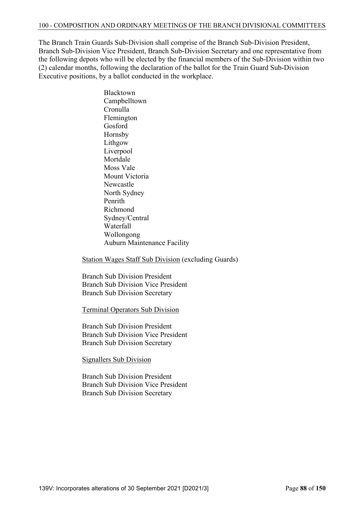#### 100 - COMPOSITION AND ORDINARY MEETINGS OF THE BRANCH DIVISIONAL COMMITTEES

The Branch Train Guards Sub-Division shall comprise of the Branch Sub-Division President, Branch Sub-Division Vice President, Branch Sub-Division Secretary and one representative from the following depots who will be elected by the financial members of the Sub-Division within two (2) calendar months, following the declaration of the ballot for the Train Guard Sub-Division Executive positions, by a ballot conducted in the workplace.

> Blacktown Campbelltown Cronulla Flemington Gosford Hornsby Lithgow Liverpool Mortdale Moss Vale Mount Victoria Newcastle North Sydney Penrith Richmond Sydney/Central Waterfall Wollongong Auburn Maintenance Facility

Station Wages Staff Sub Division (excluding Guards)

 Branch Sub Division President Branch Sub Division Vice President Branch Sub Division Secretary

Terminal Operators Sub Division

 Branch Sub Division President Branch Sub Division Vice President Branch Sub Division Secretary

Signallers Sub Division

 Branch Sub Division President Branch Sub Division Vice President Branch Sub Division Secretary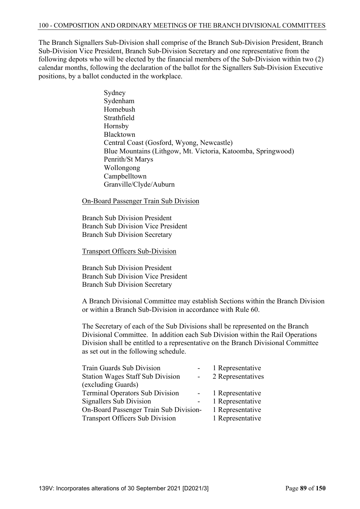The Branch Signallers Sub-Division shall comprise of the Branch Sub-Division President, Branch Sub-Division Vice President, Branch Sub-Division Secretary and one representative from the following depots who will be elected by the financial members of the Sub-Division within two (2) calendar months, following the declaration of the ballot for the Signallers Sub-Division Executive positions, by a ballot conducted in the workplace.

> Sydney Sydenham Homebush Strathfield Hornsby Blacktown Central Coast (Gosford, Wyong, Newcastle) Blue Mountains (Lithgow, Mt. Victoria, Katoomba, Springwood) Penrith/St Marys Wollongong Campbelltown Granville/Clyde/Auburn

On-Board Passenger Train Sub Division

 Branch Sub Division President Branch Sub Division Vice President Branch Sub Division Secretary

Transport Officers Sub-Division

 Branch Sub Division President Branch Sub Division Vice President Branch Sub Division Secretary

 A Branch Divisional Committee may establish Sections within the Branch Division or within a Branch Sub-Division in accordance with Rule 60.

 The Secretary of each of the Sub Divisions shall be represented on the Branch Divisional Committee. In addition each Sub Division within the Rail Operations Division shall be entitled to a representative on the Branch Divisional Committee as set out in the following schedule.

| <b>Train Guards Sub Division</b>        | 1 Representative  |
|-----------------------------------------|-------------------|
| <b>Station Wages Staff Sub Division</b> | 2 Representatives |
| (excluding Guards)                      |                   |
| <b>Terminal Operators Sub Division</b>  | 1 Representative  |
| Signallers Sub Division                 | 1 Representative  |
| On-Board Passenger Train Sub Division-  | 1 Representative  |
| <b>Transport Officers Sub Division</b>  | 1 Representative  |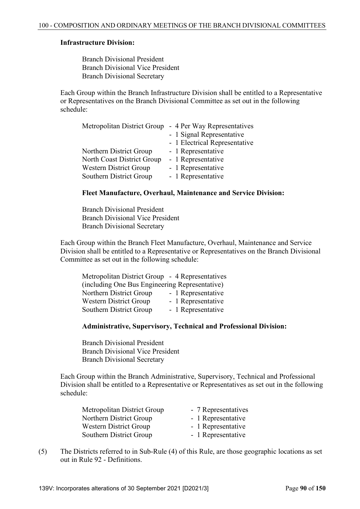#### **Infrastructure Division:**

 Branch Divisional President Branch Divisional Vice President Branch Divisional Secretary

 Each Group within the Branch Infrastructure Division shall be entitled to a Representative or Representatives on the Branch Divisional Committee as set out in the following schedule:

| - 1 Signal Representative     |
|-------------------------------|
| - 1 Electrical Representative |
|                               |
|                               |
|                               |
|                               |
|                               |

#### **Fleet Manufacture, Overhaul, Maintenance and Service Division:**

 Branch Divisional President Branch Divisional Vice President Branch Divisional Secretary

 Each Group within the Branch Fleet Manufacture, Overhaul, Maintenance and Service Division shall be entitled to a Representative or Representatives on the Branch Divisional Committee as set out in the following schedule:

| Metropolitan District Group - 4 Representatives |
|-------------------------------------------------|
| (including One Bus Engineering Representative)  |
| - 1 Representative                              |
| - 1 Representative                              |
| - 1 Representative                              |
|                                                 |

### **Administrative, Supervisory, Technical and Professional Division:**

 Branch Divisional President Branch Divisional Vice President Branch Divisional Secretary

 Each Group within the Branch Administrative, Supervisory, Technical and Professional Division shall be entitled to a Representative or Representatives as set out in the following schedule:

| Metropolitan District Group | - 7 Representatives |
|-----------------------------|---------------------|
| Northern District Group     | - 1 Representative  |
| Western District Group      | - 1 Representative  |
| Southern District Group     | - 1 Representative  |

(5) The Districts referred to in Sub-Rule (4) of this Rule, are those geographic locations as set out in Rule 92 - Definitions.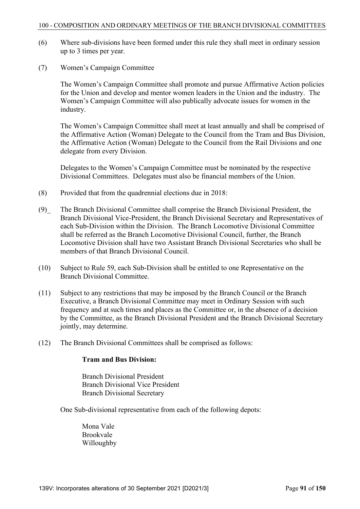#### 100 - COMPOSITION AND ORDINARY MEETINGS OF THE BRANCH DIVISIONAL COMMITTEES

- (6) Where sub-divisions have been formed under this rule they shall meet in ordinary session up to 3 times per year.
- (7) Women's Campaign Committee

 The Women's Campaign Committee shall promote and pursue Affirmative Action policies for the Union and develop and mentor women leaders in the Union and the industry. The Women's Campaign Committee will also publically advocate issues for women in the industry.

 The Women's Campaign Committee shall meet at least annually and shall be comprised of the Affirmative Action (Woman) Delegate to the Council from the Tram and Bus Division, the Affirmative Action (Woman) Delegate to the Council from the Rail Divisions and one delegate from every Division.

 Delegates to the Women's Campaign Committee must be nominated by the respective Divisional Committees. Delegates must also be financial members of the Union.

- (8) Provided that from the quadrennial elections due in 2018:
- (9)\_ The Branch Divisional Committee shall comprise the Branch Divisional President, the Branch Divisional Vice-President, the Branch Divisional Secretary and Representatives of each Sub-Division within the Division. The Branch Locomotive Divisional Committee shall be referred as the Branch Locomotive Divisional Council, further, the Branch Locomotive Division shall have two Assistant Branch Divisional Secretaries who shall be members of that Branch Divisional Council.
- (10) Subject to Rule 59, each Sub-Division shall be entitled to one Representative on the Branch Divisional Committee.
- (11) Subject to any restrictions that may be imposed by the Branch Council or the Branch Executive, a Branch Divisional Committee may meet in Ordinary Session with such frequency and at such times and places as the Committee or, in the absence of a decision by the Committee, as the Branch Divisional President and the Branch Divisional Secretary jointly, may determine.
- (12) The Branch Divisional Committees shall be comprised as follows:

### **Tram and Bus Division:**

 Branch Divisional President Branch Divisional Vice President Branch Divisional Secretary

One Sub-divisional representative from each of the following depots:

 Mona Vale Brookvale Willoughby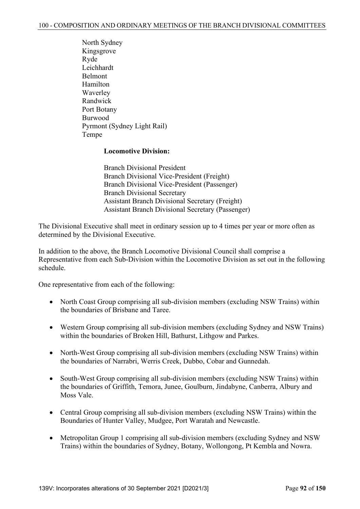North Sydney Kingsgrove Ryde Leichhardt Belmont Hamilton Waverley Randwick Port Botany Burwood Pyrmont (Sydney Light Rail) Tempe

# **Locomotive Division:**

 Branch Divisional President Branch Divisional Vice-President (Freight) Branch Divisional Vice-President (Passenger) Branch Divisional Secretary Assistant Branch Divisional Secretary (Freight) Assistant Branch Divisional Secretary (Passenger)

The Divisional Executive shall meet in ordinary session up to 4 times per year or more often as determined by the Divisional Executive.

In addition to the above, the Branch Locomotive Divisional Council shall comprise a Representative from each Sub-Division within the Locomotive Division as set out in the following schedule.

One representative from each of the following:

- North Coast Group comprising all sub-division members (excluding NSW Trains) within the boundaries of Brisbane and Taree.
- Western Group comprising all sub-division members (excluding Sydney and NSW Trains) within the boundaries of Broken Hill, Bathurst, Lithgow and Parkes.
- North-West Group comprising all sub-division members (excluding NSW Trains) within the boundaries of Narrabri, Werris Creek, Dubbo, Cobar and Gunnedah.
- South-West Group comprising all sub-division members (excluding NSW Trains) within the boundaries of Griffith, Temora, Junee, Goulburn, Jindabyne, Canberra, Albury and Moss Vale.
- Central Group comprising all sub-division members (excluding NSW Trains) within the Boundaries of Hunter Valley, Mudgee, Port Waratah and Newcastle.
- Metropolitan Group 1 comprising all sub-division members (excluding Sydney and NSW Trains) within the boundaries of Sydney, Botany, Wollongong, Pt Kembla and Nowra.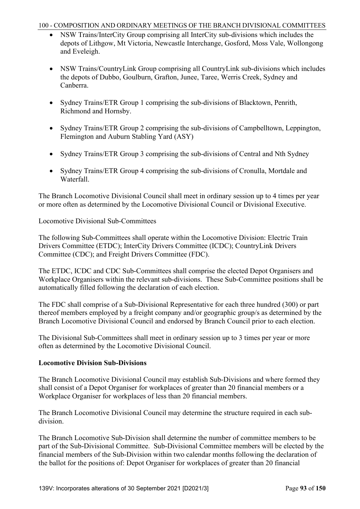### 100 - COMPOSITION AND ORDINARY MEETINGS OF THE BRANCH DIVISIONAL COMMITTEES

- NSW Trains/InterCity Group comprising all InterCity sub-divisions which includes the depots of Lithgow, Mt Victoria, Newcastle Interchange, Gosford, Moss Vale, Wollongong and Eveleigh.
- NSW Trains/CountryLink Group comprising all CountryLink sub-divisions which includes the depots of Dubbo, Goulburn, Grafton, Junee, Taree, Werris Creek, Sydney and Canberra.
- Sydney Trains/ETR Group 1 comprising the sub-divisions of Blacktown, Penrith, Richmond and Hornsby.
- Sydney Trains/ETR Group 2 comprising the sub-divisions of Campbelltown, Leppington, Flemington and Auburn Stabling Yard (ASY)
- Sydney Trains/ETR Group 3 comprising the sub-divisions of Central and Nth Sydney
- Sydney Trains/ETR Group 4 comprising the sub-divisions of Cronulla, Mortdale and Waterfall.

The Branch Locomotive Divisional Council shall meet in ordinary session up to 4 times per year or more often as determined by the Locomotive Divisional Council or Divisional Executive.

Locomotive Divisional Sub-Committees

The following Sub-Committees shall operate within the Locomotive Division: Electric Train Drivers Committee (ETDC); InterCity Drivers Committee (ICDC); CountryLink Drivers Committee (CDC); and Freight Drivers Committee (FDC).

The ETDC, ICDC and CDC Sub-Committees shall comprise the elected Depot Organisers and Workplace Organisers within the relevant sub-divisions. These Sub-Committee positions shall be automatically filled following the declaration of each election.

The FDC shall comprise of a Sub-Divisional Representative for each three hundred (300) or part thereof members employed by a freight company and/or geographic group/s as determined by the Branch Locomotive Divisional Council and endorsed by Branch Council prior to each election.

The Divisional Sub-Committees shall meet in ordinary session up to 3 times per year or more often as determined by the Locomotive Divisional Council.

# **Locomotive Division Sub-Divisions**

The Branch Locomotive Divisional Council may establish Sub-Divisions and where formed they shall consist of a Depot Organiser for workplaces of greater than 20 financial members or a Workplace Organiser for workplaces of less than 20 financial members.

The Branch Locomotive Divisional Council may determine the structure required in each subdivision.

The Branch Locomotive Sub-Division shall determine the number of committee members to be part of the Sub-Divisional Committee. Sub-Divisional Committee members will be elected by the financial members of the Sub-Division within two calendar months following the declaration of the ballot for the positions of: Depot Organiser for workplaces of greater than 20 financial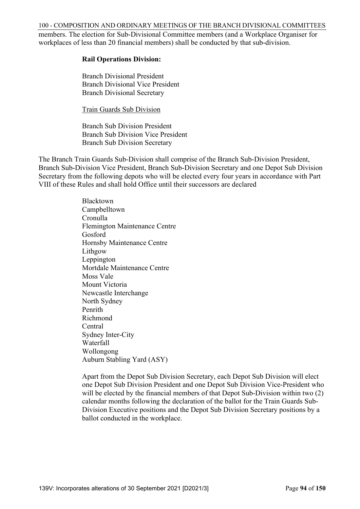100 - COMPOSITION AND ORDINARY MEETINGS OF THE BRANCH DIVISIONAL COMMITTEES

members. The election for Sub-Divisional Committee members (and a Workplace Organiser for workplaces of less than 20 financial members) shall be conducted by that sub-division.

## **Rail Operations Division:**

 Branch Divisional President Branch Divisional Vice President Branch Divisional Secretary

Train Guards Sub Division

 Branch Sub Division President Branch Sub Division Vice President Branch Sub Division Secretary

The Branch Train Guards Sub-Division shall comprise of the Branch Sub-Division President, Branch Sub-Division Vice President, Branch Sub-Division Secretary and one Depot Sub Division Secretary from the following depots who will be elected every four years in accordance with Part VIII of these Rules and shall hold Office until their successors are declared

> Blacktown Campbelltown Cronulla Flemington Maintenance Centre Gosford Hornsby Maintenance Centre Lithgow Leppington Mortdale Maintenance Centre Moss Vale Mount Victoria Newcastle Interchange North Sydney Penrith Richmond Central Sydney Inter-City Waterfall Wollongong Auburn Stabling Yard (ASY)

 Apart from the Depot Sub Division Secretary, each Depot Sub Division will elect one Depot Sub Division President and one Depot Sub Division Vice-President who will be elected by the financial members of that Depot Sub-Division within two  $(2)$  calendar months following the declaration of the ballot for the Train Guards Sub- Division Executive positions and the Depot Sub Division Secretary positions by a ballot conducted in the workplace.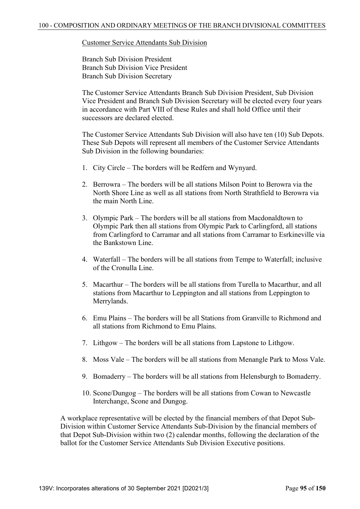#### Customer Service Attendants Sub Division

 Branch Sub Division President Branch Sub Division Vice President Branch Sub Division Secretary

 The Customer Service Attendants Branch Sub Division President, Sub Division Vice President and Branch Sub Division Secretary will be elected every four years in accordance with Part VIII of these Rules and shall hold Office until their successors are declared elected.

 The Customer Service Attendants Sub Division will also have ten (10) Sub Depots. These Sub Depots will represent all members of the Customer Service Attendants Sub Division in the following boundaries:

- 1. City Circle The borders will be Redfern and Wynyard.
- 2. Berrowra The borders will be all stations Milson Point to Berowra via the North Shore Line as well as all stations from North Strathfield to Berowra via the main North Line.
- 3. Olympic Park The borders will be all stations from Macdonaldtown to Olympic Park then all stations from Olympic Park to Carlingford, all stations from Carlingford to Carramar and all stations from Carramar to Esrkineville via the Bankstown Line.
- 4. Waterfall The borders will be all stations from Tempe to Waterfall; inclusive of the Cronulla Line.
- 5. Macarthur The borders will be all stations from Turella to Macarthur, and all stations from Macarthur to Leppington and all stations from Leppington to Merrylands.
- 6. Emu Plains The borders will be all Stations from Granville to Richmond and all stations from Richmond to Emu Plains.
- 7. Lithgow The borders will be all stations from Lapstone to Lithgow.
- 8. Moss Vale The borders will be all stations from Menangle Park to Moss Vale.
- 9. Bomaderry The borders will be all stations from Helensburgh to Bomaderry.
- 10. Scone/Dungog The borders will be all stations from Cowan to Newcastle Interchange, Scone and Dungog.

A workplace representative will be elected by the financial members of that Depot Sub-Division within Customer Service Attendants Sub-Division by the financial members of that Depot Sub-Division within two (2) calendar months, following the declaration of the ballot for the Customer Service Attendants Sub Division Executive positions.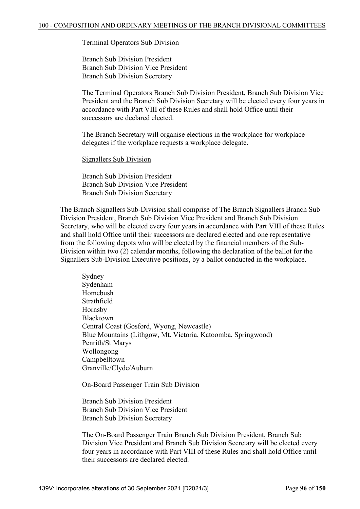#### Terminal Operators Sub Division

 Branch Sub Division President Branch Sub Division Vice President Branch Sub Division Secretary

 The Terminal Operators Branch Sub Division President, Branch Sub Division Vice President and the Branch Sub Division Secretary will be elected every four years in accordance with Part VIII of these Rules and shall hold Office until their successors are declared elected.

 The Branch Secretary will organise elections in the workplace for workplace delegates if the workplace requests a workplace delegate.

#### Signallers Sub Division

 Branch Sub Division President Branch Sub Division Vice President Branch Sub Division Secretary

 The Branch Signallers Sub-Division shall comprise of The Branch Signallers Branch Sub Division President, Branch Sub Division Vice President and Branch Sub Division Secretary, who will be elected every four years in accordance with Part VIII of these Rules and shall hold Office until their successors are declared elected and one representative from the following depots who will be elected by the financial members of the Sub-Division within two (2) calendar months, following the declaration of the ballot for the Signallers Sub-Division Executive positions, by a ballot conducted in the workplace.

 Sydney Sydenham Homebush Strathfield Hornsby Blacktown Central Coast (Gosford, Wyong, Newcastle) Blue Mountains (Lithgow, Mt. Victoria, Katoomba, Springwood) Penrith/St Marys Wollongong Campbelltown Granville/Clyde/Auburn

#### On-Board Passenger Train Sub Division

 Branch Sub Division President Branch Sub Division Vice President Branch Sub Division Secretary

 The On-Board Passenger Train Branch Sub Division President, Branch Sub Division Vice President and Branch Sub Division Secretary will be elected every four years in accordance with Part VIII of these Rules and shall hold Office until their successors are declared elected.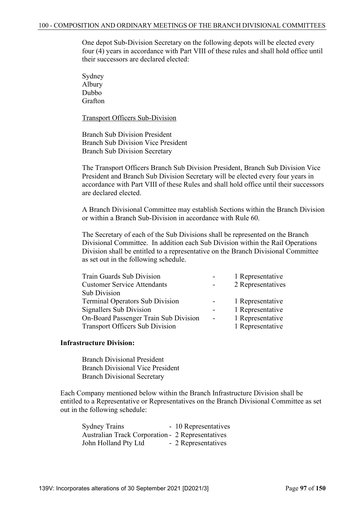One depot Sub-Division Secretary on the following depots will be elected every four (4) years in accordance with Part VIII of these rules and shall hold office until their successors are declared elected:

 Sydney Albury Dubbo Grafton

Transport Officers Sub-Division

 Branch Sub Division President Branch Sub Division Vice President Branch Sub Division Secretary

 The Transport Officers Branch Sub Division President, Branch Sub Division Vice President and Branch Sub Division Secretary will be elected every four years in accordance with Part VIII of these Rules and shall hold office until their successors are declared elected.

 A Branch Divisional Committee may establish Sections within the Branch Division or within a Branch Sub-Division in accordance with Rule 60.

 The Secretary of each of the Sub Divisions shall be represented on the Branch Divisional Committee. In addition each Sub Division within the Rail Operations Division shall be entitled to a representative on the Branch Divisional Committee as set out in the following schedule.

| Train Guards Sub Division              | $\overline{\phantom{a}}$ | 1 Representative  |
|----------------------------------------|--------------------------|-------------------|
| <b>Customer Service Attendants</b>     | $\sim$                   | 2 Representatives |
| <b>Sub Division</b>                    |                          |                   |
| <b>Terminal Operators Sub Division</b> | $\overline{\phantom{a}}$ | 1 Representative  |
| Signallers Sub Division                |                          | 1 Representative  |
| On-Board Passenger Train Sub Division  | $\overline{\phantom{a}}$ | 1 Representative  |
| <b>Transport Officers Sub Division</b> |                          | 1 Representative  |
|                                        |                          |                   |

#### **Infrastructure Division:**

 Branch Divisional President Branch Divisional Vice President Branch Divisional Secretary

 Each Company mentioned below within the Branch Infrastructure Division shall be entitled to a Representative or Representatives on the Branch Divisional Committee as set out in the following schedule:

Sydney Trains - 10 Representatives Australian Track Corporation - 2 Representatives John Holland Pty Ltd - 2 Representatives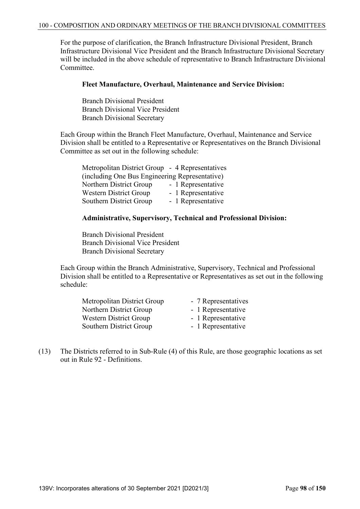For the purpose of clarification, the Branch Infrastructure Divisional President, Branch Infrastructure Divisional Vice President and the Branch Infrastructure Divisional Secretary will be included in the above schedule of representative to Branch Infrastructure Divisional Committee.

### **Fleet Manufacture, Overhaul, Maintenance and Service Division:**

 Branch Divisional President Branch Divisional Vice President Branch Divisional Secretary

 Each Group within the Branch Fleet Manufacture, Overhaul, Maintenance and Service Division shall be entitled to a Representative or Representatives on the Branch Divisional Committee as set out in the following schedule:

| Metropolitan District Group - 4 Representatives |                    |
|-------------------------------------------------|--------------------|
| (including One Bus Engineering Representative)  |                    |
| Northern District Group                         | - 1 Representative |
| <b>Western District Group</b>                   | - 1 Representative |
| Southern District Group                         | - 1 Representative |

#### **Administrative, Supervisory, Technical and Professional Division:**

 Branch Divisional President Branch Divisional Vice President Branch Divisional Secretary

 Each Group within the Branch Administrative, Supervisory, Technical and Professional Division shall be entitled to a Representative or Representatives as set out in the following schedule:

| Metropolitan District Group | - 7 Representatives |
|-----------------------------|---------------------|
| Northern District Group     | - 1 Representative  |
| Western District Group      | - 1 Representative  |
| Southern District Group     | - 1 Representative  |

(13) The Districts referred to in Sub-Rule (4) of this Rule, are those geographic locations as set out in Rule 92 - Definitions.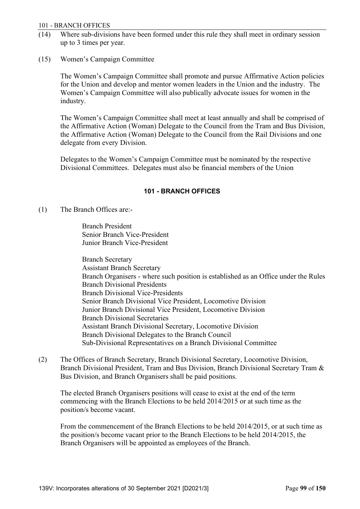#### 101 - BRANCH OFFICES

- (14) Where sub-divisions have been formed under this rule they shall meet in ordinary session up to 3 times per year.
- (15) Women's Campaign Committee

 The Women's Campaign Committee shall promote and pursue Affirmative Action policies for the Union and develop and mentor women leaders in the Union and the industry. The Women's Campaign Committee will also publically advocate issues for women in the industry.

 The Women's Campaign Committee shall meet at least annually and shall be comprised of the Affirmative Action (Woman) Delegate to the Council from the Tram and Bus Division, the Affirmative Action (Woman) Delegate to the Council from the Rail Divisions and one delegate from every Division.

 Delegates to the Women's Campaign Committee must be nominated by the respective Divisional Committees. Delegates must also be financial members of the Union

### **101 - BRANCH OFFICES**

(1) The Branch Offices are:-

 Branch President Senior Branch Vice-President Junior Branch Vice-President

 Branch Secretary Assistant Branch Secretary Branch Organisers - where such position is established as an Office under the Rules Branch Divisional Presidents Branch Divisional Vice-Presidents Senior Branch Divisional Vice President, Locomotive Division Junior Branch Divisional Vice President, Locomotive Division Branch Divisional Secretaries Assistant Branch Divisional Secretary, Locomotive Division Branch Divisional Delegates to the Branch Council Sub-Divisional Representatives on a Branch Divisional Committee

(2) The Offices of Branch Secretary, Branch Divisional Secretary, Locomotive Division, Branch Divisional President, Tram and Bus Division, Branch Divisional Secretary Tram & Bus Division, and Branch Organisers shall be paid positions.

 The elected Branch Organisers positions will cease to exist at the end of the term commencing with the Branch Elections to be held 2014/2015 or at such time as the position/s become vacant.

 From the commencement of the Branch Elections to be held 2014/2015, or at such time as the position/s become vacant prior to the Branch Elections to be held 2014/2015, the Branch Organisers will be appointed as employees of the Branch.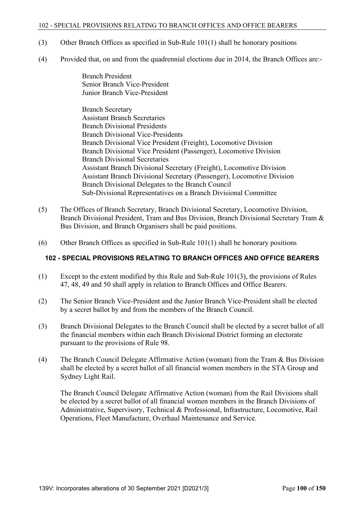#### 102 - SPECIAL PROVISIONS RELATING TO BRANCH OFFICES AND OFFICE BEARERS

- (3) Other Branch Offices as specified in Sub-Rule 101(1) shall be honorary positions
- (4) Provided that, on and from the quadrennial elections due in 2014, the Branch Offices are:-

 Branch President Senior Branch Vice-President Junior Branch Vice-President

 Branch Secretary Assistant Branch Secretaries Branch Divisional Presidents Branch Divisional Vice-Presidents Branch Divisional Vice President (Freight), Locomotive Division Branch Divisional Vice President (Passenger), Locomotive Division Branch Divisional Secretaries Assistant Branch Divisional Secretary (Freight), Locomotive Division Assistant Branch Divisional Secretary (Passenger), Locomotive Division Branch Divisional Delegates to the Branch Council Sub-Divisional Representatives on a Branch Divisional Committee

- (5) The Offices of Branch Secretary, Branch Divisional Secretary, Locomotive Division, Branch Divisional President, Tram and Bus Division, Branch Divisional Secretary Tram & Bus Division, and Branch Organisers shall be paid positions.
- (6) Other Branch Offices as specified in Sub-Rule 101(1) shall be honorary positions

### **102 - SPECIAL PROVISIONS RELATING TO BRANCH OFFICES AND OFFICE BEARERS**

- (1) Except to the extent modified by this Rule and Sub-Rule 101(3), the provisions of Rules 47, 48, 49 and 50 shall apply in relation to Branch Offices and Office Bearers.
- (2) The Senior Branch Vice-President and the Junior Branch Vice-President shall be elected by a secret ballot by and from the members of the Branch Council.
- (3) Branch Divisional Delegates to the Branch Council shall be elected by a secret ballot of all the financial members within each Branch Divisional District forming an electorate pursuant to the provisions of Rule 98.
- (4) The Branch Council Delegate Affirmative Action (woman) from the Tram & Bus Division shall be elected by a secret ballot of all financial women members in the STA Group and Sydney Light Rail.

 The Branch Council Delegate Affirmative Action (woman) from the Rail Divisions shall be elected by a secret ballot of all financial women members in the Branch Divisions of Administrative, Supervisory, Technical & Professional, Infrastructure, Locomotive, Rail Operations, Fleet Manufacture, Overhaul Maintenance and Service.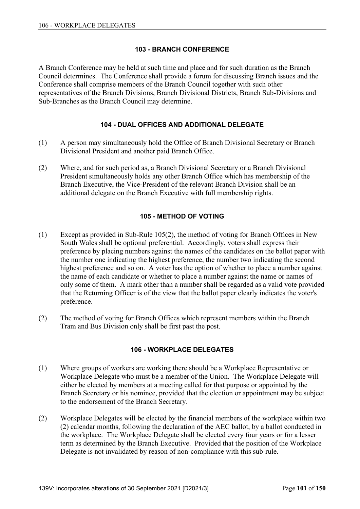# **103 - BRANCH CONFERENCE**

A Branch Conference may be held at such time and place and for such duration as the Branch Council determines. The Conference shall provide a forum for discussing Branch issues and the Conference shall comprise members of the Branch Council together with such other representatives of the Branch Divisions, Branch Divisional Districts, Branch Sub-Divisions and Sub-Branches as the Branch Council may determine.

# **104 - DUAL OFFICES AND ADDITIONAL DELEGATE**

- (1) A person may simultaneously hold the Office of Branch Divisional Secretary or Branch Divisional President and another paid Branch Office.
- (2) Where, and for such period as, a Branch Divisional Secretary or a Branch Divisional President simultaneously holds any other Branch Office which has membership of the Branch Executive, the Vice-President of the relevant Branch Division shall be an additional delegate on the Branch Executive with full membership rights.

# **105 - METHOD OF VOTING**

- (1) Except as provided in Sub-Rule 105(2), the method of voting for Branch Offices in New South Wales shall be optional preferential. Accordingly, voters shall express their preference by placing numbers against the names of the candidates on the ballot paper with the number one indicating the highest preference, the number two indicating the second highest preference and so on. A voter has the option of whether to place a number against the name of each candidate or whether to place a number against the name or names of only some of them. A mark other than a number shall be regarded as a valid vote provided that the Returning Officer is of the view that the ballot paper clearly indicates the voter's preference.
- (2) The method of voting for Branch Offices which represent members within the Branch Tram and Bus Division only shall be first past the post.

### **106 - WORKPLACE DELEGATES**

- (1) Where groups of workers are working there should be a Workplace Representative or Workplace Delegate who must be a member of the Union. The Workplace Delegate will either be elected by members at a meeting called for that purpose or appointed by the Branch Secretary or his nominee, provided that the election or appointment may be subject to the endorsement of the Branch Secretary.
- (2) Workplace Delegates will be elected by the financial members of the workplace within two (2) calendar months, following the declaration of the AEC ballot, by a ballot conducted in the workplace. The Workplace Delegate shall be elected every four years or for a lesser term as determined by the Branch Executive. Provided that the position of the Workplace Delegate is not invalidated by reason of non-compliance with this sub-rule.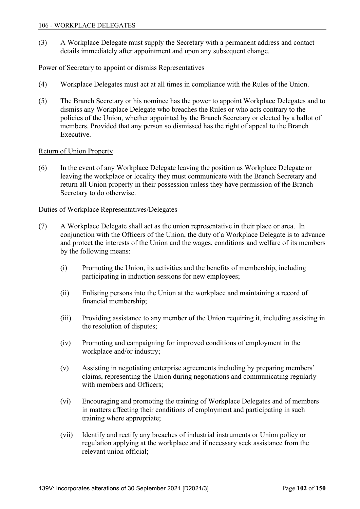(3) A Workplace Delegate must supply the Secretary with a permanent address and contact details immediately after appointment and upon any subsequent change.

## Power of Secretary to appoint or dismiss Representatives

- (4) Workplace Delegates must act at all times in compliance with the Rules of the Union.
- (5) The Branch Secretary or his nominee has the power to appoint Workplace Delegates and to dismiss any Workplace Delegate who breaches the Rules or who acts contrary to the policies of the Union, whether appointed by the Branch Secretary or elected by a ballot of members. Provided that any person so dismissed has the right of appeal to the Branch Executive.

### Return of Union Property

(6) In the event of any Workplace Delegate leaving the position as Workplace Delegate or leaving the workplace or locality they must communicate with the Branch Secretary and return all Union property in their possession unless they have permission of the Branch Secretary to do otherwise.

### Duties of Workplace Representatives/Delegates

- (7) A Workplace Delegate shall act as the union representative in their place or area. In conjunction with the Officers of the Union, the duty of a Workplace Delegate is to advance and protect the interests of the Union and the wages, conditions and welfare of its members by the following means:
	- (i) Promoting the Union, its activities and the benefits of membership, including participating in induction sessions for new employees;
	- (ii) Enlisting persons into the Union at the workplace and maintaining a record of financial membership;
	- (iii) Providing assistance to any member of the Union requiring it, including assisting in the resolution of disputes;
	- (iv) Promoting and campaigning for improved conditions of employment in the workplace and/or industry;
	- (v) Assisting in negotiating enterprise agreements including by preparing members' claims, representing the Union during negotiations and communicating regularly with members and Officers;
	- (vi) Encouraging and promoting the training of Workplace Delegates and of members in matters affecting their conditions of employment and participating in such training where appropriate;
	- (vii) Identify and rectify any breaches of industrial instruments or Union policy or regulation applying at the workplace and if necessary seek assistance from the relevant union official;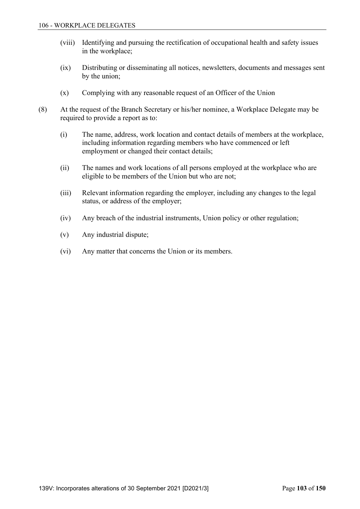- (viii) Identifying and pursuing the rectification of occupational health and safety issues in the workplace;
- (ix) Distributing or disseminating all notices, newsletters, documents and messages sent by the union;
- (x) Complying with any reasonable request of an Officer of the Union
- (8) At the request of the Branch Secretary or his/her nominee, a Workplace Delegate may be required to provide a report as to:
	- (i) The name, address, work location and contact details of members at the workplace, including information regarding members who have commenced or left employment or changed their contact details;
	- (ii) The names and work locations of all persons employed at the workplace who are eligible to be members of the Union but who are not;
	- (iii) Relevant information regarding the employer, including any changes to the legal status, or address of the employer;
	- (iv) Any breach of the industrial instruments, Union policy or other regulation;
	- (v) Any industrial dispute;
	- (vi) Any matter that concerns the Union or its members.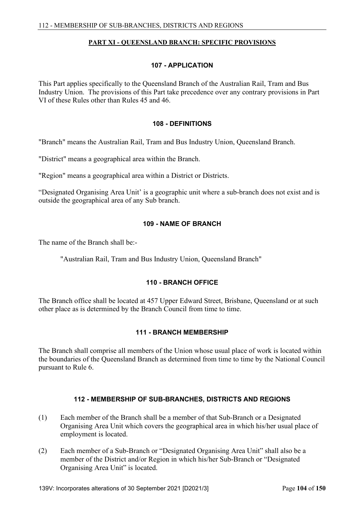### **PART XI - QUEENSLAND BRANCH: SPECIFIC PROVISIONS**

### **107 - APPLICATION**

This Part applies specifically to the Queensland Branch of the Australian Rail, Tram and Bus Industry Union. The provisions of this Part take precedence over any contrary provisions in Part VI of these Rules other than Rules 45 and 46.

#### **108 - DEFINITIONS**

"Branch" means the Australian Rail, Tram and Bus Industry Union, Queensland Branch.

"District" means a geographical area within the Branch.

"Region" means a geographical area within a District or Districts.

"Designated Organising Area Unit' is a geographic unit where a sub-branch does not exist and is outside the geographical area of any Sub branch.

#### **109 - NAME OF BRANCH**

The name of the Branch shall be:-

"Australian Rail, Tram and Bus Industry Union, Queensland Branch"

### **110 - BRANCH OFFICE**

The Branch office shall be located at 457 Upper Edward Street, Brisbane, Queensland or at such other place as is determined by the Branch Council from time to time.

### **111 - BRANCH MEMBERSHIP**

The Branch shall comprise all members of the Union whose usual place of work is located within the boundaries of the Queensland Branch as determined from time to time by the National Council pursuant to Rule 6.

### **112 - MEMBERSHIP OF SUB-BRANCHES, DISTRICTS AND REGIONS**

- (1) Each member of the Branch shall be a member of that Sub-Branch or a Designated Organising Area Unit which covers the geographical area in which his/her usual place of employment is located.
- (2) Each member of a Sub-Branch or "Designated Organising Area Unit" shall also be a member of the District and/or Region in which his/her Sub-Branch or "Designated Organising Area Unit" is located.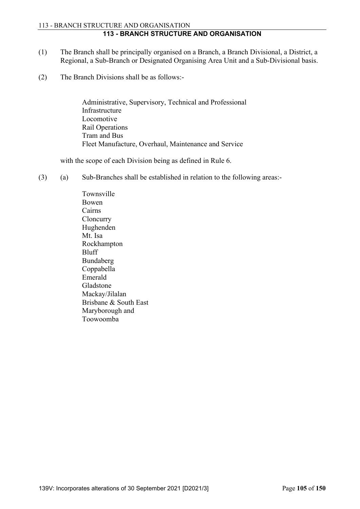### 113 - BRANCH STRUCTURE AND ORGANISATION **113 - BRANCH STRUCTURE AND ORGANISATION**

- (1) The Branch shall be principally organised on a Branch, a Branch Divisional, a District, a Regional, a Sub-Branch or Designated Organising Area Unit and a Sub-Divisional basis.
- (2) The Branch Divisions shall be as follows:-

 Administrative, Supervisory, Technical and Professional Infrastructure Locomotive Rail Operations Tram and Bus Fleet Manufacture, Overhaul, Maintenance and Service

with the scope of each Division being as defined in Rule 6.

(3) (a) Sub-Branches shall be established in relation to the following areas:-

 Townsville Bowen Cairns **Cloncurry**  Hughenden Mt. Isa Rockhampton Bluff Bundaberg Coppabella Emerald Gladstone Mackay/Jilalan Brisbane & South East Maryborough and Toowoomba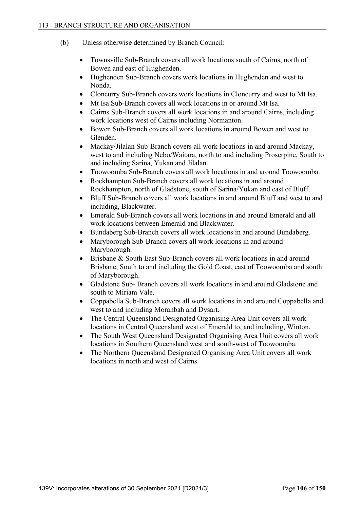- (b) Unless otherwise determined by Branch Council:
	- Townsville Sub-Branch covers all work locations south of Cairns, north of Bowen and east of Hughenden.
	- Hughenden Sub-Branch covers work locations in Hughenden and west to Nonda.
	- Cloncurry Sub-Branch covers work locations in Cloncurry and west to Mt Isa.
	- Mt Isa Sub-Branch covers all work locations in or around Mt Isa.
	- Cairns Sub-Branch covers all work locations in and around Cairns, including work locations west of Cairns including Normanton.
	- Bowen Sub-Branch covers all work locations in around Bowen and west to Glenden.
	- Mackay/Jilalan Sub-Branch covers all work locations in and around Mackay, west to and including Nebo/Waitara, north to and including Proserpine, South to and including Sarina, Yukan and Jilalan.
	- Toowoomba Sub-Branch covers all work locations in and around Toowoomba.
	- Rockhampton Sub-Branch covers all work locations in and around Rockhampton, north of Gladstone, south of Sarina/Yukan and east of Bluff.
	- Bluff Sub-Branch covers all work locations in and around Bluff and west to and including, Blackwater.
	- Emerald Sub-Branch covers all work locations in and around Emerald and all work locations between Emerald and Blackwater.
	- Bundaberg Sub-Branch covers all work locations in and around Bundaberg.
	- Maryborough Sub-Branch covers all work locations in and around Maryborough.
	- Brisbane & South East Sub-Branch covers all work locations in and around Brisbane, South to and including the Gold Coast, east of Toowoomba and south of Maryborough.
	- Gladstone Sub- Branch covers all work locations in and around Gladstone and south to Miriam Vale.
	- Coppabella Sub-Branch covers all work locations in and around Coppabella and west to and including Moranbah and Dysart.
	- The Central Queensland Designated Organising Area Unit covers all work locations in Central Queensland west of Emerald to, and including, Winton.
	- The South West Queensland Designated Organising Area Unit covers all work locations in Southern Queensland west and south-west of Toowoomba.
	- The Northern Queensland Designated Organising Area Unit covers all work locations in north and west of Cairns.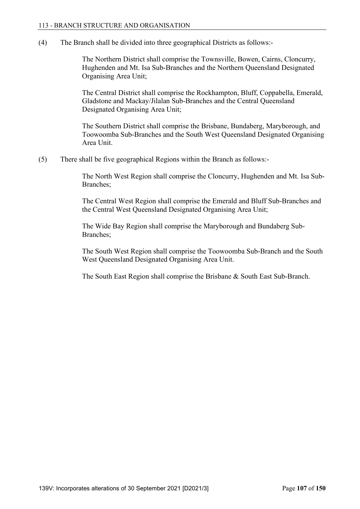(4) The Branch shall be divided into three geographical Districts as follows:-

 The Northern District shall comprise the Townsville, Bowen, Cairns, Cloncurry, Hughenden and Mt. Isa Sub-Branches and the Northern Queensland Designated Organising Area Unit;

 The Central District shall comprise the Rockhampton, Bluff, Coppabella, Emerald, Gladstone and Mackay/Jilalan Sub-Branches and the Central Queensland Designated Organising Area Unit;

 The Southern District shall comprise the Brisbane, Bundaberg, Maryborough, and Toowoomba Sub-Branches and the South West Queensland Designated Organising Area Unit.

(5) There shall be five geographical Regions within the Branch as follows:-

 The North West Region shall comprise the Cloncurry, Hughenden and Mt. Isa Sub-Branches;

 The Central West Region shall comprise the Emerald and Bluff Sub-Branches and the Central West Queensland Designated Organising Area Unit;

 The Wide Bay Region shall comprise the Maryborough and Bundaberg Sub-Branches;

 The South West Region shall comprise the Toowoomba Sub-Branch and the South West Queensland Designated Organising Area Unit.

The South East Region shall comprise the Brisbane & South East Sub-Branch.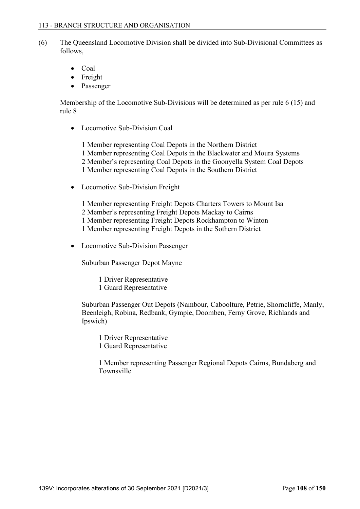- (6) The Queensland Locomotive Division shall be divided into Sub-Divisional Committees as follows,
	- Coal
	- Freight
	- Passenger

Membership of the Locomotive Sub-Divisions will be determined as per rule 6 (15) and rule 8

• Locomotive Sub-Division Coal

1 Member representing Coal Depots in the Northern District 1 Member representing Coal Depots in the Blackwater and Moura Systems 2 Member's representing Coal Depots in the Goonyella System Coal Depots 1 Member representing Coal Depots in the Southern District

• Locomotive Sub-Division Freight

1 Member representing Freight Depots Charters Towers to Mount Isa 2 Member's representing Freight Depots Mackay to Cairns 1 Member representing Freight Depots Rockhampton to Winton 1 Member representing Freight Depots in the Sothern District

• Locomotive Sub-Division Passenger

Suburban Passenger Depot Mayne

- 1 Driver Representative
- 1 Guard Representative

Suburban Passenger Out Depots (Nambour, Caboolture, Petrie, Shorncliffe, Manly, Beenleigh, Robina, Redbank, Gympie, Doomben, Ferny Grove, Richlands and Ipswich)

 1 Driver Representative 1 Guard Representative

 1 Member representing Passenger Regional Depots Cairns, Bundaberg and Townsville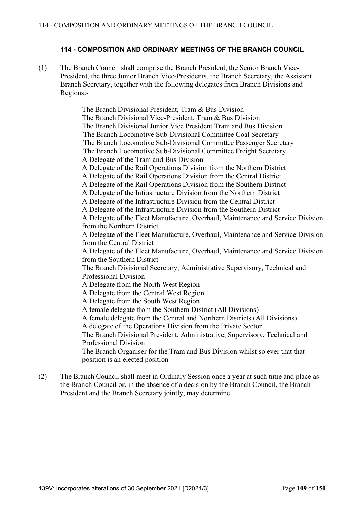## **114 - COMPOSITION AND ORDINARY MEETINGS OF THE BRANCH COUNCIL**

(1) The Branch Council shall comprise the Branch President, the Senior Branch Vice-President, the three Junior Branch Vice-Presidents, the Branch Secretary, the Assistant Branch Secretary, together with the following delegates from Branch Divisions and Regions:-

> The Branch Divisional President, Tram & Bus Division The Branch Divisional Vice-President, Tram & Bus Division The Branch Divisional Junior Vice President Tram and Bus Division The Branch Locomotive Sub-Divisional Committee Coal Secretary The Branch Locomotive Sub-Divisional Committee Passenger Secretary The Branch Locomotive Sub-Divisional Committee Freight Secretary A Delegate of the Tram and Bus Division A Delegate of the Rail Operations Division from the Northern District A Delegate of the Rail Operations Division from the Central District A Delegate of the Rail Operations Division from the Southern District A Delegate of the Infrastructure Division from the Northern District A Delegate of the Infrastructure Division from the Central District A Delegate of the Infrastructure Division from the Southern District A Delegate of the Fleet Manufacture, Overhaul, Maintenance and Service Division from the Northern District A Delegate of the Fleet Manufacture, Overhaul, Maintenance and Service Division from the Central District A Delegate of the Fleet Manufacture, Overhaul, Maintenance and Service Division from the Southern District The Branch Divisional Secretary, Administrative Supervisory, Technical and Professional Division A Delegate from the North West Region A Delegate from the Central West Region A Delegate from the South West Region A female delegate from the Southern District (All Divisions) A female delegate from the Central and Northern Districts (All Divisions) A delegate of the Operations Division from the Private Sector The Branch Divisional President, Administrative, Supervisory, Technical and Professional Division The Branch Organiser for the Tram and Bus Division whilst so ever that that position is an elected position

(2) The Branch Council shall meet in Ordinary Session once a year at such time and place as the Branch Council or, in the absence of a decision by the Branch Council, the Branch President and the Branch Secretary jointly, may determine.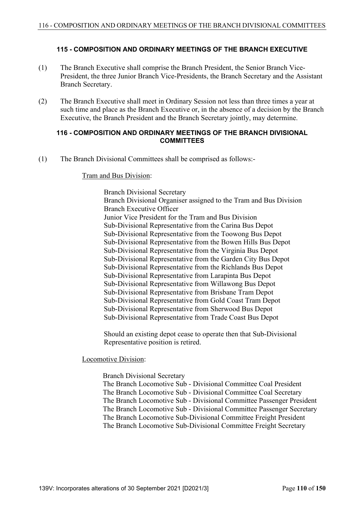### **115 - COMPOSITION AND ORDINARY MEETINGS OF THE BRANCH EXECUTIVE**

- (1) The Branch Executive shall comprise the Branch President, the Senior Branch Vice-President, the three Junior Branch Vice-Presidents, the Branch Secretary and the Assistant Branch Secretary.
- (2) The Branch Executive shall meet in Ordinary Session not less than three times a year at such time and place as the Branch Executive or, in the absence of a decision by the Branch Executive, the Branch President and the Branch Secretary jointly, may determine.

### **116 - COMPOSITION AND ORDINARY MEETINGS OF THE BRANCH DIVISIONAL COMMITTEES**

(1) The Branch Divisional Committees shall be comprised as follows:-

#### Tram and Bus Division:

 Branch Divisional Secretary Branch Divisional Organiser assigned to the Tram and Bus Division Branch Executive Officer Junior Vice President for the Tram and Bus Division Sub-Divisional Representative from the Carina Bus Depot Sub-Divisional Representative from the Toowong Bus Depot Sub-Divisional Representative from the Bowen Hills Bus Depot Sub-Divisional Representative from the Virginia Bus Depot Sub-Divisional Representative from the Garden City Bus Depot Sub-Divisional Representative from the Richlands Bus Depot Sub-Divisional Representative from Larapinta Bus Depot Sub-Divisional Representative from Willawong Bus Depot Sub-Divisional Representative from Brisbane Tram Depot Sub-Divisional Representative from Gold Coast Tram Depot Sub-Divisional Representative from Sherwood Bus Depot Sub-Divisional Representative from Trade Coast Bus Depot

Should an existing depot cease to operate then that Sub-Divisional Representative position is retired.

Locomotive Division:

 Branch Divisional Secretary The Branch Locomotive Sub - Divisional Committee Coal President The Branch Locomotive Sub - Divisional Committee Coal Secretary The Branch Locomotive Sub - Divisional Committee Passenger President The Branch Locomotive Sub - Divisional Committee Passenger Secretary The Branch Locomotive Sub-Divisional Committee Freight President The Branch Locomotive Sub-Divisional Committee Freight Secretary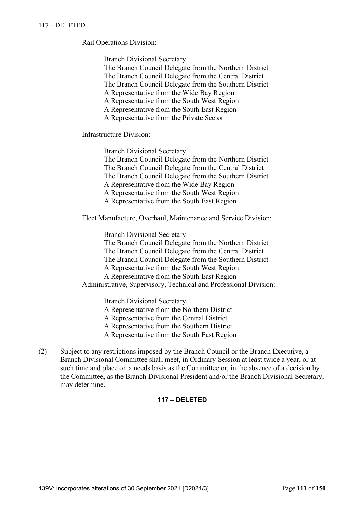### Rail Operations Division:

Branch Divisional Secretary

 The Branch Council Delegate from the Northern District The Branch Council Delegate from the Central District

The Branch Council Delegate from the Southern District

A Representative from the Wide Bay Region

A Representative from the South West Region

A Representative from the South East Region

A Representative from the Private Sector

#### Infrastructure Division:

 Branch Divisional Secretary The Branch Council Delegate from the Northern District The Branch Council Delegate from the Central District The Branch Council Delegate from the Southern District A Representative from the Wide Bay Region A Representative from the South West Region A Representative from the South East Region

Fleet Manufacture, Overhaul, Maintenance and Service Division:

 Branch Divisional Secretary The Branch Council Delegate from the Northern District The Branch Council Delegate from the Central District The Branch Council Delegate from the Southern District A Representative from the South West Region A Representative from the South East Region Administrative, Supervisory, Technical and Professional Division:

Branch Divisional Secretary

A Representative from the Northern District

A Representative from the Central District

A Representative from the Southern District

A Representative from the South East Region

(2) Subject to any restrictions imposed by the Branch Council or the Branch Executive, a Branch Divisional Committee shall meet, in Ordinary Session at least twice a year, or at such time and place on a needs basis as the Committee or, in the absence of a decision by the Committee, as the Branch Divisional President and/or the Branch Divisional Secretary, may determine.

# **117 – DELETED**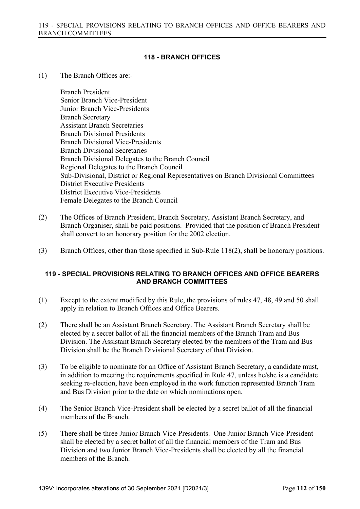# **118 - BRANCH OFFICES**

(1) The Branch Offices are:-

 Branch President Senior Branch Vice-President Junior Branch Vice-Presidents Branch Secretary Assistant Branch Secretaries Branch Divisional Presidents Branch Divisional Vice-Presidents Branch Divisional Secretaries Branch Divisional Delegates to the Branch Council Regional Delegates to the Branch Council Sub-Divisional, District or Regional Representatives on Branch Divisional Committees District Executive Presidents District Executive Vice-Presidents Female Delegates to the Branch Council

- (2) The Offices of Branch President, Branch Secretary, Assistant Branch Secretary, and Branch Organiser, shall be paid positions. Provided that the position of Branch President shall convert to an honorary position for the 2002 election.
- (3) Branch Offices, other than those specified in Sub-Rule 118(2), shall be honorary positions.

### **119 - SPECIAL PROVISIONS RELATING TO BRANCH OFFICES AND OFFICE BEARERS AND BRANCH COMMITTEES**

- (1) Except to the extent modified by this Rule, the provisions of rules 47, 48, 49 and 50 shall apply in relation to Branch Offices and Office Bearers.
- (2) There shall be an Assistant Branch Secretary. The Assistant Branch Secretary shall be elected by a secret ballot of all the financial members of the Branch Tram and Bus Division. The Assistant Branch Secretary elected by the members of the Tram and Bus Division shall be the Branch Divisional Secretary of that Division.
- (3) To be eligible to nominate for an Office of Assistant Branch Secretary, a candidate must, in addition to meeting the requirements specified in Rule 47, unless he/she is a candidate seeking re-election, have been employed in the work function represented Branch Tram and Bus Division prior to the date on which nominations open.
- (4) The Senior Branch Vice-President shall be elected by a secret ballot of all the financial members of the Branch.
- (5) There shall be three Junior Branch Vice-Presidents. One Junior Branch Vice-President shall be elected by a secret ballot of all the financial members of the Tram and Bus Division and two Junior Branch Vice-Presidents shall be elected by all the financial members of the Branch.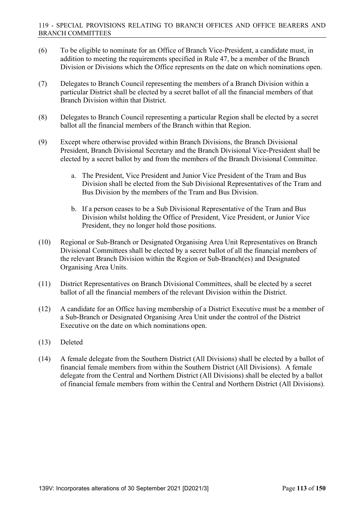- (6) To be eligible to nominate for an Office of Branch Vice-President, a candidate must, in addition to meeting the requirements specified in Rule 47, be a member of the Branch Division or Divisions which the Office represents on the date on which nominations open.
- (7) Delegates to Branch Council representing the members of a Branch Division within a particular District shall be elected by a secret ballot of all the financial members of that Branch Division within that District.
- (8) Delegates to Branch Council representing a particular Region shall be elected by a secret ballot all the financial members of the Branch within that Region.
- (9) Except where otherwise provided within Branch Divisions, the Branch Divisional President, Branch Divisional Secretary and the Branch Divisional Vice-President shall be elected by a secret ballot by and from the members of the Branch Divisional Committee.
	- a. The President, Vice President and Junior Vice President of the Tram and Bus Division shall be elected from the Sub Divisional Representatives of the Tram and Bus Division by the members of the Tram and Bus Division.
	- b. If a person ceases to be a Sub Divisional Representative of the Tram and Bus Division whilst holding the Office of President, Vice President, or Junior Vice President, they no longer hold those positions.
- (10) Regional or Sub-Branch or Designated Organising Area Unit Representatives on Branch Divisional Committees shall be elected by a secret ballot of all the financial members of the relevant Branch Division within the Region or Sub-Branch(es) and Designated Organising Area Units.
- (11) District Representatives on Branch Divisional Committees, shall be elected by a secret ballot of all the financial members of the relevant Division within the District.
- (12) A candidate for an Office having membership of a District Executive must be a member of a Sub-Branch or Designated Organising Area Unit under the control of the District Executive on the date on which nominations open.
- (13) Deleted
- (14) A female delegate from the Southern District (All Divisions) shall be elected by a ballot of financial female members from within the Southern District (All Divisions). A female delegate from the Central and Northern District (All Divisions) shall be elected by a ballot of financial female members from within the Central and Northern District (All Divisions).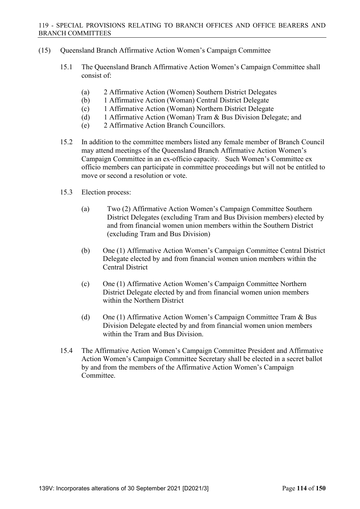- (15) Queensland Branch Affirmative Action Women's Campaign Committee
	- 15.1 The Queensland Branch Affirmative Action Women's Campaign Committee shall consist of:
		- (a) 2 Affirmative Action (Women) Southern District Delegates
		- (b) 1 Affirmative Action (Woman) Central District Delegate
		- (c) 1 Affirmative Action (Woman) Northern District Delegate
		- (d) 1 Affirmative Action (Woman) Tram & Bus Division Delegate; and
		- (e) 2 Affirmative Action Branch Councillors.
	- 15.2 In addition to the committee members listed any female member of Branch Council may attend meetings of the Queensland Branch Affirmative Action Women's Campaign Committee in an ex-officio capacity. Such Women's Committee ex officio members can participate in committee proceedings but will not be entitled to move or second a resolution or vote.
	- 15.3 Election process:
		- (a) Two (2) Affirmative Action Women's Campaign Committee Southern District Delegates (excluding Tram and Bus Division members) elected by and from financial women union members within the Southern District (excluding Tram and Bus Division)
		- (b) One (1) Affirmative Action Women's Campaign Committee Central District Delegate elected by and from financial women union members within the Central District
		- (c) One (1) Affirmative Action Women's Campaign Committee Northern District Delegate elected by and from financial women union members within the Northern District
		- (d) One (1) Affirmative Action Women's Campaign Committee Tram & Bus Division Delegate elected by and from financial women union members within the Tram and Bus Division.
	- 15.4 The Affirmative Action Women's Campaign Committee President and Affirmative Action Women's Campaign Committee Secretary shall be elected in a secret ballot by and from the members of the Affirmative Action Women's Campaign Committee.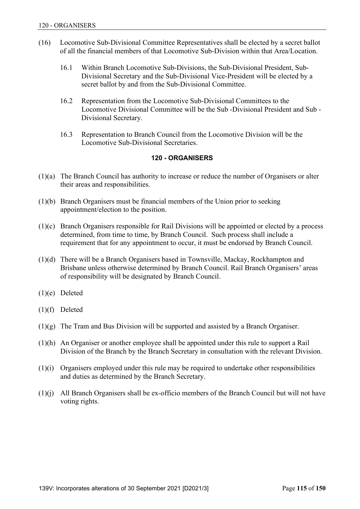- (16) Locomotive Sub-Divisional Committee Representatives shall be elected by a secret ballot of all the financial members of that Locomotive Sub-Division within that Area/Location.
	- 16.1 Within Branch Locomotive Sub-Divisions, the Sub-Divisional President, Sub-Divisional Secretary and the Sub-Divisional Vice-President will be elected by a secret ballot by and from the Sub-Divisional Committee.
	- 16.2 Representation from the Locomotive Sub-Divisional Committees to the Locomotive Divisional Committee will be the Sub -Divisional President and Sub - Divisional Secretary.
	- 16.3 Representation to Branch Council from the Locomotive Division will be the Locomotive Sub-Divisional Secretaries.

### **120 - ORGANISERS**

- (1)(a) The Branch Council has authority to increase or reduce the number of Organisers or alter their areas and responsibilities.
- (1)(b) Branch Organisers must be financial members of the Union prior to seeking appointment/election to the position.
- (1)(c) Branch Organisers responsible for Rail Divisions will be appointed or elected by a process determined, from time to time, by Branch Council. Such process shall include a requirement that for any appointment to occur, it must be endorsed by Branch Council.
- (1)(d) There will be a Branch Organisers based in Townsville, Mackay, Rockhampton and Brisbane unless otherwise determined by Branch Council. Rail Branch Organisers' areas of responsibility will be designated by Branch Council.
- (1)(e) Deleted
- (1)(f) Deleted
- (1)(g) The Tram and Bus Division will be supported and assisted by a Branch Organiser.
- (1)(h) An Organiser or another employee shall be appointed under this rule to support a Rail Division of the Branch by the Branch Secretary in consultation with the relevant Division.
- (1)(i) Organisers employed under this rule may be required to undertake other responsibilities and duties as determined by the Branch Secretary.
- (1)(j) All Branch Organisers shall be ex-officio members of the Branch Council but will not have voting rights.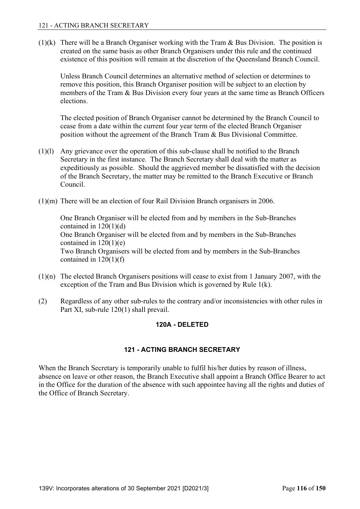(1)(k) There will be a Branch Organiser working with the Tram & Bus Division. The position is created on the same basis as other Branch Organisers under this rule and the continued existence of this position will remain at the discretion of the Queensland Branch Council.

 Unless Branch Council determines an alternative method of selection or determines to remove this position, this Branch Organiser position will be subject to an election by members of the Tram & Bus Division every four years at the same time as Branch Officers elections.

 The elected position of Branch Organiser cannot be determined by the Branch Council to cease from a date within the current four year term of the elected Branch Organiser position without the agreement of the Branch Tram & Bus Divisional Committee.

- (1)(l) Any grievance over the operation of this sub-clause shall be notified to the Branch Secretary in the first instance. The Branch Secretary shall deal with the matter as expeditiously as possible. Should the aggrieved member be dissatisfied with the decision of the Branch Secretary, the matter may be remitted to the Branch Executive or Branch Council.
- (1)(m) There will be an election of four Rail Division Branch organisers in 2006.

 One Branch Organiser will be elected from and by members in the Sub-Branches contained in  $120(1)(d)$  One Branch Organiser will be elected from and by members in the Sub-Branches contained in  $120(1)(e)$  Two Branch Organisers will be elected from and by members in the Sub-Branches contained in  $120(1)(f)$ 

- (1)(n) The elected Branch Organisers positions will cease to exist from 1 January 2007, with the exception of the Tram and Bus Division which is governed by Rule 1(k).
- (2) Regardless of any other sub-rules to the contrary and/or inconsistencies with other rules in Part XI, sub-rule 120(1) shall prevail.

# **120A - DELETED**

# **121 - ACTING BRANCH SECRETARY**

When the Branch Secretary is temporarily unable to fulfil his/her duties by reason of illness, absence on leave or other reason, the Branch Executive shall appoint a Branch Office Bearer to act in the Office for the duration of the absence with such appointee having all the rights and duties of the Office of Branch Secretary.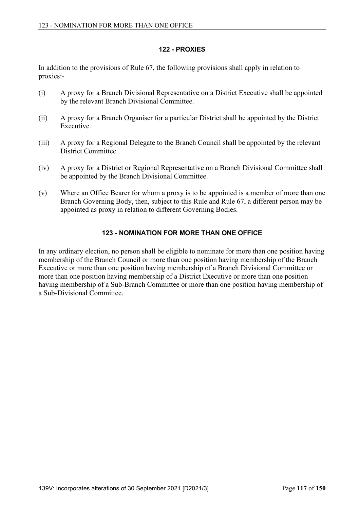## **122 - PROXIES**

In addition to the provisions of Rule 67, the following provisions shall apply in relation to proxies:-

- (i) A proxy for a Branch Divisional Representative on a District Executive shall be appointed by the relevant Branch Divisional Committee.
- (ii) A proxy for a Branch Organiser for a particular District shall be appointed by the District Executive.
- (iii) A proxy for a Regional Delegate to the Branch Council shall be appointed by the relevant District Committee.
- (iv) A proxy for a District or Regional Representative on a Branch Divisional Committee shall be appointed by the Branch Divisional Committee.
- (v) Where an Office Bearer for whom a proxy is to be appointed is a member of more than one Branch Governing Body, then, subject to this Rule and Rule 67, a different person may be appointed as proxy in relation to different Governing Bodies.

# **123 - NOMINATION FOR MORE THAN ONE OFFICE**

In any ordinary election, no person shall be eligible to nominate for more than one position having membership of the Branch Council or more than one position having membership of the Branch Executive or more than one position having membership of a Branch Divisional Committee or more than one position having membership of a District Executive or more than one position having membership of a Sub-Branch Committee or more than one position having membership of a Sub-Divisional Committee.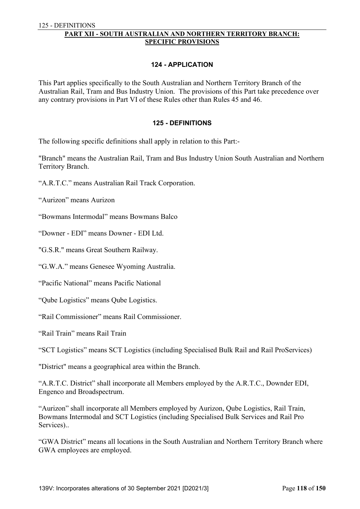### **PART XII - SOUTH AUSTRALIAN AND NORTHERN TERRITORY BRANCH: SPECIFIC PROVISIONS**

#### **124 - APPLICATION**

This Part applies specifically to the South Australian and Northern Territory Branch of the Australian Rail, Tram and Bus Industry Union. The provisions of this Part take precedence over any contrary provisions in Part VI of these Rules other than Rules 45 and 46.

#### **125 - DEFINITIONS**

The following specific definitions shall apply in relation to this Part:-

"Branch" means the Australian Rail, Tram and Bus Industry Union South Australian and Northern Territory Branch.

"Aurizon" means Aurizon

"Bowmans Intermodal" means Bowmans Balco

"Downer - EDI" means Downer - EDI Ltd.

"G.S.R." means Great Southern Railway.

"G.W.A." means Genesee Wyoming Australia.

"Pacific National" means Pacific National

"Qube Logistics" means Qube Logistics.

"Rail Commissioner" means Rail Commissioner.

"Rail Train" means Rail Train

"SCT Logistics" means SCT Logistics (including Specialised Bulk Rail and Rail ProServices)

"District" means a geographical area within the Branch.

"A.R.T.C. District" shall incorporate all Members employed by the A.R.T.C., Downder EDI, Engenco and Broadspectrum.

"Aurizon" shall incorporate all Members employed by Aurizon, Qube Logistics, Rail Train, Bowmans Intermodal and SCT Logistics (including Specialised Bulk Services and Rail Pro Services)..

"GWA District" means all locations in the South Australian and Northern Territory Branch where GWA employees are employed.

<sup>&</sup>quot;A.R.T.C." means Australian Rail Track Corporation.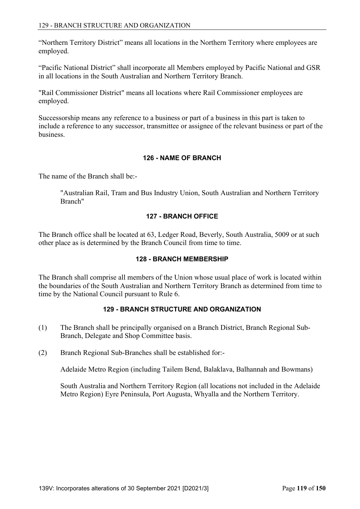"Northern Territory District" means all locations in the Northern Territory where employees are employed.

"Pacific National District" shall incorporate all Members employed by Pacific National and GSR in all locations in the South Australian and Northern Territory Branch.

"Rail Commissioner District" means all locations where Rail Commissioner employees are employed.

Successorship means any reference to a business or part of a business in this part is taken to include a reference to any successor, transmittee or assignee of the relevant business or part of the business.

## **126 - NAME OF BRANCH**

The name of the Branch shall be:-

 "Australian Rail, Tram and Bus Industry Union, South Australian and Northern Territory Branch"

## **127 - BRANCH OFFICE**

The Branch office shall be located at 63, Ledger Road, Beverly, South Australia, 5009 or at such other place as is determined by the Branch Council from time to time.

# **128 - BRANCH MEMBERSHIP**

The Branch shall comprise all members of the Union whose usual place of work is located within the boundaries of the South Australian and Northern Territory Branch as determined from time to time by the National Council pursuant to Rule 6.

# **129 - BRANCH STRUCTURE AND ORGANIZATION**

- (1) The Branch shall be principally organised on a Branch District, Branch Regional Sub-Branch, Delegate and Shop Committee basis.
- (2) Branch Regional Sub-Branches shall be established for:-

Adelaide Metro Region (including Tailem Bend, Balaklava, Balhannah and Bowmans)

 South Australia and Northern Territory Region (all locations not included in the Adelaide Metro Region) Eyre Peninsula, Port Augusta, Whyalla and the Northern Territory.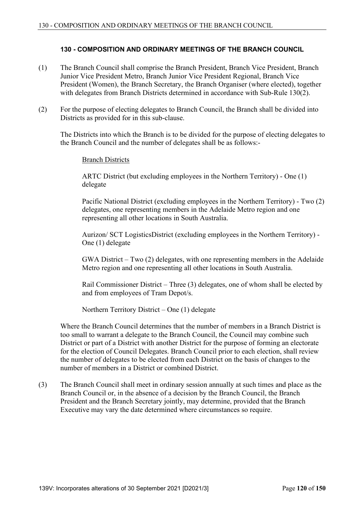## **130 - COMPOSITION AND ORDINARY MEETINGS OF THE BRANCH COUNCIL**

- (1) The Branch Council shall comprise the Branch President, Branch Vice President, Branch Junior Vice President Metro, Branch Junior Vice President Regional, Branch Vice President (Women), the Branch Secretary, the Branch Organiser (where elected), together with delegates from Branch Districts determined in accordance with Sub-Rule 130(2).
- (2) For the purpose of electing delegates to Branch Council, the Branch shall be divided into Districts as provided for in this sub-clause.

 The Districts into which the Branch is to be divided for the purpose of electing delegates to the Branch Council and the number of delegates shall be as follows:-

#### Branch Districts

 ARTC District (but excluding employees in the Northern Territory) - One (1) delegate

 Pacific National District (excluding employees in the Northern Territory) - Two (2) delegates, one representing members in the Adelaide Metro region and one representing all other locations in South Australia.

 Aurizon/ SCT LogisticsDistrict (excluding employees in the Northern Territory) - One (1) delegate

 GWA District – Two (2) delegates, with one representing members in the Adelaide Metro region and one representing all other locations in South Australia.

 Rail Commissioner District – Three (3) delegates, one of whom shall be elected by and from employees of Tram Depot/s.

Northern Territory District – One (1) delegate

 Where the Branch Council determines that the number of members in a Branch District is too small to warrant a delegate to the Branch Council, the Council may combine such District or part of a District with another District for the purpose of forming an electorate for the election of Council Delegates. Branch Council prior to each election, shall review the number of delegates to be elected from each District on the basis of changes to the number of members in a District or combined District.

(3) The Branch Council shall meet in ordinary session annually at such times and place as the Branch Council or, in the absence of a decision by the Branch Council, the Branch President and the Branch Secretary jointly, may determine, provided that the Branch Executive may vary the date determined where circumstances so require.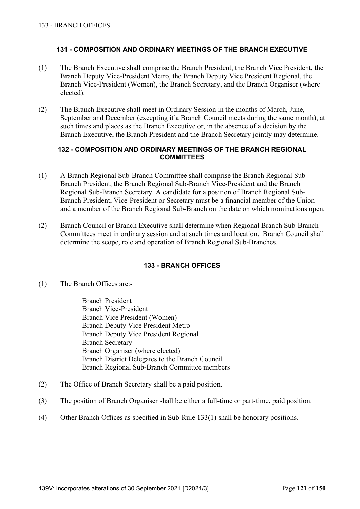### **131 - COMPOSITION AND ORDINARY MEETINGS OF THE BRANCH EXECUTIVE**

- (1) The Branch Executive shall comprise the Branch President, the Branch Vice President, the Branch Deputy Vice-President Metro, the Branch Deputy Vice President Regional, the Branch Vice-President (Women), the Branch Secretary, and the Branch Organiser (where elected).
- (2) The Branch Executive shall meet in Ordinary Session in the months of March, June, September and December (excepting if a Branch Council meets during the same month), at such times and places as the Branch Executive or, in the absence of a decision by the Branch Executive, the Branch President and the Branch Secretary jointly may determine.

### **132 - COMPOSITION AND ORDINARY MEETINGS OF THE BRANCH REGIONAL COMMITTEES**

- (1) A Branch Regional Sub-Branch Committee shall comprise the Branch Regional Sub-Branch President, the Branch Regional Sub-Branch Vice-President and the Branch Regional Sub-Branch Secretary. A candidate for a position of Branch Regional Sub-Branch President, Vice-President or Secretary must be a financial member of the Union and a member of the Branch Regional Sub-Branch on the date on which nominations open.
- (2) Branch Council or Branch Executive shall determine when Regional Branch Sub-Branch Committees meet in ordinary session and at such times and location. Branch Council shall determine the scope, role and operation of Branch Regional Sub-Branches.

### **133 - BRANCH OFFICES**

(1) The Branch Offices are:-

 Branch President Branch Vice-President Branch Vice President (Women) Branch Deputy Vice President Metro Branch Deputy Vice President Regional Branch Secretary Branch Organiser (where elected) Branch District Delegates to the Branch Council Branch Regional Sub-Branch Committee members

- (2) The Office of Branch Secretary shall be a paid position.
- (3) The position of Branch Organiser shall be either a full-time or part-time, paid position.
- (4) Other Branch Offices as specified in Sub-Rule 133(1) shall be honorary positions.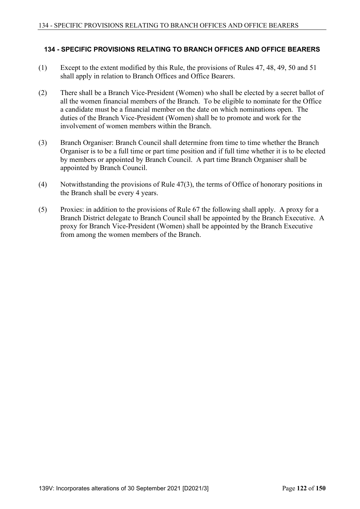### **134 - SPECIFIC PROVISIONS RELATING TO BRANCH OFFICES AND OFFICE BEARERS**

- (1) Except to the extent modified by this Rule, the provisions of Rules 47, 48, 49, 50 and 51 shall apply in relation to Branch Offices and Office Bearers.
- (2) There shall be a Branch Vice-President (Women) who shall be elected by a secret ballot of all the women financial members of the Branch. To be eligible to nominate for the Office a candidate must be a financial member on the date on which nominations open. The duties of the Branch Vice-President (Women) shall be to promote and work for the involvement of women members within the Branch.
- (3) Branch Organiser: Branch Council shall determine from time to time whether the Branch Organiser is to be a full time or part time position and if full time whether it is to be elected by members or appointed by Branch Council. A part time Branch Organiser shall be appointed by Branch Council.
- (4) Notwithstanding the provisions of Rule 47(3), the terms of Office of honorary positions in the Branch shall be every 4 years.
- (5) Proxies: in addition to the provisions of Rule 67 the following shall apply. A proxy for a Branch District delegate to Branch Council shall be appointed by the Branch Executive. A proxy for Branch Vice-President (Women) shall be appointed by the Branch Executive from among the women members of the Branch.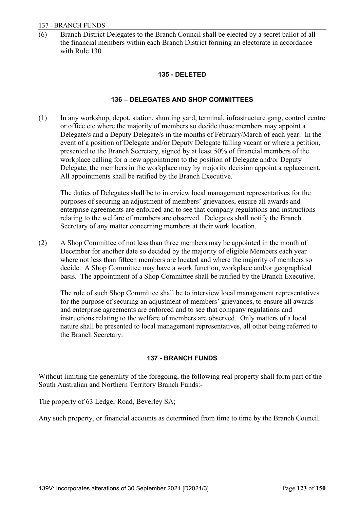(6) Branch District Delegates to the Branch Council shall be elected by a secret ballot of all the financial members within each Branch District forming an electorate in accordance with Rule 130.

## **135 - DELETED**

# **136 – DELEGATES AND SHOP COMMITTEES**

(1) In any workshop, depot, station, shunting yard, terminal, infrastructure gang, control centre or office etc where the majority of members so decide those members may appoint a Delegate/s and a Deputy Delegate/s in the months of February/March of each year. In the event of a position of Delegate and/or Deputy Delegate falling vacant or where a petition, presented to the Branch Secretary, signed by at least 50% of financial members of the workplace calling for a new appointment to the position of Delegate and/or Deputy Delegate, the members in the workplace may by majority decision appoint a replacement. All appointments shall be ratified by the Branch Executive.

 The duties of Delegates shall be to interview local management representatives for the purposes of securing an adjustment of members' grievances, ensure all awards and enterprise agreements are enforced and to see that company regulations and instructions relating to the welfare of members are observed. Delegates shall notify the Branch Secretary of any matter concerning members at their work location.

(2) A Shop Committee of not less than three members may be appointed in the month of December for another date so decided by the majority of eligible Members each year where not less than fifteen members are located and where the majority of members so decide. A Shop Committee may have a work function, workplace and/or geographical basis. The appointment of a Shop Committee shall be ratified by the Branch Executive.

 The role of such Shop Committee shall be to interview local management representatives for the purpose of securing an adjustment of members' grievances, to ensure all awards and enterprise agreements are enforced and to see that company regulations and instructions relating to the welfare of members are observed. Only matters of a local nature shall be presented to local management representatives, all other being referred to the Branch Secretary.

# **137 - BRANCH FUNDS**

Without limiting the generality of the foregoing, the following real property shall form part of the South Australian and Northern Territory Branch Funds:-

The property of 63 Ledger Road, Beverley SA;

Any such property, or financial accounts as determined from time to time by the Branch Council.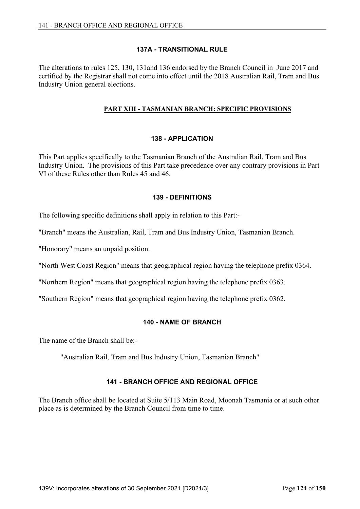## **137A - TRANSITIONAL RULE**

The alterations to rules 125, 130, 131and 136 endorsed by the Branch Council in June 2017 and certified by the Registrar shall not come into effect until the 2018 Australian Rail, Tram and Bus Industry Union general elections.

### **PART XIII - TASMANIAN BRANCH: SPECIFIC PROVISIONS**

## **138 - APPLICATION**

This Part applies specifically to the Tasmanian Branch of the Australian Rail, Tram and Bus Industry Union. The provisions of this Part take precedence over any contrary provisions in Part VI of these Rules other than Rules 45 and 46.

### **139 - DEFINITIONS**

The following specific definitions shall apply in relation to this Part:-

"Branch" means the Australian, Rail, Tram and Bus Industry Union, Tasmanian Branch.

"Honorary" means an unpaid position.

"North West Coast Region" means that geographical region having the telephone prefix 0364.

"Northern Region" means that geographical region having the telephone prefix 0363.

"Southern Region" means that geographical region having the telephone prefix 0362.

# **140 - NAME OF BRANCH**

The name of the Branch shall be:-

"Australian Rail, Tram and Bus Industry Union, Tasmanian Branch"

# **141 - BRANCH OFFICE AND REGIONAL OFFICE**

The Branch office shall be located at Suite 5/113 Main Road, Moonah Tasmania or at such other place as is determined by the Branch Council from time to time.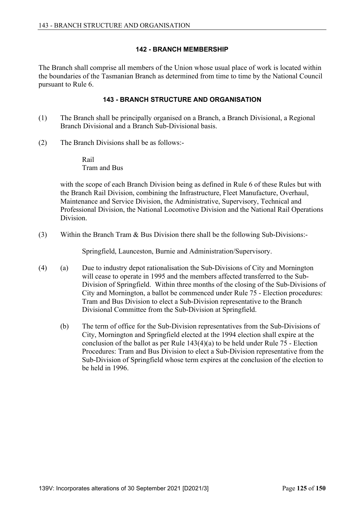## **142 - BRANCH MEMBERSHIP**

The Branch shall comprise all members of the Union whose usual place of work is located within the boundaries of the Tasmanian Branch as determined from time to time by the National Council pursuant to Rule 6.

## **143 - BRANCH STRUCTURE AND ORGANISATION**

- (1) The Branch shall be principally organised on a Branch, a Branch Divisional, a Regional Branch Divisional and a Branch Sub-Divisional basis.
- (2) The Branch Divisions shall be as follows:-

 Rail Tram and Bus

 with the scope of each Branch Division being as defined in Rule 6 of these Rules but with the Branch Rail Division, combining the Infrastructure, Fleet Manufacture, Overhaul, Maintenance and Service Division, the Administrative, Supervisory, Technical and Professional Division, the National Locomotive Division and the National Rail Operations Division.

(3) Within the Branch Tram & Bus Division there shall be the following Sub-Divisions:-

Springfield, Launceston, Burnie and Administration/Supervisory.

- (4) (a) Due to industry depot rationalisation the Sub-Divisions of City and Mornington will cease to operate in 1995 and the members affected transferred to the Sub-Division of Springfield. Within three months of the closing of the Sub-Divisions of City and Mornington, a ballot be commenced under Rule 75 - Election procedures: Tram and Bus Division to elect a Sub-Division representative to the Branch Divisional Committee from the Sub-Division at Springfield.
	- (b) The term of office for the Sub-Division representatives from the Sub-Divisions of City, Mornington and Springfield elected at the 1994 election shall expire at the conclusion of the ballot as per Rule 143(4)(a) to be held under Rule 75 - Election Procedures: Tram and Bus Division to elect a Sub-Division representative from the Sub-Division of Springfield whose term expires at the conclusion of the election to be held in 1996.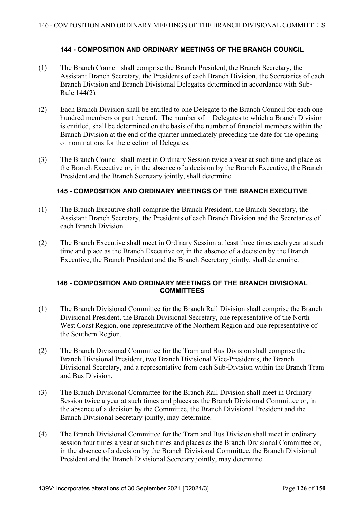### **144 - COMPOSITION AND ORDINARY MEETINGS OF THE BRANCH COUNCIL**

- (1) The Branch Council shall comprise the Branch President, the Branch Secretary, the Assistant Branch Secretary, the Presidents of each Branch Division, the Secretaries of each Branch Division and Branch Divisional Delegates determined in accordance with Sub-Rule 144(2).
- (2) Each Branch Division shall be entitled to one Delegate to the Branch Council for each one hundred members or part thereof. The number of Delegates to which a Branch Division is entitled, shall be determined on the basis of the number of financial members within the Branch Division at the end of the quarter immediately preceding the date for the opening of nominations for the election of Delegates.
- (3) The Branch Council shall meet in Ordinary Session twice a year at such time and place as the Branch Executive or, in the absence of a decision by the Branch Executive, the Branch President and the Branch Secretary jointly, shall determine.

### **145 - COMPOSITION AND ORDINARY MEETINGS OF THE BRANCH EXECUTIVE**

- (1) The Branch Executive shall comprise the Branch President, the Branch Secretary, the Assistant Branch Secretary, the Presidents of each Branch Division and the Secretaries of each Branch Division.
- (2) The Branch Executive shall meet in Ordinary Session at least three times each year at such time and place as the Branch Executive or, in the absence of a decision by the Branch Executive, the Branch President and the Branch Secretary jointly, shall determine.

### **146 - COMPOSITION AND ORDINARY MEETINGS OF THE BRANCH DIVISIONAL COMMITTEES**

- (1) The Branch Divisional Committee for the Branch Rail Division shall comprise the Branch Divisional President, the Branch Divisional Secretary, one representative of the North West Coast Region, one representative of the Northern Region and one representative of the Southern Region.
- (2) The Branch Divisional Committee for the Tram and Bus Division shall comprise the Branch Divisional President, two Branch Divisional Vice-Presidents, the Branch Divisional Secretary, and a representative from each Sub-Division within the Branch Tram and Bus Division.
- (3) The Branch Divisional Committee for the Branch Rail Division shall meet in Ordinary Session twice a year at such times and places as the Branch Divisional Committee or, in the absence of a decision by the Committee, the Branch Divisional President and the Branch Divisional Secretary jointly, may determine.
- (4) The Branch Divisional Committee for the Tram and Bus Division shall meet in ordinary session four times a year at such times and places as the Branch Divisional Committee or, in the absence of a decision by the Branch Divisional Committee, the Branch Divisional President and the Branch Divisional Secretary jointly, may determine.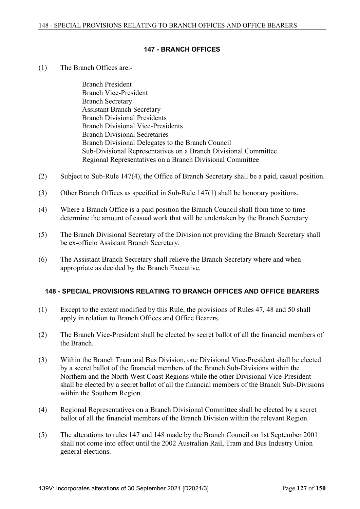#### **147 - BRANCH OFFICES**

(1) The Branch Offices are:-

 Branch President Branch Vice-President Branch Secretary Assistant Branch Secretary Branch Divisional Presidents Branch Divisional Vice-Presidents Branch Divisional Secretaries Branch Divisional Delegates to the Branch Council Sub-Divisional Representatives on a Branch Divisional Committee Regional Representatives on a Branch Divisional Committee

- (2) Subject to Sub-Rule 147(4), the Office of Branch Secretary shall be a paid, casual position.
- (3) Other Branch Offices as specified in Sub-Rule 147(1) shall be honorary positions.
- (4) Where a Branch Office is a paid position the Branch Council shall from time to time determine the amount of casual work that will be undertaken by the Branch Secretary.
- (5) The Branch Divisional Secretary of the Division not providing the Branch Secretary shall be ex-officio Assistant Branch Secretary.
- (6) The Assistant Branch Secretary shall relieve the Branch Secretary where and when appropriate as decided by the Branch Executive.

### **148 - SPECIAL PROVISIONS RELATING TO BRANCH OFFICES AND OFFICE BEARERS**

- (1) Except to the extent modified by this Rule, the provisions of Rules 47, 48 and 50 shall apply in relation to Branch Offices and Office Bearers.
- (2) The Branch Vice-President shall be elected by secret ballot of all the financial members of the Branch.
- (3) Within the Branch Tram and Bus Division, one Divisional Vice-President shall be elected by a secret ballot of the financial members of the Branch Sub-Divisions within the Northern and the North West Coast Regions while the other Divisional Vice-President shall be elected by a secret ballot of all the financial members of the Branch Sub-Divisions within the Southern Region.
- (4) Regional Representatives on a Branch Divisional Committee shall be elected by a secret ballot of all the financial members of the Branch Division within the relevant Region.
- (5) The alterations to rules 147 and 148 made by the Branch Council on 1st September 2001 shall not come into effect until the 2002 Australian Rail, Tram and Bus Industry Union general elections.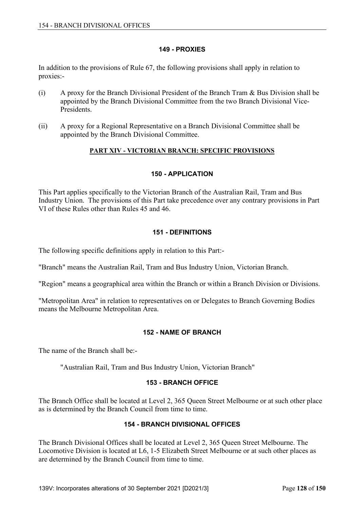### **149 - PROXIES**

In addition to the provisions of Rule 67, the following provisions shall apply in relation to proxies:-

- (i) A proxy for the Branch Divisional President of the Branch Tram & Bus Division shall be appointed by the Branch Divisional Committee from the two Branch Divisional Vice-Presidents.
- (ii) A proxy for a Regional Representative on a Branch Divisional Committee shall be appointed by the Branch Divisional Committee.

### **PART XIV - VICTORIAN BRANCH: SPECIFIC PROVISIONS**

### **150 - APPLICATION**

This Part applies specifically to the Victorian Branch of the Australian Rail, Tram and Bus Industry Union. The provisions of this Part take precedence over any contrary provisions in Part VI of these Rules other than Rules 45 and 46.

### **151 - DEFINITIONS**

The following specific definitions apply in relation to this Part:-

"Branch" means the Australian Rail, Tram and Bus Industry Union, Victorian Branch.

"Region" means a geographical area within the Branch or within a Branch Division or Divisions.

"Metropolitan Area" in relation to representatives on or Delegates to Branch Governing Bodies means the Melbourne Metropolitan Area.

### **152 - NAME OF BRANCH**

The name of the Branch shall be:-

"Australian Rail, Tram and Bus Industry Union, Victorian Branch"

### **153 - BRANCH OFFICE**

The Branch Office shall be located at Level 2, 365 Queen Street Melbourne or at such other place as is determined by the Branch Council from time to time.

#### **154 - BRANCH DIVISIONAL OFFICES**

The Branch Divisional Offices shall be located at Level 2, 365 Queen Street Melbourne. The Locomotive Division is located at L6, 1-5 Elizabeth Street Melbourne or at such other places as are determined by the Branch Council from time to time.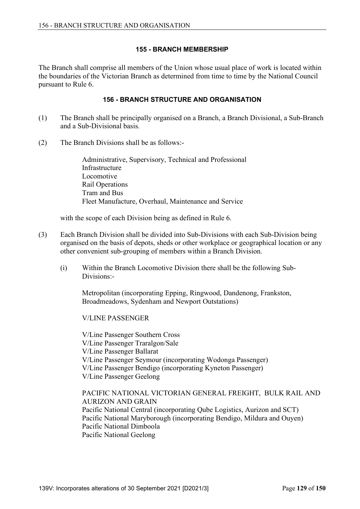## **155 - BRANCH MEMBERSHIP**

The Branch shall comprise all members of the Union whose usual place of work is located within the boundaries of the Victorian Branch as determined from time to time by the National Council pursuant to Rule 6.

### **156 - BRANCH STRUCTURE AND ORGANISATION**

- (1) The Branch shall be principally organised on a Branch, a Branch Divisional, a Sub-Branch and a Sub-Divisional basis.
- (2) The Branch Divisions shall be as follows:-

 Administrative, Supervisory, Technical and Professional Infrastructure Locomotive Rail Operations Tram and Bus Fleet Manufacture, Overhaul, Maintenance and Service

with the scope of each Division being as defined in Rule 6.

- (3) Each Branch Division shall be divided into Sub-Divisions with each Sub-Division being organised on the basis of depots, sheds or other workplace or geographical location or any other convenient sub-grouping of members within a Branch Division.
	- (i) Within the Branch Locomotive Division there shall be the following Sub-Divisions:-

 Metropolitan (incorporating Epping, Ringwood, Dandenong, Frankston, Broadmeadows, Sydenham and Newport Outstations)

V/LINE PASSENGER

V/Line Passenger Southern Cross V/Line Passenger Traralgon/Sale V/Line Passenger Ballarat V/Line Passenger Seymour (incorporating Wodonga Passenger) V/Line Passenger Bendigo (incorporating Kyneton Passenger) V/Line Passenger Geelong

 PACIFIC NATIONAL VICTORIAN GENERAL FREIGHT, BULK RAIL AND AURIZON AND GRAIN Pacific National Central (incorporating Qube Logistics, Aurizon and SCT) Pacific National Maryborough (incorporating Bendigo, Mildura and Ouyen) Pacific National Dimboola Pacific National Geelong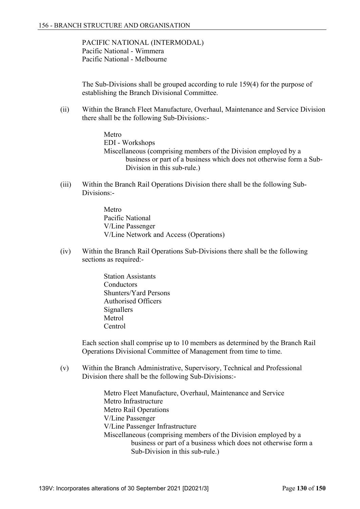PACIFIC NATIONAL (INTERMODAL) Pacific National - Wimmera Pacific National - Melbourne

 The Sub-Divisions shall be grouped according to rule 159(4) for the purpose of establishing the Branch Divisional Committee.

 (ii) Within the Branch Fleet Manufacture, Overhaul, Maintenance and Service Division there shall be the following Sub-Divisions:-

> Metro EDI - Workshops Miscellaneous (comprising members of the Division employed by a business or part of a business which does not otherwise form a Sub-Division in this sub-rule.)

- (iii) Within the Branch Rail Operations Division there shall be the following Sub-Divisions:-
	- Metro Pacific National V/Line Passenger V/Line Network and Access (Operations)
- (iv) Within the Branch Rail Operations Sub-Divisions there shall be the following sections as required:-
	- Station Assistants **Conductors**  Shunters/Yard Persons Authorised Officers **Signallers**  Metrol Centrol

 Each section shall comprise up to 10 members as determined by the Branch Rail Operations Divisional Committee of Management from time to time.

 (v) Within the Branch Administrative, Supervisory, Technical and Professional Division there shall be the following Sub-Divisions:-

> Metro Fleet Manufacture, Overhaul, Maintenance and Service Metro Infrastructure Metro Rail Operations V/Line Passenger V/Line Passenger Infrastructure Miscellaneous (comprising members of the Division employed by a business or part of a business which does not otherwise form a Sub-Division in this sub-rule.)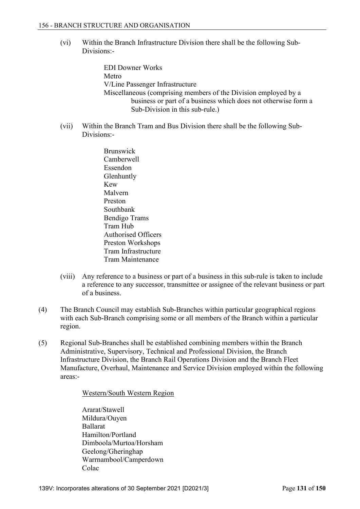(vi) Within the Branch Infrastructure Division there shall be the following Sub-Divisions:-

> EDI Downer Works Metro V/Line Passenger Infrastructure Miscellaneous (comprising members of the Division employed by a business or part of a business which does not otherwise form a Sub-Division in this sub-rule.)

- (vii) Within the Branch Tram and Bus Division there shall be the following Sub-Divisions:-
	- Brunswick Camberwell Essendon Glenhuntly Kew Malvern Preston Southbank Bendigo Trams Tram Hub Authorised Officers Preston Workshops Tram Infrastructure Tram Maintenance
- (viii) Any reference to a business or part of a business in this sub-rule is taken to include a reference to any successor, transmittee or assignee of the relevant business or part of a business.
- (4) The Branch Council may establish Sub-Branches within particular geographical regions with each Sub-Branch comprising some or all members of the Branch within a particular region.
- (5) Regional Sub-Branches shall be established combining members within the Branch Administrative, Supervisory, Technical and Professional Division, the Branch Infrastructure Division, the Branch Rail Operations Division and the Branch Fleet Manufacture, Overhaul, Maintenance and Service Division employed within the following areas:-

Western/South Western Region

 Ararat/Stawell Mildura/Ouyen Ballarat Hamilton/Portland Dimboola/Murtoa/Horsham Geelong/Gheringhap Warrnambool/Camperdown Colac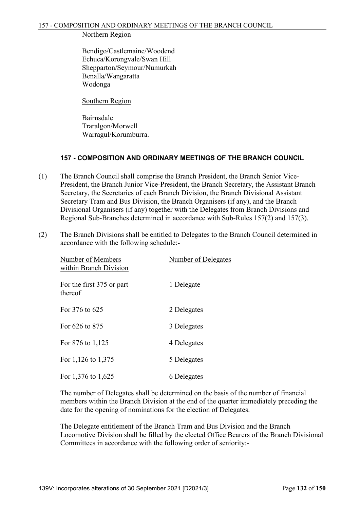### Northern Region

 Bendigo/Castlemaine/Woodend Echuca/Korongvale/Swan Hill Shepparton/Seymour/Numurkah Benalla/Wangaratta Wodonga

Southern Region

 Bairnsdale Traralgon/Morwell Warragul/Korumburra.

# **157 - COMPOSITION AND ORDINARY MEETINGS OF THE BRANCH COUNCIL**

- (1) The Branch Council shall comprise the Branch President, the Branch Senior Vice-President, the Branch Junior Vice-President, the Branch Secretary, the Assistant Branch Secretary, the Secretaries of each Branch Division, the Branch Divisional Assistant Secretary Tram and Bus Division, the Branch Organisers (if any), and the Branch Divisional Organisers (if any) together with the Delegates from Branch Divisions and Regional Sub-Branches determined in accordance with Sub-Rules 157(2) and 157(3).
- (2) The Branch Divisions shall be entitled to Delegates to the Branch Council determined in accordance with the following schedule:-

| Number of Members<br>within Branch Division | Number of Delegates |
|---------------------------------------------|---------------------|
| For the first 375 or part<br>thereof        | 1 Delegate          |
| For 376 to 625                              | 2 Delegates         |
| For 626 to 875                              | 3 Delegates         |
| For 876 to 1,125                            | 4 Delegates         |
| For $1,126$ to $1,375$                      | 5 Delegates         |
| For 1,376 to 1,625                          | 6 Delegates         |

 The number of Delegates shall be determined on the basis of the number of financial members within the Branch Division at the end of the quarter immediately preceding the date for the opening of nominations for the election of Delegates.

 The Delegate entitlement of the Branch Tram and Bus Division and the Branch Locomotive Division shall be filled by the elected Office Bearers of the Branch Divisional Committees in accordance with the following order of seniority:-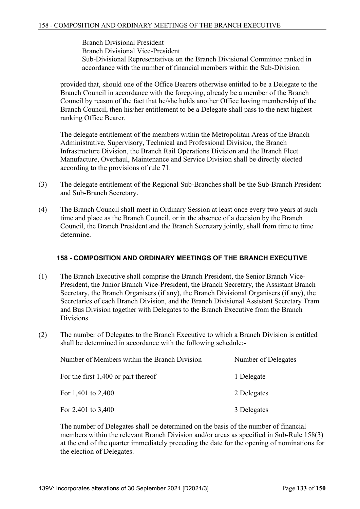Branch Divisional President Branch Divisional Vice-President Sub-Divisional Representatives on the Branch Divisional Committee ranked in accordance with the number of financial members within the Sub-Division.

 provided that, should one of the Office Bearers otherwise entitled to be a Delegate to the Branch Council in accordance with the foregoing, already be a member of the Branch Council by reason of the fact that he/she holds another Office having membership of the Branch Council, then his/her entitlement to be a Delegate shall pass to the next highest ranking Office Bearer.

 The delegate entitlement of the members within the Metropolitan Areas of the Branch Administrative, Supervisory, Technical and Professional Division, the Branch Infrastructure Division, the Branch Rail Operations Division and the Branch Fleet Manufacture, Overhaul, Maintenance and Service Division shall be directly elected according to the provisions of rule 71.

- (3) The delegate entitlement of the Regional Sub-Branches shall be the Sub-Branch President and Sub-Branch Secretary.
- (4) The Branch Council shall meet in Ordinary Session at least once every two years at such time and place as the Branch Council, or in the absence of a decision by the Branch Council, the Branch President and the Branch Secretary jointly, shall from time to time determine.

### **158 - COMPOSITION AND ORDINARY MEETINGS OF THE BRANCH EXECUTIVE**

- (1) The Branch Executive shall comprise the Branch President, the Senior Branch Vice-President, the Junior Branch Vice-President, the Branch Secretary, the Assistant Branch Secretary, the Branch Organisers (if any), the Branch Divisional Organisers (if any), the Secretaries of each Branch Division, and the Branch Divisional Assistant Secretary Tram and Bus Division together with Delegates to the Branch Executive from the Branch Divisions.
- (2) The number of Delegates to the Branch Executive to which a Branch Division is entitled shall be determined in accordance with the following schedule:-

| Number of Members within the Branch Division | Number of Delegates |
|----------------------------------------------|---------------------|
| For the first $1,400$ or part thereof        | 1 Delegate          |
| For 1,401 to $2,400$                         | 2 Delegates         |
| For $2,401$ to $3,400$                       | 3 Delegates         |

 The number of Delegates shall be determined on the basis of the number of financial members within the relevant Branch Division and/or areas as specified in Sub-Rule 158(3) at the end of the quarter immediately preceding the date for the opening of nominations for the election of Delegates.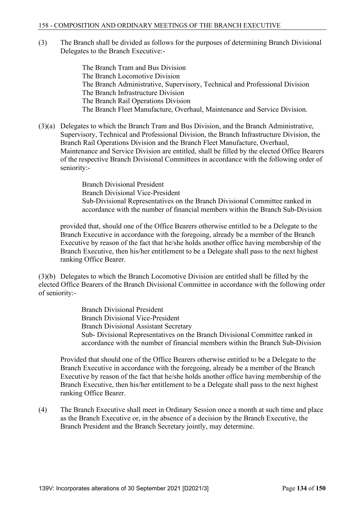(3) The Branch shall be divided as follows for the purposes of determining Branch Divisional Delegates to the Branch Executive:-

> The Branch Tram and Bus Division The Branch Locomotive Division The Branch Administrative, Supervisory, Technical and Professional Division The Branch Infrastructure Division The Branch Rail Operations Division The Branch Fleet Manufacture, Overhaul, Maintenance and Service Division.

(3)(a) Delegates to which the Branch Tram and Bus Division, and the Branch Administrative, Supervisory, Technical and Professional Division, the Branch Infrastructure Division, the Branch Rail Operations Division and the Branch Fleet Manufacture, Overhaul, Maintenance and Service Division are entitled, shall be filled by the elected Office Bearers of the respective Branch Divisional Committees in accordance with the following order of seniority:-

> Branch Divisional President Branch Divisional Vice-President Sub-Divisional Representatives on the Branch Divisional Committee ranked in accordance with the number of financial members within the Branch Sub-Division

 provided that, should one of the Office Bearers otherwise entitled to be a Delegate to the Branch Executive in accordance with the foregoing, already be a member of the Branch Executive by reason of the fact that he/she holds another office having membership of the Branch Executive, then his/her entitlement to be a Delegate shall pass to the next highest ranking Office Bearer.

(3)(b) Delegates to which the Branch Locomotive Division are entitled shall be filled by the elected Office Bearers of the Branch Divisional Committee in accordance with the following order of seniority:-

> Branch Divisional President Branch Divisional Vice-President Branch Divisional Assistant Secretary Sub- Divisional Representatives on the Branch Divisional Committee ranked in accordance with the number of financial members within the Branch Sub-Division

Provided that should one of the Office Bearers otherwise entitled to be a Delegate to the Branch Executive in accordance with the foregoing, already be a member of the Branch Executive by reason of the fact that he/she holds another office having membership of the Branch Executive, then his/her entitlement to be a Delegate shall pass to the next highest ranking Office Bearer.

(4) The Branch Executive shall meet in Ordinary Session once a month at such time and place as the Branch Executive or, in the absence of a decision by the Branch Executive, the Branch President and the Branch Secretary jointly, may determine.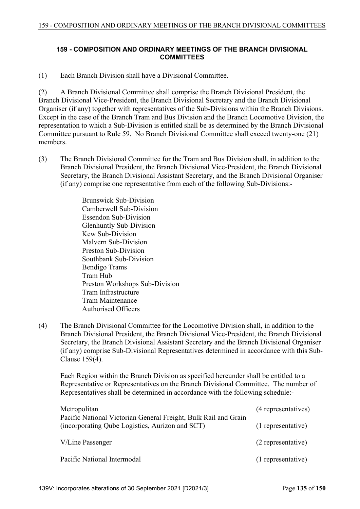## **159 - COMPOSITION AND ORDINARY MEETINGS OF THE BRANCH DIVISIONAL COMMITTEES**

(1) Each Branch Division shall have a Divisional Committee.

(2) A Branch Divisional Committee shall comprise the Branch Divisional President, the Branch Divisional Vice-President, the Branch Divisional Secretary and the Branch Divisional Organiser (if any) together with representatives of the Sub-Divisions within the Branch Divisions. Except in the case of the Branch Tram and Bus Division and the Branch Locomotive Division, the representation to which a Sub-Division is entitled shall be as determined by the Branch Divisional Committee pursuant to Rule 59. No Branch Divisional Committee shall exceed twenty-one (21) members.

(3) The Branch Divisional Committee for the Tram and Bus Division shall, in addition to the Branch Divisional President, the Branch Divisional Vice-President, the Branch Divisional Secretary, the Branch Divisional Assistant Secretary, and the Branch Divisional Organiser (if any) comprise one representative from each of the following Sub-Divisions:-

> Brunswick Sub-Division Camberwell Sub-Division Essendon Sub-Division Glenhuntly Sub-Division Kew Sub-Division Malvern Sub-Division Preston Sub-Division Southbank Sub-Division Bendigo Trams Tram Hub Preston Workshops Sub-Division Tram Infrastructure Tram Maintenance Authorised Officers

(4) The Branch Divisional Committee for the Locomotive Division shall, in addition to the Branch Divisional President, the Branch Divisional Vice-President, the Branch Divisional Secretary, the Branch Divisional Assistant Secretary and the Branch Divisional Organiser (if any) comprise Sub-Divisional Representatives determined in accordance with this Sub-Clause 159(4).

 Each Region within the Branch Division as specified hereunder shall be entitled to a Representative or Representatives on the Branch Divisional Committee. The number of Representatives shall be determined in accordance with the following schedule:-

| Metropolitan                                                                                                       | (4 representatives) |
|--------------------------------------------------------------------------------------------------------------------|---------------------|
| Pacific National Victorian General Freight, Bulk Rail and Grain<br>(incorporating Qube Logistics, Aurizon and SCT) | (1 representative)  |
| V/Line Passenger                                                                                                   | (2 representative)  |
| Pacific National Intermodal                                                                                        | (1 representative)  |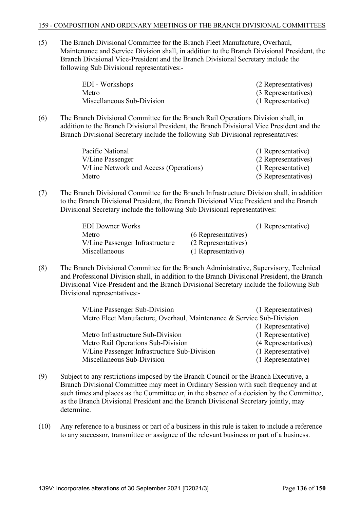(5) The Branch Divisional Committee for the Branch Fleet Manufacture, Overhaul, Maintenance and Service Division shall, in addition to the Branch Divisional President, the Branch Divisional Vice-President and the Branch Divisional Secretary include the following Sub Divisional representatives:-

| EDI - Workshops            | (2 Representatives) |
|----------------------------|---------------------|
| Metro                      | (3 Representatives) |
| Miscellaneous Sub-Division | (1 Representative)  |

(6) The Branch Divisional Committee for the Branch Rail Operations Division shall, in addition to the Branch Divisional President, the Branch Divisional Vice President and the Branch Divisional Secretary include the following Sub Divisional representatives:

| Pacific National                       | (1 Representative)  |
|----------------------------------------|---------------------|
| V/Line Passenger                       | (2 Representatives) |
| V/Line Network and Access (Operations) | (1 Representative)  |
| Metro                                  | (5 Representatives) |

(7) The Branch Divisional Committee for the Branch Infrastructure Division shall, in addition to the Branch Divisional President, the Branch Divisional Vice President and the Branch Divisional Secretary include the following Sub Divisional representatives:

| <b>EDI</b> Downer Works         |                     | (1 Representative) |
|---------------------------------|---------------------|--------------------|
| Metro                           | (6 Representatives) |                    |
| V/Line Passenger Infrastructure | (2 Representatives) |                    |
| Miscellaneous                   | (1 Representative)  |                    |

(8) The Branch Divisional Committee for the Branch Administrative, Supervisory, Technical and Professional Division shall, in addition to the Branch Divisional President, the Branch Divisional Vice-President and the Branch Divisional Secretary include the following Sub Divisional representatives:-

| V/Line Passenger Sub-Division                                         | (1 Representatives) |
|-----------------------------------------------------------------------|---------------------|
| Metro Fleet Manufacture, Overhaul, Maintenance & Service Sub-Division |                     |
|                                                                       | (1 Representative)  |
| Metro Infrastructure Sub-Division                                     | (1 Representative)  |
| Metro Rail Operations Sub-Division                                    | (4 Representatives) |
| V/Line Passenger Infrastructure Sub-Division                          | (1 Representative)  |
| Miscellaneous Sub-Division                                            | (1 Representative)  |

- (9) Subject to any restrictions imposed by the Branch Council or the Branch Executive, a Branch Divisional Committee may meet in Ordinary Session with such frequency and at such times and places as the Committee or, in the absence of a decision by the Committee, as the Branch Divisional President and the Branch Divisional Secretary jointly, may determine.
- (10) Any reference to a business or part of a business in this rule is taken to include a reference to any successor, transmittee or assignee of the relevant business or part of a business.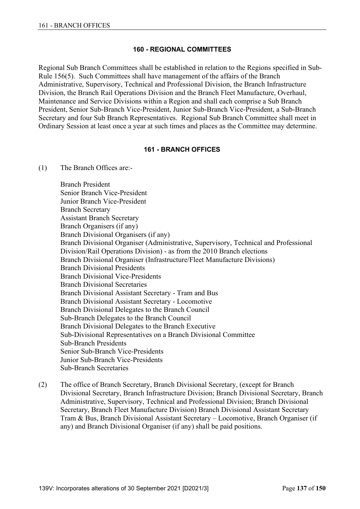### **160 - REGIONAL COMMITTEES**

Regional Sub Branch Committees shall be established in relation to the Regions specified in Sub-Rule 156(5). Such Committees shall have management of the affairs of the Branch Administrative, Supervisory, Technical and Professional Division, the Branch Infrastructure Division, the Branch Rail Operations Division and the Branch Fleet Manufacture, Overhaul, Maintenance and Service Divisions within a Region and shall each comprise a Sub Branch President, Senior Sub-Branch Vice-President, Junior Sub-Branch Vice-President, a Sub-Branch Secretary and four Sub Branch Representatives. Regional Sub Branch Committee shall meet in Ordinary Session at least once a year at such times and places as the Committee may determine.

### **161 - BRANCH OFFICES**

(1) The Branch Offices are:-

 Branch President Senior Branch Vice-President Junior Branch Vice-President Branch Secretary Assistant Branch Secretary Branch Organisers (if any) Branch Divisional Organisers (if any) Branch Divisional Organiser (Administrative, Supervisory, Technical and Professional Division/Rail Operations Division) - as from the 2010 Branch elections Branch Divisional Organiser (Infrastructure/Fleet Manufacture Divisions) Branch Divisional Presidents Branch Divisional Vice-Presidents Branch Divisional Secretaries Branch Divisional Assistant Secretary - Tram and Bus Branch Divisional Assistant Secretary - Locomotive Branch Divisional Delegates to the Branch Council Sub-Branch Delegates to the Branch Council Branch Divisional Delegates to the Branch Executive Sub-Divisional Representatives on a Branch Divisional Committee Sub-Branch Presidents Senior Sub-Branch Vice-Presidents Junior Sub-Branch Vice-Presidents Sub-Branch Secretaries

(2) The office of Branch Secretary, Branch Divisional Secretary, (except for Branch Divisional Secretary, Branch Infrastructure Division; Branch Divisional Secretary, Branch Administrative, Supervisory, Technical and Professional Division; Branch Divisional Secretary, Branch Fleet Manufacture Division) Branch Divisional Assistant Secretary Tram & Bus, Branch Divisional Assistant Secretary – Locomotive, Branch Organiser (if any) and Branch Divisional Organiser (if any) shall be paid positions.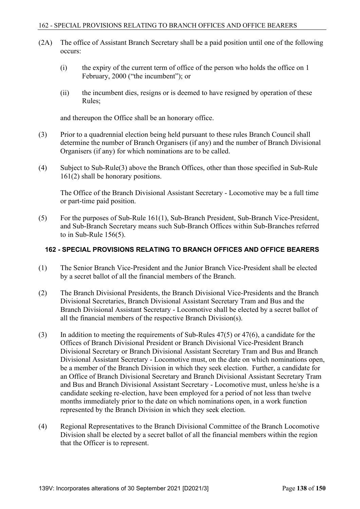- (2A) The office of Assistant Branch Secretary shall be a paid position until one of the following occurs:
	- (i) the expiry of the current term of office of the person who holds the office on 1 February, 2000 ("the incumbent"); or
	- (ii) the incumbent dies, resigns or is deemed to have resigned by operation of these Rules;

and thereupon the Office shall be an honorary office.

- (3) Prior to a quadrennial election being held pursuant to these rules Branch Council shall determine the number of Branch Organisers (if any) and the number of Branch Divisional Organisers (if any) for which nominations are to be called.
- (4) Subject to Sub-Rule(3) above the Branch Offices, other than those specified in Sub-Rule 161(2) shall be honorary positions.

 The Office of the Branch Divisional Assistant Secretary - Locomotive may be a full time or part-time paid position.

(5) For the purposes of Sub-Rule 161(1), Sub-Branch President, Sub-Branch Vice-President, and Sub-Branch Secretary means such Sub-Branch Offices within Sub-Branches referred to in Sub-Rule 156(5).

### **162 - SPECIAL PROVISIONS RELATING TO BRANCH OFFICES AND OFFICE BEARERS**

- (1) The Senior Branch Vice-President and the Junior Branch Vice-President shall be elected by a secret ballot of all the financial members of the Branch.
- (2) The Branch Divisional Presidents, the Branch Divisional Vice-Presidents and the Branch Divisional Secretaries, Branch Divisional Assistant Secretary Tram and Bus and the Branch Divisional Assistant Secretary - Locomotive shall be elected by a secret ballot of all the financial members of the respective Branch Division(s).
- (3) In addition to meeting the requirements of Sub-Rules  $47(5)$  or  $47(6)$ , a candidate for the Offices of Branch Divisional President or Branch Divisional Vice-President Branch Divisional Secretary or Branch Divisional Assistant Secretary Tram and Bus and Branch Divisional Assistant Secretary - Locomotive must, on the date on which nominations open, be a member of the Branch Division in which they seek election. Further, a candidate for an Office of Branch Divisional Secretary and Branch Divisional Assistant Secretary Tram and Bus and Branch Divisional Assistant Secretary - Locomotive must, unless he/she is a candidate seeking re-election, have been employed for a period of not less than twelve months immediately prior to the date on which nominations open, in a work function represented by the Branch Division in which they seek election.
- (4) Regional Representatives to the Branch Divisional Committee of the Branch Locomotive Division shall be elected by a secret ballot of all the financial members within the region that the Officer is to represent.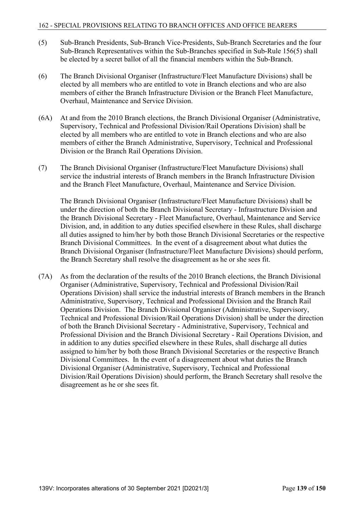- (5) Sub-Branch Presidents, Sub-Branch Vice-Presidents, Sub-Branch Secretaries and the four Sub-Branch Representatives within the Sub-Branches specified in Sub-Rule 156(5) shall be elected by a secret ballot of all the financial members within the Sub-Branch.
- (6) The Branch Divisional Organiser (Infrastructure/Fleet Manufacture Divisions) shall be elected by all members who are entitled to vote in Branch elections and who are also members of either the Branch Infrastructure Division or the Branch Fleet Manufacture, Overhaul, Maintenance and Service Division.
- (6A) At and from the 2010 Branch elections, the Branch Divisional Organiser (Administrative, Supervisory, Technical and Professional Division/Rail Operations Division) shall be elected by all members who are entitled to vote in Branch elections and who are also members of either the Branch Administrative, Supervisory, Technical and Professional Division or the Branch Rail Operations Division.
- (7) The Branch Divisional Organiser (Infrastructure/Fleet Manufacture Divisions) shall service the industrial interests of Branch members in the Branch Infrastructure Division and the Branch Fleet Manufacture, Overhaul, Maintenance and Service Division.

 The Branch Divisional Organiser (Infrastructure/Fleet Manufacture Divisions) shall be under the direction of both the Branch Divisional Secretary - Infrastructure Division and the Branch Divisional Secretary - Fleet Manufacture, Overhaul, Maintenance and Service Division, and, in addition to any duties specified elsewhere in these Rules, shall discharge all duties assigned to him/her by both those Branch Divisional Secretaries or the respective Branch Divisional Committees. In the event of a disagreement about what duties the Branch Divisional Organiser (Infrastructure/Fleet Manufacture Divisions) should perform, the Branch Secretary shall resolve the disagreement as he or she sees fit.

(7A) As from the declaration of the results of the 2010 Branch elections, the Branch Divisional Organiser (Administrative, Supervisory, Technical and Professional Division/Rail Operations Division) shall service the industrial interests of Branch members in the Branch Administrative, Supervisory, Technical and Professional Division and the Branch Rail Operations Division. The Branch Divisional Organiser (Administrative, Supervisory, Technical and Professional Division/Rail Operations Division) shall be under the direction of both the Branch Divisional Secretary - Administrative, Supervisory, Technical and Professional Division and the Branch Divisional Secretary - Rail Operations Division, and in addition to any duties specified elsewhere in these Rules, shall discharge all duties assigned to him/her by both those Branch Divisional Secretaries or the respective Branch Divisional Committees. In the event of a disagreement about what duties the Branch Divisional Organiser (Administrative, Supervisory, Technical and Professional Division/Rail Operations Division) should perform, the Branch Secretary shall resolve the disagreement as he or she sees fit.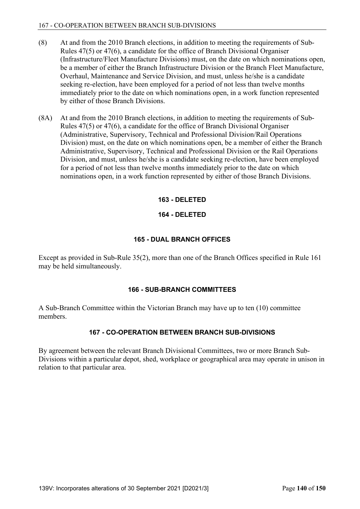- (8) At and from the 2010 Branch elections, in addition to meeting the requirements of Sub-Rules 47(5) or 47(6), a candidate for the office of Branch Divisional Organiser (Infrastructure/Fleet Manufacture Divisions) must, on the date on which nominations open, be a member of either the Branch Infrastructure Division or the Branch Fleet Manufacture, Overhaul, Maintenance and Service Division, and must, unless he/she is a candidate seeking re-election, have been employed for a period of not less than twelve months immediately prior to the date on which nominations open, in a work function represented by either of those Branch Divisions.
- (8A) At and from the 2010 Branch elections, in addition to meeting the requirements of Sub-Rules 47(5) or 47(6), a candidate for the office of Branch Divisional Organiser (Administrative, Supervisory, Technical and Professional Division/Rail Operations Division) must, on the date on which nominations open, be a member of either the Branch Administrative, Supervisory, Technical and Professional Division or the Rail Operations Division, and must, unless he/she is a candidate seeking re-election, have been employed for a period of not less than twelve months immediately prior to the date on which nominations open, in a work function represented by either of those Branch Divisions.

# **163 - DELETED**

# **164 - DELETED**

# **165 - DUAL BRANCH OFFICES**

Except as provided in Sub-Rule 35(2), more than one of the Branch Offices specified in Rule 161 may be held simultaneously.

### **166 - SUB-BRANCH COMMITTEES**

A Sub-Branch Committee within the Victorian Branch may have up to ten (10) committee members.

# **167 - CO-OPERATION BETWEEN BRANCH SUB-DIVISIONS**

By agreement between the relevant Branch Divisional Committees, two or more Branch Sub-Divisions within a particular depot, shed, workplace or geographical area may operate in unison in relation to that particular area.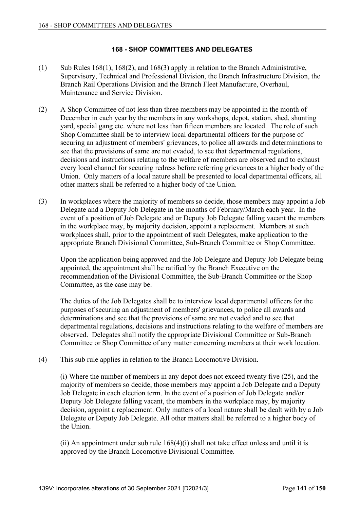# **168 - SHOP COMMITTEES AND DELEGATES**

- (1) Sub Rules 168(1), 168(2), and 168(3) apply in relation to the Branch Administrative, Supervisory, Technical and Professional Division, the Branch Infrastructure Division, the Branch Rail Operations Division and the Branch Fleet Manufacture, Overhaul, Maintenance and Service Division.
- (2) A Shop Committee of not less than three members may be appointed in the month of December in each year by the members in any workshops, depot, station, shed, shunting yard, special gang etc. where not less than fifteen members are located. The role of such Shop Committee shall be to interview local departmental officers for the purpose of securing an adjustment of members' grievances, to police all awards and determinations to see that the provisions of same are not evaded, to see that departmental regulations, decisions and instructions relating to the welfare of members are observed and to exhaust every local channel for securing redress before referring grievances to a higher body of the Union. Only matters of a local nature shall be presented to local departmental officers, all other matters shall be referred to a higher body of the Union.
- (3) In workplaces where the majority of members so decide, those members may appoint a Job Delegate and a Deputy Job Delegate in the months of February/March each year. In the event of a position of Job Delegate and or Deputy Job Delegate falling vacant the members in the workplace may, by majority decision, appoint a replacement. Members at such workplaces shall, prior to the appointment of such Delegates, make application to the appropriate Branch Divisional Committee, Sub-Branch Committee or Shop Committee.

 Upon the application being approved and the Job Delegate and Deputy Job Delegate being appointed, the appointment shall be ratified by the Branch Executive on the recommendation of the Divisional Committee, the Sub-Branch Committee or the Shop Committee, as the case may be.

 The duties of the Job Delegates shall be to interview local departmental officers for the purposes of securing an adjustment of members' grievances, to police all awards and determinations and see that the provisions of same are not evaded and to see that departmental regulations, decisions and instructions relating to the welfare of members are observed. Delegates shall notify the appropriate Divisional Committee or Sub-Branch Committee or Shop Committee of any matter concerning members at their work location.

(4) This sub rule applies in relation to the Branch Locomotive Division.

 (i) Where the number of members in any depot does not exceed twenty five (25), and the majority of members so decide, those members may appoint a Job Delegate and a Deputy Job Delegate in each election term. In the event of a position of Job Delegate and/or Deputy Job Delegate falling vacant, the members in the workplace may, by majority decision, appoint a replacement. Only matters of a local nature shall be dealt with by a Job Delegate or Deputy Job Delegate. All other matters shall be referred to a higher body of the Union.

(ii) An appointment under sub rule  $168(4)(i)$  shall not take effect unless and until it is approved by the Branch Locomotive Divisional Committee.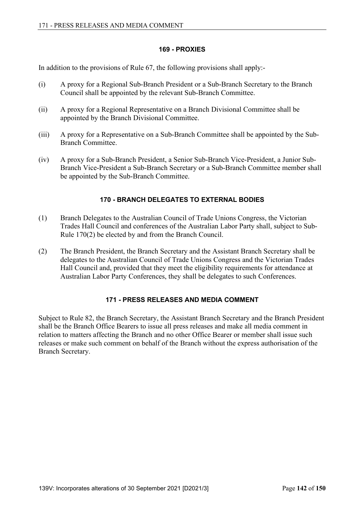# **169 - PROXIES**

In addition to the provisions of Rule 67, the following provisions shall apply:-

- (i) A proxy for a Regional Sub-Branch President or a Sub-Branch Secretary to the Branch Council shall be appointed by the relevant Sub-Branch Committee.
- (ii) A proxy for a Regional Representative on a Branch Divisional Committee shall be appointed by the Branch Divisional Committee.
- (iii) A proxy for a Representative on a Sub-Branch Committee shall be appointed by the Sub-Branch Committee.
- (iv) A proxy for a Sub-Branch President, a Senior Sub-Branch Vice-President, a Junior Sub-Branch Vice-President a Sub-Branch Secretary or a Sub-Branch Committee member shall be appointed by the Sub-Branch Committee.

# **170 - BRANCH DELEGATES TO EXTERNAL BODIES**

- (1) Branch Delegates to the Australian Council of Trade Unions Congress, the Victorian Trades Hall Council and conferences of the Australian Labor Party shall, subject to Sub-Rule 170(2) be elected by and from the Branch Council.
- (2) The Branch President, the Branch Secretary and the Assistant Branch Secretary shall be delegates to the Australian Council of Trade Unions Congress and the Victorian Trades Hall Council and, provided that they meet the eligibility requirements for attendance at Australian Labor Party Conferences, they shall be delegates to such Conferences.

### **171 - PRESS RELEASES AND MEDIA COMMENT**

Subject to Rule 82, the Branch Secretary, the Assistant Branch Secretary and the Branch President shall be the Branch Office Bearers to issue all press releases and make all media comment in relation to matters affecting the Branch and no other Office Bearer or member shall issue such releases or make such comment on behalf of the Branch without the express authorisation of the Branch Secretary.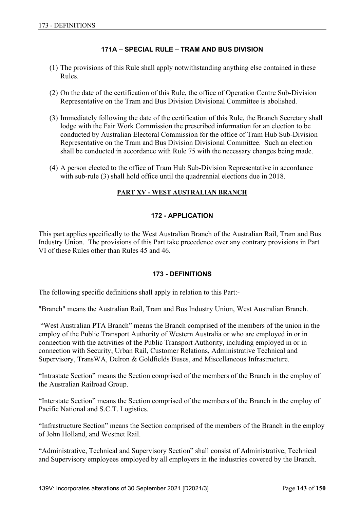# **171A – SPECIAL RULE – TRAM AND BUS DIVISION**

- (1) The provisions of this Rule shall apply notwithstanding anything else contained in these Rules.
- (2) On the date of the certification of this Rule, the office of Operation Centre Sub-Division Representative on the Tram and Bus Division Divisional Committee is abolished.
- (3) Immediately following the date of the certification of this Rule, the Branch Secretary shall lodge with the Fair Work Commission the prescribed information for an election to be conducted by Australian Electoral Commission for the office of Tram Hub Sub-Division Representative on the Tram and Bus Division Divisional Committee. Such an election shall be conducted in accordance with Rule 75 with the necessary changes being made.
- (4) A person elected to the office of Tram Hub Sub-Division Representative in accordance with sub-rule (3) shall hold office until the quadrennial elections due in 2018.

# **PART XV - WEST AUSTRALIAN BRANCH**

# **172 - APPLICATION**

This part applies specifically to the West Australian Branch of the Australian Rail, Tram and Bus Industry Union. The provisions of this Part take precedence over any contrary provisions in Part VI of these Rules other than Rules 45 and 46.

### **173 - DEFINITIONS**

The following specific definitions shall apply in relation to this Part:-

"Branch" means the Australian Rail, Tram and Bus Industry Union, West Australian Branch.

 "West Australian PTA Branch" means the Branch comprised of the members of the union in the employ of the Public Transport Authority of Western Australia or who are employed in or in connection with the activities of the Public Transport Authority, including employed in or in connection with Security, Urban Rail, Customer Relations, Administrative Technical and Supervisory, TransWA, Delron & Goldfields Buses, and Miscellaneous Infrastructure.

"Intrastate Section" means the Section comprised of the members of the Branch in the employ of the Australian Railroad Group.

"Interstate Section" means the Section comprised of the members of the Branch in the employ of Pacific National and S.C.T. Logistics.

"Infrastructure Section" means the Section comprised of the members of the Branch in the employ of John Holland, and Westnet Rail.

"Administrative, Technical and Supervisory Section" shall consist of Administrative, Technical and Supervisory employees employed by all employers in the industries covered by the Branch.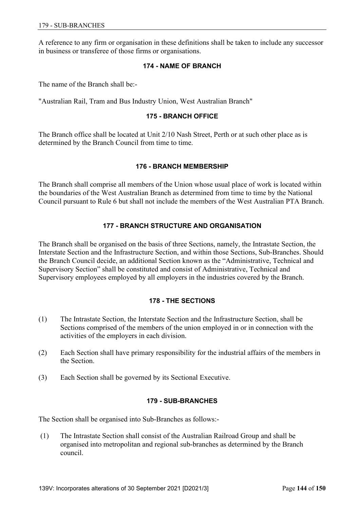A reference to any firm or organisation in these definitions shall be taken to include any successor in business or transferee of those firms or organisations.

#### **174 - NAME OF BRANCH**

The name of the Branch shall be:-

"Australian Rail, Tram and Bus Industry Union, West Australian Branch"

#### **175 - BRANCH OFFICE**

The Branch office shall be located at Unit 2/10 Nash Street, Perth or at such other place as is determined by the Branch Council from time to time.

#### **176 - BRANCH MEMBERSHIP**

The Branch shall comprise all members of the Union whose usual place of work is located within the boundaries of the West Australian Branch as determined from time to time by the National Council pursuant to Rule 6 but shall not include the members of the West Australian PTA Branch.

### **177 - BRANCH STRUCTURE AND ORGANISATION**

The Branch shall be organised on the basis of three Sections, namely, the Intrastate Section, the Interstate Section and the Infrastructure Section, and within those Sections, Sub-Branches. Should the Branch Council decide, an additional Section known as the "Administrative, Technical and Supervisory Section" shall be constituted and consist of Administrative, Technical and Supervisory employees employed by all employers in the industries covered by the Branch.

### **178 - THE SECTIONS**

- (1) The Intrastate Section, the Interstate Section and the Infrastructure Section, shall be Sections comprised of the members of the union employed in or in connection with the activities of the employers in each division.
- (2) Each Section shall have primary responsibility for the industrial affairs of the members in the Section.
- (3) Each Section shall be governed by its Sectional Executive.

### **179 - SUB-BRANCHES**

The Section shall be organised into Sub-Branches as follows:-

 (1) The Intrastate Section shall consist of the Australian Railroad Group and shall be organised into metropolitan and regional sub-branches as determined by the Branch council.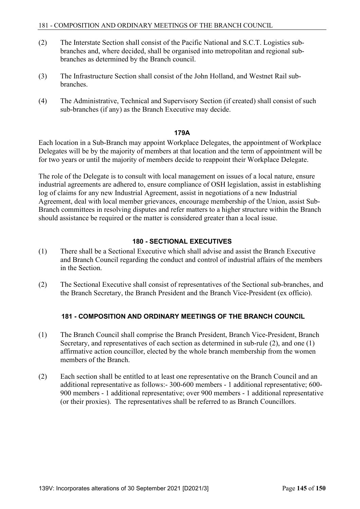- (2) The Interstate Section shall consist of the Pacific National and S.C.T. Logistics subbranches and, where decided, shall be organised into metropolitan and regional subbranches as determined by the Branch council.
- (3) The Infrastructure Section shall consist of the John Holland, and Westnet Rail subbranches.
- (4) The Administrative, Technical and Supervisory Section (if created) shall consist of such sub-branches (if any) as the Branch Executive may decide.

#### **179A**

Each location in a Sub-Branch may appoint Workplace Delegates, the appointment of Workplace Delegates will be by the majority of members at that location and the term of appointment will be for two years or until the majority of members decide to reappoint their Workplace Delegate.

The role of the Delegate is to consult with local management on issues of a local nature, ensure industrial agreements are adhered to, ensure compliance of OSH legislation, assist in establishing log of claims for any new Industrial Agreement, assist in negotiations of a new Industrial Agreement, deal with local member grievances, encourage membership of the Union, assist Sub-Branch committees in resolving disputes and refer matters to a higher structure within the Branch should assistance be required or the matter is considered greater than a local issue.

# **180 - SECTIONAL EXECUTIVES**

- (1) There shall be a Sectional Executive which shall advise and assist the Branch Executive and Branch Council regarding the conduct and control of industrial affairs of the members in the Section.
- (2) The Sectional Executive shall consist of representatives of the Sectional sub-branches, and the Branch Secretary, the Branch President and the Branch Vice-President (ex officio).

# **181 - COMPOSITION AND ORDINARY MEETINGS OF THE BRANCH COUNCIL**

- (1) The Branch Council shall comprise the Branch President, Branch Vice-President, Branch Secretary, and representatives of each section as determined in sub-rule (2), and one (1) affirmative action councillor, elected by the whole branch membership from the women members of the Branch.
- (2) Each section shall be entitled to at least one representative on the Branch Council and an additional representative as follows:- 300-600 members - 1 additional representative; 600- 900 members - 1 additional representative; over 900 members - 1 additional representative (or their proxies). The representatives shall be referred to as Branch Councillors.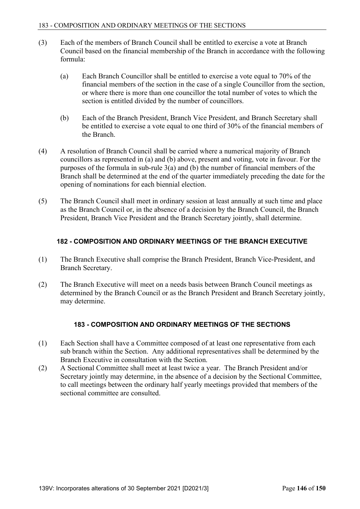- (3) Each of the members of Branch Council shall be entitled to exercise a vote at Branch Council based on the financial membership of the Branch in accordance with the following formula:
	- (a) Each Branch Councillor shall be entitled to exercise a vote equal to 70% of the financial members of the section in the case of a single Councillor from the section, or where there is more than one councillor the total number of votes to which the section is entitled divided by the number of councillors.
	- (b) Each of the Branch President, Branch Vice President, and Branch Secretary shall be entitled to exercise a vote equal to one third of 30% of the financial members of the Branch.
- (4) A resolution of Branch Council shall be carried where a numerical majority of Branch councillors as represented in (a) and (b) above, present and voting, vote in favour. For the purposes of the formula in sub-rule 3(a) and (b) the number of financial members of the Branch shall be determined at the end of the quarter immediately preceding the date for the opening of nominations for each biennial election.
- (5) The Branch Council shall meet in ordinary session at least annually at such time and place as the Branch Council or, in the absence of a decision by the Branch Council, the Branch President, Branch Vice President and the Branch Secretary jointly, shall determine.

# **182 - COMPOSITION AND ORDINARY MEETINGS OF THE BRANCH EXECUTIVE**

- (1) The Branch Executive shall comprise the Branch President, Branch Vice-President, and Branch Secretary.
- (2) The Branch Executive will meet on a needs basis between Branch Council meetings as determined by the Branch Council or as the Branch President and Branch Secretary jointly, may determine.

# **183 - COMPOSITION AND ORDINARY MEETINGS OF THE SECTIONS**

- (1) Each Section shall have a Committee composed of at least one representative from each sub branch within the Section. Any additional representatives shall be determined by the Branch Executive in consultation with the Section.
- (2) A Sectional Committee shall meet at least twice a year. The Branch President and/or Secretary jointly may determine, in the absence of a decision by the Sectional Committee, to call meetings between the ordinary half yearly meetings provided that members of the sectional committee are consulted.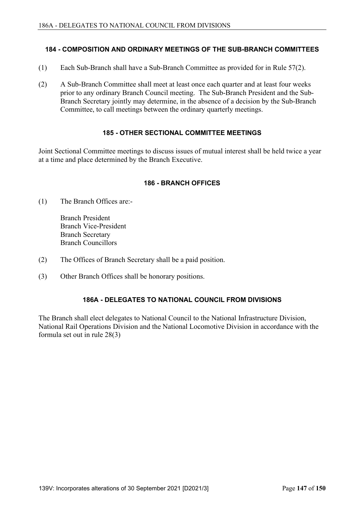### **184 - COMPOSITION AND ORDINARY MEETINGS OF THE SUB-BRANCH COMMITTEES**

- (1) Each Sub-Branch shall have a Sub-Branch Committee as provided for in Rule 57(2).
- (2) A Sub-Branch Committee shall meet at least once each quarter and at least four weeks prior to any ordinary Branch Council meeting. The Sub-Branch President and the Sub-Branch Secretary jointly may determine, in the absence of a decision by the Sub-Branch Committee, to call meetings between the ordinary quarterly meetings.

# **185 - OTHER SECTIONAL COMMITTEE MEETINGS**

Joint Sectional Committee meetings to discuss issues of mutual interest shall be held twice a year at a time and place determined by the Branch Executive.

### **186 - BRANCH OFFICES**

(1) The Branch Offices are:-

 Branch President Branch Vice-President Branch Secretary Branch Councillors

- (2) The Offices of Branch Secretary shall be a paid position.
- (3) Other Branch Offices shall be honorary positions.

### **186A - DELEGATES TO NATIONAL COUNCIL FROM DIVISIONS**

The Branch shall elect delegates to National Council to the National Infrastructure Division, National Rail Operations Division and the National Locomotive Division in accordance with the formula set out in rule 28(3)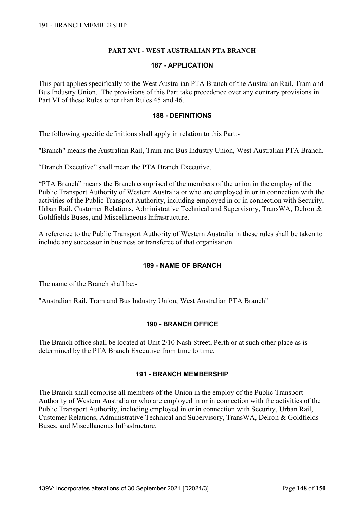# **PART XVI - WEST AUSTRALIAN PTA BRANCH**

### **187 - APPLICATION**

This part applies specifically to the West Australian PTA Branch of the Australian Rail, Tram and Bus Industry Union. The provisions of this Part take precedence over any contrary provisions in Part VI of these Rules other than Rules 45 and 46.

### **188 - DEFINITIONS**

The following specific definitions shall apply in relation to this Part:-

"Branch" means the Australian Rail, Tram and Bus Industry Union, West Australian PTA Branch.

"Branch Executive" shall mean the PTA Branch Executive.

"PTA Branch" means the Branch comprised of the members of the union in the employ of the Public Transport Authority of Western Australia or who are employed in or in connection with the activities of the Public Transport Authority, including employed in or in connection with Security, Urban Rail, Customer Relations, Administrative Technical and Supervisory, TransWA, Delron & Goldfields Buses, and Miscellaneous Infrastructure.

A reference to the Public Transport Authority of Western Australia in these rules shall be taken to include any successor in business or transferee of that organisation.

### **189 - NAME OF BRANCH**

The name of the Branch shall be:-

"Australian Rail, Tram and Bus Industry Union, West Australian PTA Branch"

### **190 - BRANCH OFFICE**

The Branch office shall be located at Unit 2/10 Nash Street, Perth or at such other place as is determined by the PTA Branch Executive from time to time.

### **191 - BRANCH MEMBERSHIP**

The Branch shall comprise all members of the Union in the employ of the Public Transport Authority of Western Australia or who are employed in or in connection with the activities of the Public Transport Authority, including employed in or in connection with Security, Urban Rail, Customer Relations, Administrative Technical and Supervisory, TransWA, Delron & Goldfields Buses, and Miscellaneous Infrastructure.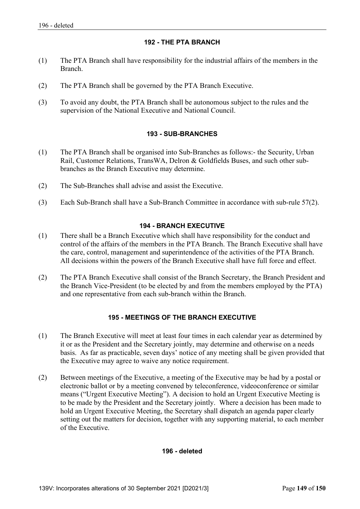# **192 - THE PTA BRANCH**

- (1) The PTA Branch shall have responsibility for the industrial affairs of the members in the Branch.
- (2) The PTA Branch shall be governed by the PTA Branch Executive.
- (3) To avoid any doubt, the PTA Branch shall be autonomous subject to the rules and the supervision of the National Executive and National Council.

# **193 - SUB-BRANCHES**

- (1) The PTA Branch shall be organised into Sub-Branches as follows:- the Security, Urban Rail, Customer Relations, TransWA, Delron & Goldfields Buses, and such other subbranches as the Branch Executive may determine.
- (2) The Sub-Branches shall advise and assist the Executive.
- (3) Each Sub-Branch shall have a Sub-Branch Committee in accordance with sub-rule 57(2).

### **194 - BRANCH EXECUTIVE**

- (1) There shall be a Branch Executive which shall have responsibility for the conduct and control of the affairs of the members in the PTA Branch. The Branch Executive shall have the care, control, management and superintendence of the activities of the PTA Branch. All decisions within the powers of the Branch Executive shall have full force and effect.
- (2) The PTA Branch Executive shall consist of the Branch Secretary, the Branch President and the Branch Vice-President (to be elected by and from the members employed by the PTA) and one representative from each sub-branch within the Branch.

# **195 - MEETINGS OF THE BRANCH EXECUTIVE**

- (1) The Branch Executive will meet at least four times in each calendar year as determined by it or as the President and the Secretary jointly, may determine and otherwise on a needs basis. As far as practicable, seven days' notice of any meeting shall be given provided that the Executive may agree to waive any notice requirement.
- (2) Between meetings of the Executive, a meeting of the Executive may be had by a postal or electronic ballot or by a meeting convened by teleconference, videoconference or similar means ("Urgent Executive Meeting"). A decision to hold an Urgent Executive Meeting is to be made by the President and the Secretary jointly. Where a decision has been made to hold an Urgent Executive Meeting, the Secretary shall dispatch an agenda paper clearly setting out the matters for decision, together with any supporting material, to each member of the Executive.

### **196 - deleted**